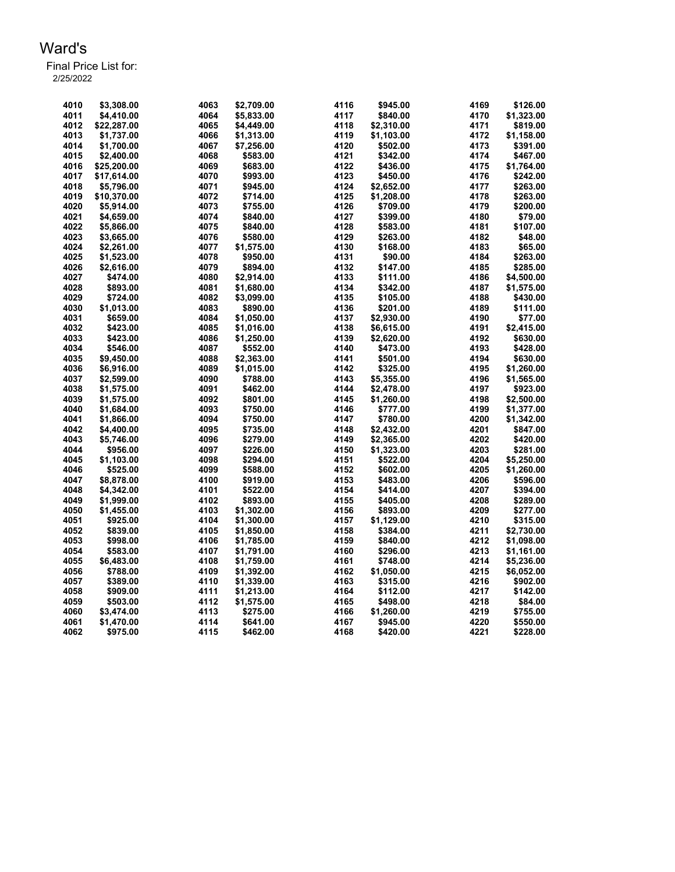| 4010         | \$3,308.00  | 4063         | \$2,709.00           | 4116 | \$945.00   | 4169 | \$126.00   |
|--------------|-------------|--------------|----------------------|------|------------|------|------------|
|              |             |              |                      |      |            |      |            |
| 4011         | \$4,410.00  | 4064         | \$5,833.00           | 4117 | \$840.00   | 4170 | \$1,323.00 |
| 4012         | \$22,287.00 | 4065         | \$4,449.00           | 4118 | \$2,310.00 | 4171 | \$819.00   |
| 4013         | \$1,737.00  | 4066         | \$1,313.00           | 4119 | \$1,103.00 | 4172 | \$1,158.00 |
| 4014         | \$1,700.00  | 4067         | \$7,256.00           | 4120 | \$502.00   | 4173 | \$391.00   |
| 4015         | \$2,400.00  | 4068         | \$583.00             | 4121 | \$342.00   | 4174 | \$467.00   |
| 4016         | \$25,200.00 | 4069         | \$683.00             | 4122 | \$436.00   | 4175 | \$1,764.00 |
| 4017         | \$17,614.00 | 4070         | \$993.00             | 4123 | \$450.00   | 4176 | \$242.00   |
| 4018         | \$5,796.00  | 4071         | \$945.00             | 4124 | \$2,652.00 | 4177 | \$263.00   |
| 4019         | \$10,370.00 | 4072         | \$714.00             | 4125 | \$1,208.00 | 4178 | \$263.00   |
| 4020         | \$5,914.00  | 4073         | \$755.00             | 4126 | \$709.00   | 4179 | \$200.00   |
| 4021         | \$4,659.00  | 4074         | \$840.00             | 4127 | \$399.00   | 4180 | \$79.00    |
| 4022         | \$5,866.00  | 4075         | \$840.00             | 4128 | \$583.00   | 4181 | \$107.00   |
| 4023         | \$3,665.00  | 4076         | \$580.00             | 4129 | \$263.00   | 4182 | \$48.00    |
| 4024         | \$2,261.00  | 4077         | \$1,575.00           | 4130 | \$168.00   | 4183 | \$65.00    |
| 4025         | \$1,523.00  | 4078         | \$950.00             | 4131 | \$90.00    | 4184 | \$263.00   |
| 4026         | \$2,616.00  | 4079         | \$894.00             | 4132 | \$147.00   | 4185 | \$285.00   |
| 4027         | \$474.00    | 4080         | \$2,914.00           | 4133 | \$111.00   | 4186 | \$4,500.00 |
| 4028         | \$893.00    | 4081         | \$1,680.00           | 4134 | \$342.00   | 4187 | \$1,575.00 |
| 4029         | \$724.00    | 4082         | \$3,099.00           | 4135 | \$105.00   | 4188 | \$430.00   |
| 4030         | \$1,013.00  | 4083         | \$890.00             | 4136 | \$201.00   | 4189 | \$111.00   |
| 4031         | \$659.00    | 4084         | \$1,050.00           | 4137 | \$2,930.00 | 4190 | \$77.00    |
| 4032         | \$423.00    | 4085         | \$1,016.00           | 4138 | \$6,615.00 | 4191 | \$2,415.00 |
| 4033         | \$423.00    | 4086         | \$1,250.00           | 4139 | \$2,620.00 | 4192 | \$630.00   |
| 4034         | \$546.00    | 4087         | \$552.00             | 4140 | \$473.00   | 4193 | \$428.00   |
| 4035         | \$9,450.00  | 4088         | \$2,363.00           | 4141 | \$501.00   | 4194 | \$630.00   |
| 4036         | \$6,916.00  | 4089         | \$1,015.00           | 4142 | \$325.00   | 4195 | \$1,260.00 |
| 4037         | \$2,599.00  | 4090         | \$788.00             | 4143 | \$5,355.00 | 4196 | \$1,565.00 |
| 4038         | \$1,575.00  | 4091         | \$462.00             | 4144 | \$2,478.00 | 4197 | \$923.00   |
| 4039         | \$1,575.00  | 4092         | \$801.00             | 4145 | \$1,260.00 | 4198 | \$2,500.00 |
| 4040         | \$1.684.00  | 4093         | \$750.00             | 4146 | \$777.00   | 4199 | \$1,377.00 |
| 4041         | \$1,866.00  | 4094         | \$750.00             | 4147 | \$780.00   | 4200 | \$1,342.00 |
| 4042         | \$4,400.00  | 4095         | \$735.00             | 4148 | \$2,432.00 | 4201 | \$847.00   |
| 4043         | \$5,746.00  | 4096         | \$279.00             | 4149 | \$2,365.00 | 4202 | \$420.00   |
| 4044         | \$956.00    | 4097         | \$226.00             | 4150 | \$1,323.00 | 4203 | \$281.00   |
| 4045         | \$1,103.00  | 4098         | \$294.00             | 4151 | \$522.00   | 4204 | \$5,250.00 |
| 4046         | \$525.00    | 4099         | \$588.00             | 4152 | \$602.00   | 4205 | \$1,260.00 |
|              |             |              |                      | 4153 |            | 4206 |            |
| 4047<br>4048 | \$8,878.00  | 4100<br>4101 | \$919.00<br>\$522.00 |      | \$483.00   | 4207 | \$596.00   |
|              | \$4,342.00  |              |                      | 4154 | \$414.00   |      | \$394.00   |
| 4049         | \$1,999.00  | 4102         | \$893.00             | 4155 | \$405.00   | 4208 | \$289.00   |
| 4050         | \$1,455.00  | 4103         | \$1,302.00           | 4156 | \$893.00   | 4209 | \$277.00   |
| 4051         | \$925.00    | 4104         | \$1,300.00           | 4157 | \$1,129.00 | 4210 | \$315.00   |
| 4052         | \$839.00    | 4105         | \$1,850.00           | 4158 | \$384.00   | 4211 | \$2,730.00 |
| 4053         | \$998.00    | 4106         | \$1,785.00           | 4159 | \$840.00   | 4212 | \$1,098.00 |
| 4054         | \$583.00    | 4107         | \$1,791.00           | 4160 | \$296.00   | 4213 | \$1,161.00 |
| 4055         | \$6,483.00  | 4108         | \$1,759.00           | 4161 | \$748.00   | 4214 | \$5,236.00 |
| 4056         | \$788.00    | 4109         | \$1,392.00           | 4162 | \$1,050.00 | 4215 | \$6,052.00 |
| 4057         | \$389.00    | 4110         | \$1,339.00           | 4163 | \$315.00   | 4216 | \$902.00   |
| 4058         | \$909.00    | 4111         | \$1,213.00           | 4164 | \$112.00   | 4217 | \$142.00   |
| 4059         | \$503.00    | 4112         | \$1,575.00           | 4165 | \$498.00   | 4218 | \$84.00    |
| 4060         | \$3,474.00  | 4113         | \$275.00             | 4166 | \$1,260.00 | 4219 | \$755.00   |
| 4061         | \$1,470.00  | 4114         | \$641.00             | 4167 | \$945.00   | 4220 | \$550.00   |
| 4062         | \$975.00    | 4115         | \$462.00             | 4168 | \$420.00   | 4221 | \$228.00   |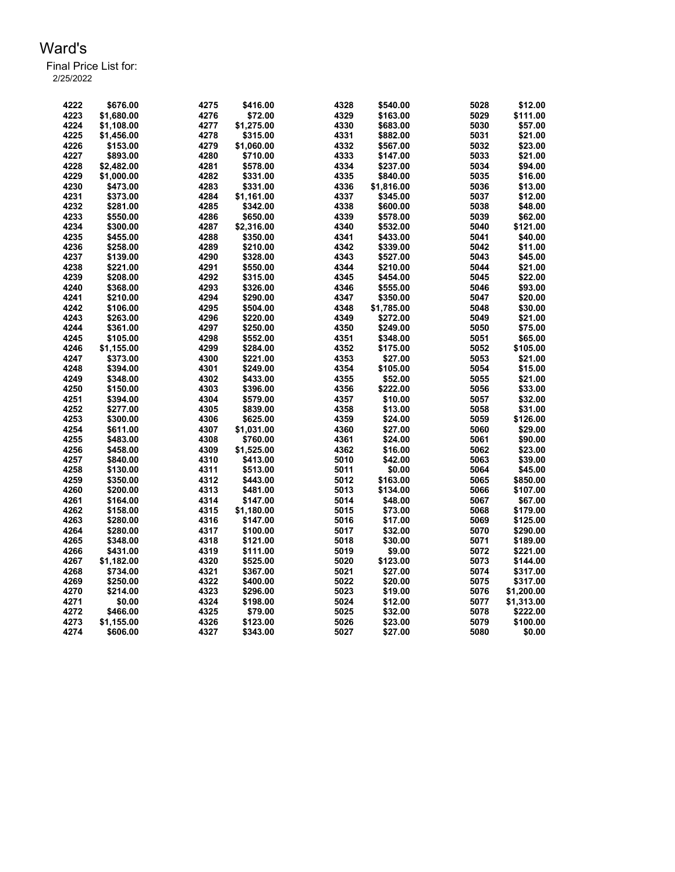| 4223<br>4329<br>5029<br>\$1,680.00<br>4276<br>\$72.00<br>\$163.00<br>4224<br>4277<br>4330<br>\$1,108.00<br>\$1,275.00<br>\$683.00<br>5030<br>4225<br>4278<br>4331<br>5031<br>\$315.00<br>\$1,456.00<br>\$882.00<br>4226<br>4279<br>4332<br>5032<br>\$153.00<br>\$1,060.00<br>\$567.00<br>4227<br>4333<br>\$893.00<br>4280<br>\$710.00<br>\$147.00<br>5033<br>4228<br>4334<br>4281<br>5034<br>\$2,482.00<br>\$578.00<br>\$237.00<br>4229<br>4282<br>4335<br>5035<br>\$16.00<br>\$1,000.00<br>\$331.00<br>\$840.00<br>4230<br>4336<br>5036<br>4283<br>\$1,816.00<br>\$473.00<br>\$331.00<br>4231<br>4284<br>4337<br>5037<br>\$12.00<br>\$373.00<br>\$1,161.00<br>\$345.00<br>4338<br>4232<br>\$281.00<br>4285<br>\$342.00<br>\$600.00<br>5038<br>\$48.00<br>4233<br>4286<br>\$650.00<br>4339<br>5039<br>\$550.00<br>\$578.00<br>4234<br>\$300.00<br>4287<br>\$2,316.00<br>4340<br>\$532.00<br>5040<br>\$121.00<br>4235<br>4288<br>4341<br>5041<br>\$455.00<br>\$350.00<br>\$433.00<br>4236<br>4289<br>4342<br>5042<br>\$258.00<br>\$210.00<br>\$339.00<br>4237<br>4290<br>4343<br>\$139.00<br>\$328.00<br>\$527.00<br>5043<br>4238<br>4291<br>4344<br>5044<br>\$21.00<br>\$221.00<br>\$550.00<br>\$210.00<br>4239<br>4292<br>4345<br>\$22.00<br>\$208.00<br>5045<br>\$315.00<br>\$454.00<br>4293<br>4240<br>\$368.00<br>\$326.00<br>4346<br>5046<br>\$93.00<br>\$555.00<br>4294<br>4241<br>\$210.00<br>\$290.00<br>4347<br>\$350.00<br>5047<br>\$20.00<br>4242<br>4295<br>4348<br>5048<br>\$30.00<br>\$106.00<br>\$504.00<br>\$1,785.00<br>4296<br>4243<br>\$263.00<br>\$220.00<br>4349<br>\$272.00<br>5049<br>\$21.00<br>4244<br>4297<br>4350<br>5050<br>\$361.00<br>\$250.00<br>\$249.00<br>\$75.00<br>4298<br>4245<br>\$105.00<br>4351<br>5051<br>\$65.00<br>\$552.00<br>\$348.00<br>4299<br>4246<br>\$1,155.00<br>\$284.00<br>4352<br>\$175.00<br>5052<br>\$105.00<br>4300<br>4353<br>5053<br>4247<br>\$221.00<br>\$27.00<br>\$21.00<br>\$373.00<br>4301<br>4354<br>4248<br>\$394.00<br>\$249.00<br>\$105.00<br>5054<br>\$15.00<br>4249<br>4302<br>4355<br>\$52.00<br>5055<br>\$348.00<br>\$433.00<br>\$21.00<br>4250<br>4303<br>4356<br>\$33.00<br>\$150.00<br>\$396.00<br>\$222.00<br>5056<br>4251<br>4304<br>\$579.00<br>4357<br>\$10.00<br>5057<br>\$32.00<br>\$394.00<br>4358<br>4252<br>\$277.00<br>4305<br>\$839.00<br>\$13.00<br>5058<br>\$31.00<br>4253<br>\$300.00<br>4306<br>\$625.00<br>4359<br>\$24.00<br>5059<br>\$126.00<br>4254<br>\$611.00<br>4307<br>\$1,031.00<br>4360<br>\$27.00<br>5060<br>4255<br>4308<br>4361<br>5061<br>\$483.00<br>\$760.00<br>\$24.00<br>\$90.00<br>4309<br>4362<br>4256<br>\$458.00<br>\$1,525.00<br>\$16.00<br>5062<br>\$23.00<br>4257<br>4310<br>5010<br>\$42.00<br>5063<br>\$840.00<br>\$413.00<br>\$39.00<br>4258<br>\$130.00<br>4311<br>\$513.00<br>5011<br>\$0.00<br>5064<br>\$45.00<br>4259<br>4312<br>\$350.00<br>\$443.00<br>5012<br>\$163.00<br>5065<br>\$850.00<br>4260<br>4313<br>5013<br>5066<br>\$200.00<br>\$481.00<br>\$134.00<br>\$107.00<br>4261<br>4314<br>5014<br>5067<br>\$164.00<br>\$147.00<br>\$48.00<br>\$67.00<br>4262<br>4315<br>5015<br>\$73.00<br>5068<br>\$158.00<br>\$1,180.00<br>\$179.00<br>4263<br>4316<br>5016<br>\$17.00<br>5069<br>\$280.00<br>\$147.00<br>\$125.00<br>4264<br>4317<br>5017<br>\$32.00<br>5070<br>\$280.00<br>\$100.00<br>\$290.00<br>4265<br>\$348.00<br>4318<br>\$121.00<br>5018<br>\$30.00<br>5071<br>\$189.00 | 4222 | \$676.00 | 4275 | \$416.00 | 4328 | \$540.00 | 5028 | \$12.00    |
|---------------------------------------------------------------------------------------------------------------------------------------------------------------------------------------------------------------------------------------------------------------------------------------------------------------------------------------------------------------------------------------------------------------------------------------------------------------------------------------------------------------------------------------------------------------------------------------------------------------------------------------------------------------------------------------------------------------------------------------------------------------------------------------------------------------------------------------------------------------------------------------------------------------------------------------------------------------------------------------------------------------------------------------------------------------------------------------------------------------------------------------------------------------------------------------------------------------------------------------------------------------------------------------------------------------------------------------------------------------------------------------------------------------------------------------------------------------------------------------------------------------------------------------------------------------------------------------------------------------------------------------------------------------------------------------------------------------------------------------------------------------------------------------------------------------------------------------------------------------------------------------------------------------------------------------------------------------------------------------------------------------------------------------------------------------------------------------------------------------------------------------------------------------------------------------------------------------------------------------------------------------------------------------------------------------------------------------------------------------------------------------------------------------------------------------------------------------------------------------------------------------------------------------------------------------------------------------------------------------------------------------------------------------------------------------------------------------------------------------------------------------------------------------------------------------------------------------------------------------------------------------------------------------------------------------------------------------------------------------------------------------------------------------------------------------------------------------------------------------------------------------------------------------------------------------------------------------------------------------------------------------------------------------------------------------------------------------------------------------------------------------------------------------------|------|----------|------|----------|------|----------|------|------------|
|                                                                                                                                                                                                                                                                                                                                                                                                                                                                                                                                                                                                                                                                                                                                                                                                                                                                                                                                                                                                                                                                                                                                                                                                                                                                                                                                                                                                                                                                                                                                                                                                                                                                                                                                                                                                                                                                                                                                                                                                                                                                                                                                                                                                                                                                                                                                                                                                                                                                                                                                                                                                                                                                                                                                                                                                                                                                                                                                                                                                                                                                                                                                                                                                                                                                                                                                                                                                                     |      |          |      |          |      |          |      | \$111.00   |
|                                                                                                                                                                                                                                                                                                                                                                                                                                                                                                                                                                                                                                                                                                                                                                                                                                                                                                                                                                                                                                                                                                                                                                                                                                                                                                                                                                                                                                                                                                                                                                                                                                                                                                                                                                                                                                                                                                                                                                                                                                                                                                                                                                                                                                                                                                                                                                                                                                                                                                                                                                                                                                                                                                                                                                                                                                                                                                                                                                                                                                                                                                                                                                                                                                                                                                                                                                                                                     |      |          |      |          |      |          |      | \$57.00    |
|                                                                                                                                                                                                                                                                                                                                                                                                                                                                                                                                                                                                                                                                                                                                                                                                                                                                                                                                                                                                                                                                                                                                                                                                                                                                                                                                                                                                                                                                                                                                                                                                                                                                                                                                                                                                                                                                                                                                                                                                                                                                                                                                                                                                                                                                                                                                                                                                                                                                                                                                                                                                                                                                                                                                                                                                                                                                                                                                                                                                                                                                                                                                                                                                                                                                                                                                                                                                                     |      |          |      |          |      |          |      | \$21.00    |
|                                                                                                                                                                                                                                                                                                                                                                                                                                                                                                                                                                                                                                                                                                                                                                                                                                                                                                                                                                                                                                                                                                                                                                                                                                                                                                                                                                                                                                                                                                                                                                                                                                                                                                                                                                                                                                                                                                                                                                                                                                                                                                                                                                                                                                                                                                                                                                                                                                                                                                                                                                                                                                                                                                                                                                                                                                                                                                                                                                                                                                                                                                                                                                                                                                                                                                                                                                                                                     |      |          |      |          |      |          |      | \$23.00    |
|                                                                                                                                                                                                                                                                                                                                                                                                                                                                                                                                                                                                                                                                                                                                                                                                                                                                                                                                                                                                                                                                                                                                                                                                                                                                                                                                                                                                                                                                                                                                                                                                                                                                                                                                                                                                                                                                                                                                                                                                                                                                                                                                                                                                                                                                                                                                                                                                                                                                                                                                                                                                                                                                                                                                                                                                                                                                                                                                                                                                                                                                                                                                                                                                                                                                                                                                                                                                                     |      |          |      |          |      |          |      | \$21.00    |
|                                                                                                                                                                                                                                                                                                                                                                                                                                                                                                                                                                                                                                                                                                                                                                                                                                                                                                                                                                                                                                                                                                                                                                                                                                                                                                                                                                                                                                                                                                                                                                                                                                                                                                                                                                                                                                                                                                                                                                                                                                                                                                                                                                                                                                                                                                                                                                                                                                                                                                                                                                                                                                                                                                                                                                                                                                                                                                                                                                                                                                                                                                                                                                                                                                                                                                                                                                                                                     |      |          |      |          |      |          |      | \$94.00    |
|                                                                                                                                                                                                                                                                                                                                                                                                                                                                                                                                                                                                                                                                                                                                                                                                                                                                                                                                                                                                                                                                                                                                                                                                                                                                                                                                                                                                                                                                                                                                                                                                                                                                                                                                                                                                                                                                                                                                                                                                                                                                                                                                                                                                                                                                                                                                                                                                                                                                                                                                                                                                                                                                                                                                                                                                                                                                                                                                                                                                                                                                                                                                                                                                                                                                                                                                                                                                                     |      |          |      |          |      |          |      |            |
|                                                                                                                                                                                                                                                                                                                                                                                                                                                                                                                                                                                                                                                                                                                                                                                                                                                                                                                                                                                                                                                                                                                                                                                                                                                                                                                                                                                                                                                                                                                                                                                                                                                                                                                                                                                                                                                                                                                                                                                                                                                                                                                                                                                                                                                                                                                                                                                                                                                                                                                                                                                                                                                                                                                                                                                                                                                                                                                                                                                                                                                                                                                                                                                                                                                                                                                                                                                                                     |      |          |      |          |      |          |      | \$13.00    |
|                                                                                                                                                                                                                                                                                                                                                                                                                                                                                                                                                                                                                                                                                                                                                                                                                                                                                                                                                                                                                                                                                                                                                                                                                                                                                                                                                                                                                                                                                                                                                                                                                                                                                                                                                                                                                                                                                                                                                                                                                                                                                                                                                                                                                                                                                                                                                                                                                                                                                                                                                                                                                                                                                                                                                                                                                                                                                                                                                                                                                                                                                                                                                                                                                                                                                                                                                                                                                     |      |          |      |          |      |          |      |            |
|                                                                                                                                                                                                                                                                                                                                                                                                                                                                                                                                                                                                                                                                                                                                                                                                                                                                                                                                                                                                                                                                                                                                                                                                                                                                                                                                                                                                                                                                                                                                                                                                                                                                                                                                                                                                                                                                                                                                                                                                                                                                                                                                                                                                                                                                                                                                                                                                                                                                                                                                                                                                                                                                                                                                                                                                                                                                                                                                                                                                                                                                                                                                                                                                                                                                                                                                                                                                                     |      |          |      |          |      |          |      |            |
|                                                                                                                                                                                                                                                                                                                                                                                                                                                                                                                                                                                                                                                                                                                                                                                                                                                                                                                                                                                                                                                                                                                                                                                                                                                                                                                                                                                                                                                                                                                                                                                                                                                                                                                                                                                                                                                                                                                                                                                                                                                                                                                                                                                                                                                                                                                                                                                                                                                                                                                                                                                                                                                                                                                                                                                                                                                                                                                                                                                                                                                                                                                                                                                                                                                                                                                                                                                                                     |      |          |      |          |      |          |      | \$62.00    |
|                                                                                                                                                                                                                                                                                                                                                                                                                                                                                                                                                                                                                                                                                                                                                                                                                                                                                                                                                                                                                                                                                                                                                                                                                                                                                                                                                                                                                                                                                                                                                                                                                                                                                                                                                                                                                                                                                                                                                                                                                                                                                                                                                                                                                                                                                                                                                                                                                                                                                                                                                                                                                                                                                                                                                                                                                                                                                                                                                                                                                                                                                                                                                                                                                                                                                                                                                                                                                     |      |          |      |          |      |          |      |            |
|                                                                                                                                                                                                                                                                                                                                                                                                                                                                                                                                                                                                                                                                                                                                                                                                                                                                                                                                                                                                                                                                                                                                                                                                                                                                                                                                                                                                                                                                                                                                                                                                                                                                                                                                                                                                                                                                                                                                                                                                                                                                                                                                                                                                                                                                                                                                                                                                                                                                                                                                                                                                                                                                                                                                                                                                                                                                                                                                                                                                                                                                                                                                                                                                                                                                                                                                                                                                                     |      |          |      |          |      |          |      | \$40.00    |
|                                                                                                                                                                                                                                                                                                                                                                                                                                                                                                                                                                                                                                                                                                                                                                                                                                                                                                                                                                                                                                                                                                                                                                                                                                                                                                                                                                                                                                                                                                                                                                                                                                                                                                                                                                                                                                                                                                                                                                                                                                                                                                                                                                                                                                                                                                                                                                                                                                                                                                                                                                                                                                                                                                                                                                                                                                                                                                                                                                                                                                                                                                                                                                                                                                                                                                                                                                                                                     |      |          |      |          |      |          |      | \$11.00    |
|                                                                                                                                                                                                                                                                                                                                                                                                                                                                                                                                                                                                                                                                                                                                                                                                                                                                                                                                                                                                                                                                                                                                                                                                                                                                                                                                                                                                                                                                                                                                                                                                                                                                                                                                                                                                                                                                                                                                                                                                                                                                                                                                                                                                                                                                                                                                                                                                                                                                                                                                                                                                                                                                                                                                                                                                                                                                                                                                                                                                                                                                                                                                                                                                                                                                                                                                                                                                                     |      |          |      |          |      |          |      | \$45.00    |
|                                                                                                                                                                                                                                                                                                                                                                                                                                                                                                                                                                                                                                                                                                                                                                                                                                                                                                                                                                                                                                                                                                                                                                                                                                                                                                                                                                                                                                                                                                                                                                                                                                                                                                                                                                                                                                                                                                                                                                                                                                                                                                                                                                                                                                                                                                                                                                                                                                                                                                                                                                                                                                                                                                                                                                                                                                                                                                                                                                                                                                                                                                                                                                                                                                                                                                                                                                                                                     |      |          |      |          |      |          |      |            |
|                                                                                                                                                                                                                                                                                                                                                                                                                                                                                                                                                                                                                                                                                                                                                                                                                                                                                                                                                                                                                                                                                                                                                                                                                                                                                                                                                                                                                                                                                                                                                                                                                                                                                                                                                                                                                                                                                                                                                                                                                                                                                                                                                                                                                                                                                                                                                                                                                                                                                                                                                                                                                                                                                                                                                                                                                                                                                                                                                                                                                                                                                                                                                                                                                                                                                                                                                                                                                     |      |          |      |          |      |          |      |            |
|                                                                                                                                                                                                                                                                                                                                                                                                                                                                                                                                                                                                                                                                                                                                                                                                                                                                                                                                                                                                                                                                                                                                                                                                                                                                                                                                                                                                                                                                                                                                                                                                                                                                                                                                                                                                                                                                                                                                                                                                                                                                                                                                                                                                                                                                                                                                                                                                                                                                                                                                                                                                                                                                                                                                                                                                                                                                                                                                                                                                                                                                                                                                                                                                                                                                                                                                                                                                                     |      |          |      |          |      |          |      |            |
|                                                                                                                                                                                                                                                                                                                                                                                                                                                                                                                                                                                                                                                                                                                                                                                                                                                                                                                                                                                                                                                                                                                                                                                                                                                                                                                                                                                                                                                                                                                                                                                                                                                                                                                                                                                                                                                                                                                                                                                                                                                                                                                                                                                                                                                                                                                                                                                                                                                                                                                                                                                                                                                                                                                                                                                                                                                                                                                                                                                                                                                                                                                                                                                                                                                                                                                                                                                                                     |      |          |      |          |      |          |      |            |
|                                                                                                                                                                                                                                                                                                                                                                                                                                                                                                                                                                                                                                                                                                                                                                                                                                                                                                                                                                                                                                                                                                                                                                                                                                                                                                                                                                                                                                                                                                                                                                                                                                                                                                                                                                                                                                                                                                                                                                                                                                                                                                                                                                                                                                                                                                                                                                                                                                                                                                                                                                                                                                                                                                                                                                                                                                                                                                                                                                                                                                                                                                                                                                                                                                                                                                                                                                                                                     |      |          |      |          |      |          |      |            |
|                                                                                                                                                                                                                                                                                                                                                                                                                                                                                                                                                                                                                                                                                                                                                                                                                                                                                                                                                                                                                                                                                                                                                                                                                                                                                                                                                                                                                                                                                                                                                                                                                                                                                                                                                                                                                                                                                                                                                                                                                                                                                                                                                                                                                                                                                                                                                                                                                                                                                                                                                                                                                                                                                                                                                                                                                                                                                                                                                                                                                                                                                                                                                                                                                                                                                                                                                                                                                     |      |          |      |          |      |          |      |            |
|                                                                                                                                                                                                                                                                                                                                                                                                                                                                                                                                                                                                                                                                                                                                                                                                                                                                                                                                                                                                                                                                                                                                                                                                                                                                                                                                                                                                                                                                                                                                                                                                                                                                                                                                                                                                                                                                                                                                                                                                                                                                                                                                                                                                                                                                                                                                                                                                                                                                                                                                                                                                                                                                                                                                                                                                                                                                                                                                                                                                                                                                                                                                                                                                                                                                                                                                                                                                                     |      |          |      |          |      |          |      |            |
|                                                                                                                                                                                                                                                                                                                                                                                                                                                                                                                                                                                                                                                                                                                                                                                                                                                                                                                                                                                                                                                                                                                                                                                                                                                                                                                                                                                                                                                                                                                                                                                                                                                                                                                                                                                                                                                                                                                                                                                                                                                                                                                                                                                                                                                                                                                                                                                                                                                                                                                                                                                                                                                                                                                                                                                                                                                                                                                                                                                                                                                                                                                                                                                                                                                                                                                                                                                                                     |      |          |      |          |      |          |      |            |
|                                                                                                                                                                                                                                                                                                                                                                                                                                                                                                                                                                                                                                                                                                                                                                                                                                                                                                                                                                                                                                                                                                                                                                                                                                                                                                                                                                                                                                                                                                                                                                                                                                                                                                                                                                                                                                                                                                                                                                                                                                                                                                                                                                                                                                                                                                                                                                                                                                                                                                                                                                                                                                                                                                                                                                                                                                                                                                                                                                                                                                                                                                                                                                                                                                                                                                                                                                                                                     |      |          |      |          |      |          |      |            |
|                                                                                                                                                                                                                                                                                                                                                                                                                                                                                                                                                                                                                                                                                                                                                                                                                                                                                                                                                                                                                                                                                                                                                                                                                                                                                                                                                                                                                                                                                                                                                                                                                                                                                                                                                                                                                                                                                                                                                                                                                                                                                                                                                                                                                                                                                                                                                                                                                                                                                                                                                                                                                                                                                                                                                                                                                                                                                                                                                                                                                                                                                                                                                                                                                                                                                                                                                                                                                     |      |          |      |          |      |          |      |            |
|                                                                                                                                                                                                                                                                                                                                                                                                                                                                                                                                                                                                                                                                                                                                                                                                                                                                                                                                                                                                                                                                                                                                                                                                                                                                                                                                                                                                                                                                                                                                                                                                                                                                                                                                                                                                                                                                                                                                                                                                                                                                                                                                                                                                                                                                                                                                                                                                                                                                                                                                                                                                                                                                                                                                                                                                                                                                                                                                                                                                                                                                                                                                                                                                                                                                                                                                                                                                                     |      |          |      |          |      |          |      |            |
|                                                                                                                                                                                                                                                                                                                                                                                                                                                                                                                                                                                                                                                                                                                                                                                                                                                                                                                                                                                                                                                                                                                                                                                                                                                                                                                                                                                                                                                                                                                                                                                                                                                                                                                                                                                                                                                                                                                                                                                                                                                                                                                                                                                                                                                                                                                                                                                                                                                                                                                                                                                                                                                                                                                                                                                                                                                                                                                                                                                                                                                                                                                                                                                                                                                                                                                                                                                                                     |      |          |      |          |      |          |      |            |
|                                                                                                                                                                                                                                                                                                                                                                                                                                                                                                                                                                                                                                                                                                                                                                                                                                                                                                                                                                                                                                                                                                                                                                                                                                                                                                                                                                                                                                                                                                                                                                                                                                                                                                                                                                                                                                                                                                                                                                                                                                                                                                                                                                                                                                                                                                                                                                                                                                                                                                                                                                                                                                                                                                                                                                                                                                                                                                                                                                                                                                                                                                                                                                                                                                                                                                                                                                                                                     |      |          |      |          |      |          |      |            |
|                                                                                                                                                                                                                                                                                                                                                                                                                                                                                                                                                                                                                                                                                                                                                                                                                                                                                                                                                                                                                                                                                                                                                                                                                                                                                                                                                                                                                                                                                                                                                                                                                                                                                                                                                                                                                                                                                                                                                                                                                                                                                                                                                                                                                                                                                                                                                                                                                                                                                                                                                                                                                                                                                                                                                                                                                                                                                                                                                                                                                                                                                                                                                                                                                                                                                                                                                                                                                     |      |          |      |          |      |          |      |            |
|                                                                                                                                                                                                                                                                                                                                                                                                                                                                                                                                                                                                                                                                                                                                                                                                                                                                                                                                                                                                                                                                                                                                                                                                                                                                                                                                                                                                                                                                                                                                                                                                                                                                                                                                                                                                                                                                                                                                                                                                                                                                                                                                                                                                                                                                                                                                                                                                                                                                                                                                                                                                                                                                                                                                                                                                                                                                                                                                                                                                                                                                                                                                                                                                                                                                                                                                                                                                                     |      |          |      |          |      |          |      |            |
|                                                                                                                                                                                                                                                                                                                                                                                                                                                                                                                                                                                                                                                                                                                                                                                                                                                                                                                                                                                                                                                                                                                                                                                                                                                                                                                                                                                                                                                                                                                                                                                                                                                                                                                                                                                                                                                                                                                                                                                                                                                                                                                                                                                                                                                                                                                                                                                                                                                                                                                                                                                                                                                                                                                                                                                                                                                                                                                                                                                                                                                                                                                                                                                                                                                                                                                                                                                                                     |      |          |      |          |      |          |      |            |
|                                                                                                                                                                                                                                                                                                                                                                                                                                                                                                                                                                                                                                                                                                                                                                                                                                                                                                                                                                                                                                                                                                                                                                                                                                                                                                                                                                                                                                                                                                                                                                                                                                                                                                                                                                                                                                                                                                                                                                                                                                                                                                                                                                                                                                                                                                                                                                                                                                                                                                                                                                                                                                                                                                                                                                                                                                                                                                                                                                                                                                                                                                                                                                                                                                                                                                                                                                                                                     |      |          |      |          |      |          |      | \$29.00    |
|                                                                                                                                                                                                                                                                                                                                                                                                                                                                                                                                                                                                                                                                                                                                                                                                                                                                                                                                                                                                                                                                                                                                                                                                                                                                                                                                                                                                                                                                                                                                                                                                                                                                                                                                                                                                                                                                                                                                                                                                                                                                                                                                                                                                                                                                                                                                                                                                                                                                                                                                                                                                                                                                                                                                                                                                                                                                                                                                                                                                                                                                                                                                                                                                                                                                                                                                                                                                                     |      |          |      |          |      |          |      |            |
|                                                                                                                                                                                                                                                                                                                                                                                                                                                                                                                                                                                                                                                                                                                                                                                                                                                                                                                                                                                                                                                                                                                                                                                                                                                                                                                                                                                                                                                                                                                                                                                                                                                                                                                                                                                                                                                                                                                                                                                                                                                                                                                                                                                                                                                                                                                                                                                                                                                                                                                                                                                                                                                                                                                                                                                                                                                                                                                                                                                                                                                                                                                                                                                                                                                                                                                                                                                                                     |      |          |      |          |      |          |      |            |
|                                                                                                                                                                                                                                                                                                                                                                                                                                                                                                                                                                                                                                                                                                                                                                                                                                                                                                                                                                                                                                                                                                                                                                                                                                                                                                                                                                                                                                                                                                                                                                                                                                                                                                                                                                                                                                                                                                                                                                                                                                                                                                                                                                                                                                                                                                                                                                                                                                                                                                                                                                                                                                                                                                                                                                                                                                                                                                                                                                                                                                                                                                                                                                                                                                                                                                                                                                                                                     |      |          |      |          |      |          |      |            |
|                                                                                                                                                                                                                                                                                                                                                                                                                                                                                                                                                                                                                                                                                                                                                                                                                                                                                                                                                                                                                                                                                                                                                                                                                                                                                                                                                                                                                                                                                                                                                                                                                                                                                                                                                                                                                                                                                                                                                                                                                                                                                                                                                                                                                                                                                                                                                                                                                                                                                                                                                                                                                                                                                                                                                                                                                                                                                                                                                                                                                                                                                                                                                                                                                                                                                                                                                                                                                     |      |          |      |          |      |          |      |            |
|                                                                                                                                                                                                                                                                                                                                                                                                                                                                                                                                                                                                                                                                                                                                                                                                                                                                                                                                                                                                                                                                                                                                                                                                                                                                                                                                                                                                                                                                                                                                                                                                                                                                                                                                                                                                                                                                                                                                                                                                                                                                                                                                                                                                                                                                                                                                                                                                                                                                                                                                                                                                                                                                                                                                                                                                                                                                                                                                                                                                                                                                                                                                                                                                                                                                                                                                                                                                                     |      |          |      |          |      |          |      |            |
|                                                                                                                                                                                                                                                                                                                                                                                                                                                                                                                                                                                                                                                                                                                                                                                                                                                                                                                                                                                                                                                                                                                                                                                                                                                                                                                                                                                                                                                                                                                                                                                                                                                                                                                                                                                                                                                                                                                                                                                                                                                                                                                                                                                                                                                                                                                                                                                                                                                                                                                                                                                                                                                                                                                                                                                                                                                                                                                                                                                                                                                                                                                                                                                                                                                                                                                                                                                                                     |      |          |      |          |      |          |      |            |
|                                                                                                                                                                                                                                                                                                                                                                                                                                                                                                                                                                                                                                                                                                                                                                                                                                                                                                                                                                                                                                                                                                                                                                                                                                                                                                                                                                                                                                                                                                                                                                                                                                                                                                                                                                                                                                                                                                                                                                                                                                                                                                                                                                                                                                                                                                                                                                                                                                                                                                                                                                                                                                                                                                                                                                                                                                                                                                                                                                                                                                                                                                                                                                                                                                                                                                                                                                                                                     |      |          |      |          |      |          |      |            |
|                                                                                                                                                                                                                                                                                                                                                                                                                                                                                                                                                                                                                                                                                                                                                                                                                                                                                                                                                                                                                                                                                                                                                                                                                                                                                                                                                                                                                                                                                                                                                                                                                                                                                                                                                                                                                                                                                                                                                                                                                                                                                                                                                                                                                                                                                                                                                                                                                                                                                                                                                                                                                                                                                                                                                                                                                                                                                                                                                                                                                                                                                                                                                                                                                                                                                                                                                                                                                     |      |          |      |          |      |          |      |            |
|                                                                                                                                                                                                                                                                                                                                                                                                                                                                                                                                                                                                                                                                                                                                                                                                                                                                                                                                                                                                                                                                                                                                                                                                                                                                                                                                                                                                                                                                                                                                                                                                                                                                                                                                                                                                                                                                                                                                                                                                                                                                                                                                                                                                                                                                                                                                                                                                                                                                                                                                                                                                                                                                                                                                                                                                                                                                                                                                                                                                                                                                                                                                                                                                                                                                                                                                                                                                                     |      |          |      |          |      |          |      |            |
|                                                                                                                                                                                                                                                                                                                                                                                                                                                                                                                                                                                                                                                                                                                                                                                                                                                                                                                                                                                                                                                                                                                                                                                                                                                                                                                                                                                                                                                                                                                                                                                                                                                                                                                                                                                                                                                                                                                                                                                                                                                                                                                                                                                                                                                                                                                                                                                                                                                                                                                                                                                                                                                                                                                                                                                                                                                                                                                                                                                                                                                                                                                                                                                                                                                                                                                                                                                                                     |      |          |      |          |      |          |      |            |
|                                                                                                                                                                                                                                                                                                                                                                                                                                                                                                                                                                                                                                                                                                                                                                                                                                                                                                                                                                                                                                                                                                                                                                                                                                                                                                                                                                                                                                                                                                                                                                                                                                                                                                                                                                                                                                                                                                                                                                                                                                                                                                                                                                                                                                                                                                                                                                                                                                                                                                                                                                                                                                                                                                                                                                                                                                                                                                                                                                                                                                                                                                                                                                                                                                                                                                                                                                                                                     |      |          |      |          |      |          |      |            |
|                                                                                                                                                                                                                                                                                                                                                                                                                                                                                                                                                                                                                                                                                                                                                                                                                                                                                                                                                                                                                                                                                                                                                                                                                                                                                                                                                                                                                                                                                                                                                                                                                                                                                                                                                                                                                                                                                                                                                                                                                                                                                                                                                                                                                                                                                                                                                                                                                                                                                                                                                                                                                                                                                                                                                                                                                                                                                                                                                                                                                                                                                                                                                                                                                                                                                                                                                                                                                     | 4266 | \$431.00 | 4319 | \$111.00 | 5019 | \$9.00   | 5072 | \$221.00   |
| 4267<br>4320<br>5020<br>\$123.00<br>5073<br>\$1,182.00<br>\$525.00                                                                                                                                                                                                                                                                                                                                                                                                                                                                                                                                                                                                                                                                                                                                                                                                                                                                                                                                                                                                                                                                                                                                                                                                                                                                                                                                                                                                                                                                                                                                                                                                                                                                                                                                                                                                                                                                                                                                                                                                                                                                                                                                                                                                                                                                                                                                                                                                                                                                                                                                                                                                                                                                                                                                                                                                                                                                                                                                                                                                                                                                                                                                                                                                                                                                                                                                                  |      |          |      |          |      |          |      | \$144.00   |
| 4268<br>4321<br>\$27.00<br>\$734.00<br>\$367.00<br>5021<br>5074                                                                                                                                                                                                                                                                                                                                                                                                                                                                                                                                                                                                                                                                                                                                                                                                                                                                                                                                                                                                                                                                                                                                                                                                                                                                                                                                                                                                                                                                                                                                                                                                                                                                                                                                                                                                                                                                                                                                                                                                                                                                                                                                                                                                                                                                                                                                                                                                                                                                                                                                                                                                                                                                                                                                                                                                                                                                                                                                                                                                                                                                                                                                                                                                                                                                                                                                                     |      |          |      |          |      |          |      | \$317.00   |
| 4269<br>4322<br>5022<br>5075<br>\$250.00<br>\$400.00<br>\$20.00                                                                                                                                                                                                                                                                                                                                                                                                                                                                                                                                                                                                                                                                                                                                                                                                                                                                                                                                                                                                                                                                                                                                                                                                                                                                                                                                                                                                                                                                                                                                                                                                                                                                                                                                                                                                                                                                                                                                                                                                                                                                                                                                                                                                                                                                                                                                                                                                                                                                                                                                                                                                                                                                                                                                                                                                                                                                                                                                                                                                                                                                                                                                                                                                                                                                                                                                                     |      |          |      |          |      |          |      | \$317.00   |
| 4270<br>4323<br>5023<br>\$214.00<br>\$296.00<br>\$19.00<br>5076                                                                                                                                                                                                                                                                                                                                                                                                                                                                                                                                                                                                                                                                                                                                                                                                                                                                                                                                                                                                                                                                                                                                                                                                                                                                                                                                                                                                                                                                                                                                                                                                                                                                                                                                                                                                                                                                                                                                                                                                                                                                                                                                                                                                                                                                                                                                                                                                                                                                                                                                                                                                                                                                                                                                                                                                                                                                                                                                                                                                                                                                                                                                                                                                                                                                                                                                                     |      |          |      |          |      |          |      | \$1,200.00 |
| 5024<br>4271<br>\$0.00<br>4324<br>\$198.00<br>\$12.00<br>5077                                                                                                                                                                                                                                                                                                                                                                                                                                                                                                                                                                                                                                                                                                                                                                                                                                                                                                                                                                                                                                                                                                                                                                                                                                                                                                                                                                                                                                                                                                                                                                                                                                                                                                                                                                                                                                                                                                                                                                                                                                                                                                                                                                                                                                                                                                                                                                                                                                                                                                                                                                                                                                                                                                                                                                                                                                                                                                                                                                                                                                                                                                                                                                                                                                                                                                                                                       |      |          |      |          |      |          |      | \$1,313.00 |
| 4272<br>\$466.00<br>4325<br>5025<br>\$32.00<br>5078<br>\$79.00                                                                                                                                                                                                                                                                                                                                                                                                                                                                                                                                                                                                                                                                                                                                                                                                                                                                                                                                                                                                                                                                                                                                                                                                                                                                                                                                                                                                                                                                                                                                                                                                                                                                                                                                                                                                                                                                                                                                                                                                                                                                                                                                                                                                                                                                                                                                                                                                                                                                                                                                                                                                                                                                                                                                                                                                                                                                                                                                                                                                                                                                                                                                                                                                                                                                                                                                                      |      |          |      |          |      |          |      | \$222.00   |
| 4273<br>\$1,155.00<br>4326<br>5026<br>\$23.00<br>5079<br>\$123.00                                                                                                                                                                                                                                                                                                                                                                                                                                                                                                                                                                                                                                                                                                                                                                                                                                                                                                                                                                                                                                                                                                                                                                                                                                                                                                                                                                                                                                                                                                                                                                                                                                                                                                                                                                                                                                                                                                                                                                                                                                                                                                                                                                                                                                                                                                                                                                                                                                                                                                                                                                                                                                                                                                                                                                                                                                                                                                                                                                                                                                                                                                                                                                                                                                                                                                                                                   |      |          |      |          |      |          |      | \$100.00   |
| 4274<br>4327<br>5027<br>5080<br>\$606.00<br>\$343.00<br>\$27.00                                                                                                                                                                                                                                                                                                                                                                                                                                                                                                                                                                                                                                                                                                                                                                                                                                                                                                                                                                                                                                                                                                                                                                                                                                                                                                                                                                                                                                                                                                                                                                                                                                                                                                                                                                                                                                                                                                                                                                                                                                                                                                                                                                                                                                                                                                                                                                                                                                                                                                                                                                                                                                                                                                                                                                                                                                                                                                                                                                                                                                                                                                                                                                                                                                                                                                                                                     |      |          |      |          |      |          |      | \$0.00     |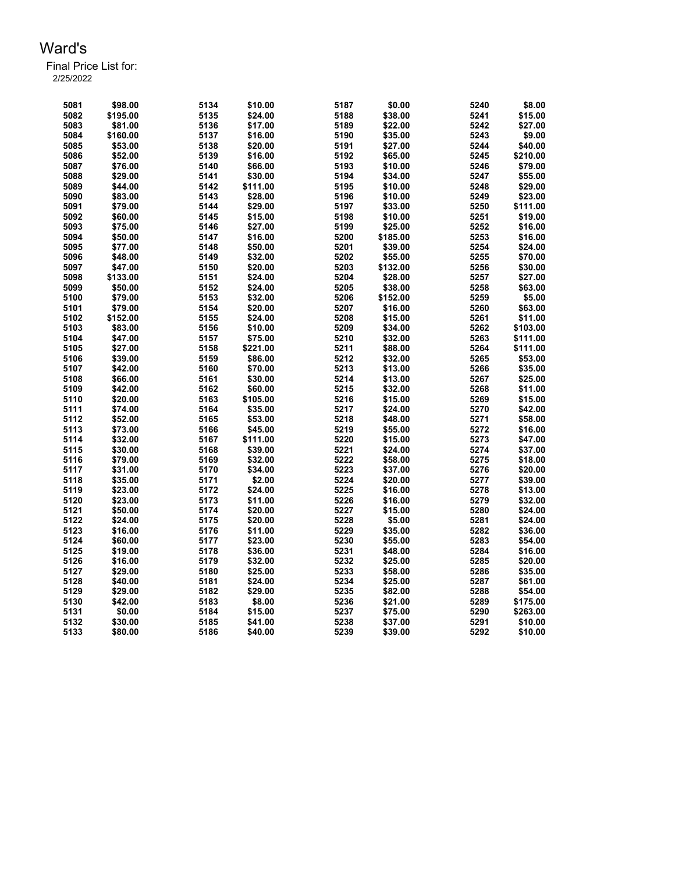| 5081 | \$98.00  | 5134 | \$10.00  | 5187 | \$0.00   | 5240 | \$8.00   |
|------|----------|------|----------|------|----------|------|----------|
| 5082 | \$195.00 | 5135 | \$24.00  | 5188 | \$38.00  | 5241 | \$15.00  |
| 5083 | \$81.00  | 5136 | \$17.00  | 5189 | \$22.00  | 5242 | \$27.00  |
| 5084 | \$160.00 | 5137 | \$16.00  | 5190 | \$35.00  | 5243 | \$9.00   |
| 5085 | \$53.00  | 5138 | \$20.00  | 5191 | \$27.00  | 5244 | \$40.00  |
| 5086 | \$52.00  | 5139 | \$16.00  | 5192 | \$65.00  | 5245 | \$210.00 |
| 5087 | \$76.00  | 5140 | \$66.00  | 5193 | \$10.00  | 5246 | \$79.00  |
| 5088 | \$29.00  | 5141 | \$30.00  | 5194 | \$34.00  | 5247 | \$55.00  |
| 5089 | \$44.00  | 5142 | \$111.00 | 5195 | \$10.00  | 5248 | \$29.00  |
| 5090 | \$83.00  | 5143 | \$28.00  | 5196 | \$10.00  | 5249 | \$23.00  |
| 5091 | \$79.00  | 5144 | \$29.00  | 5197 | \$33.00  | 5250 | \$111.00 |
| 5092 | \$60.00  | 5145 | \$15.00  | 5198 | \$10.00  | 5251 | \$19.00  |
| 5093 | \$75.00  | 5146 | \$27.00  | 5199 | \$25.00  | 5252 | \$16.00  |
| 5094 | \$50.00  | 5147 | \$16.00  | 5200 | \$185.00 | 5253 | \$16.00  |
| 5095 | \$77.00  | 5148 | \$50.00  | 5201 | \$39.00  | 5254 | \$24.00  |
| 5096 | \$48.00  | 5149 | \$32.00  | 5202 | \$55.00  | 5255 | \$70.00  |
| 5097 | \$47.00  | 5150 | \$20.00  | 5203 | \$132.00 | 5256 | \$30.00  |
| 5098 | \$133.00 | 5151 | \$24.00  | 5204 | \$28.00  | 5257 | \$27.00  |
| 5099 | \$50.00  | 5152 | \$24.00  | 5205 | \$38.00  | 5258 | \$63.00  |
| 5100 | \$79.00  | 5153 | \$32.00  | 5206 | \$152.00 | 5259 | \$5.00   |
| 5101 | \$79.00  | 5154 | \$20.00  | 5207 | \$16.00  | 5260 | \$63.00  |
| 5102 | \$152.00 | 5155 | \$24.00  | 5208 | \$15.00  | 5261 | \$11.00  |
| 5103 | \$83.00  | 5156 | \$10.00  | 5209 | \$34.00  | 5262 | \$103.00 |
| 5104 | \$47.00  | 5157 | \$75.00  | 5210 | \$32.00  | 5263 | \$111.00 |
| 5105 | \$27.00  | 5158 | \$221.00 | 5211 | \$88.00  | 5264 | \$111.00 |
| 5106 | \$39.00  | 5159 | \$86.00  | 5212 | \$32.00  | 5265 | \$53.00  |
| 5107 | \$42.00  | 5160 | \$70.00  | 5213 | \$13.00  | 5266 | \$35.00  |
| 5108 | \$66.00  | 5161 | \$30.00  | 5214 | \$13.00  | 5267 | \$25.00  |
| 5109 | \$42.00  | 5162 | \$60.00  | 5215 | \$32.00  | 5268 | \$11.00  |
| 5110 | \$20.00  | 5163 | \$105.00 | 5216 | \$15.00  | 5269 | \$15.00  |
| 5111 | \$74.00  | 5164 | \$35.00  | 5217 | \$24.00  | 5270 | \$42.00  |
| 5112 | \$52.00  | 5165 | \$53.00  | 5218 | \$48.00  | 5271 | \$58.00  |
| 5113 | \$73.00  | 5166 | \$45.00  | 5219 | \$55.00  | 5272 | \$16.00  |
| 5114 | \$32.00  | 5167 | \$111.00 | 5220 | \$15.00  | 5273 | \$47.00  |
| 5115 | \$30.00  | 5168 | \$39.00  | 5221 | \$24.00  | 5274 | \$37.00  |
| 5116 | \$79.00  | 5169 | \$32.00  | 5222 | \$58.00  | 5275 | \$18.00  |
| 5117 | \$31.00  | 5170 | \$34.00  | 5223 | \$37.00  | 5276 | \$20.00  |
| 5118 | \$35.00  | 5171 | \$2.00   | 5224 | \$20.00  | 5277 | \$39.00  |
| 5119 | \$23.00  | 5172 | \$24.00  | 5225 | \$16.00  | 5278 | \$13.00  |
| 5120 | \$23.00  | 5173 | \$11.00  | 5226 | \$16.00  | 5279 | \$32.00  |
| 5121 | \$50.00  | 5174 | \$20.00  | 5227 | \$15.00  | 5280 | \$24.00  |
| 5122 | \$24.00  | 5175 | \$20.00  | 5228 | \$5.00   | 5281 | \$24.00  |
| 5123 | \$16.00  | 5176 | \$11.00  | 5229 | \$35.00  | 5282 | \$36.00  |
| 5124 | \$60.00  | 5177 | \$23.00  | 5230 | \$55.00  | 5283 | \$54.00  |
| 5125 | \$19.00  | 5178 | \$36.00  | 5231 | \$48.00  | 5284 | \$16.00  |
| 5126 | \$16.00  | 5179 | \$32.00  | 5232 | \$25.00  | 5285 | \$20.00  |
| 5127 | \$29.00  | 5180 | \$25.00  | 5233 | \$58.00  | 5286 | \$35.00  |
| 5128 | \$40.00  | 5181 | \$24.00  | 5234 | \$25.00  | 5287 | \$61.00  |
| 5129 | \$29.00  | 5182 | \$29.00  | 5235 | \$82.00  | 5288 | \$54.00  |
| 5130 | \$42.00  | 5183 | \$8.00   | 5236 | \$21.00  | 5289 | \$175.00 |
| 5131 | \$0.00   | 5184 | \$15.00  | 5237 | \$75.00  | 5290 | \$263.00 |
| 5132 | \$30.00  | 5185 | \$41.00  | 5238 | \$37.00  | 5291 | \$10.00  |
| 5133 | \$80.00  | 5186 | \$40.00  | 5239 | \$39.00  | 5292 | \$10.00  |
|      |          |      |          |      |          |      |          |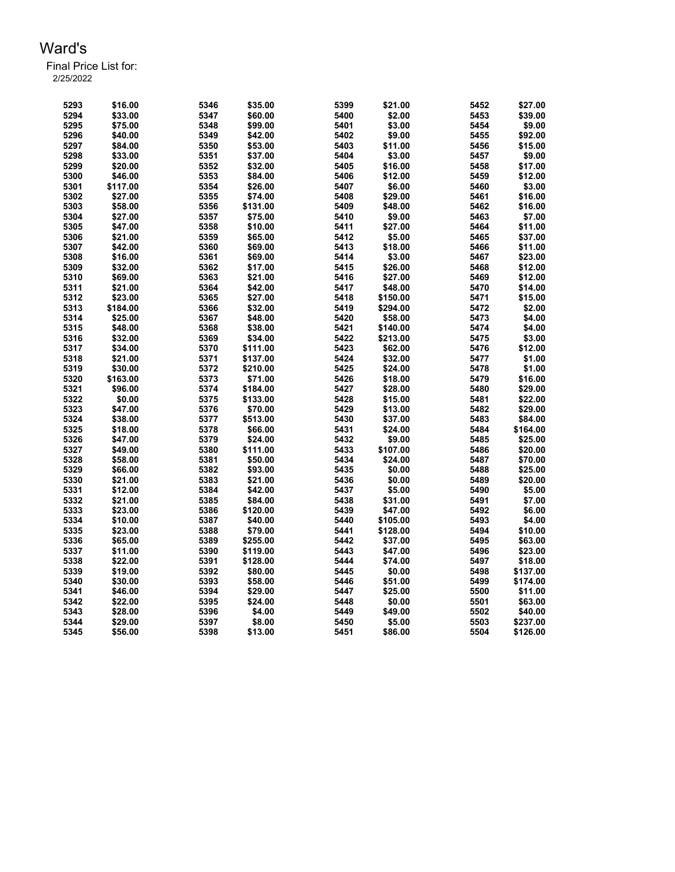| 5293 | \$16.00  | 5346 | \$35.00  | 5399 | \$21.00  | 5452 | \$27.00  |
|------|----------|------|----------|------|----------|------|----------|
| 5294 | \$33.00  | 5347 | \$60.00  | 5400 | \$2.00   | 5453 | \$39.00  |
| 5295 | \$75.00  | 5348 | \$99.00  | 5401 | \$3.00   | 5454 | \$9.00   |
| 5296 | \$40.00  | 5349 | \$42.00  | 5402 | \$9.00   | 5455 | \$92.00  |
| 5297 | \$84.00  | 5350 | \$53.00  | 5403 | \$11.00  | 5456 | \$15.00  |
| 5298 | \$33.00  | 5351 | \$37.00  | 5404 | \$3.00   | 5457 | \$9.00   |
| 5299 | \$20.00  | 5352 | \$32.00  | 5405 | \$16.00  | 5458 | \$17.00  |
| 5300 | \$46.00  | 5353 | \$84.00  | 5406 | \$12.00  | 5459 | \$12.00  |
| 5301 | \$117.00 | 5354 | \$26.00  | 5407 | \$6.00   | 5460 | \$3.00   |
| 5302 | \$27.00  | 5355 | \$74.00  | 5408 | \$29.00  | 5461 | \$16.00  |
| 5303 | \$58.00  | 5356 | \$131.00 | 5409 | \$48.00  | 5462 | \$16.00  |
| 5304 | \$27.00  | 5357 | \$75.00  | 5410 | \$9.00   | 5463 | \$7.00   |
| 5305 | \$47.00  | 5358 | \$10.00  | 5411 | \$27.00  | 5464 | \$11.00  |
| 5306 | \$21.00  | 5359 | \$65.00  | 5412 | \$5.00   | 5465 | \$37.00  |
| 5307 | \$42.00  | 5360 | \$69.00  | 5413 | \$18.00  | 5466 | \$11.00  |
| 5308 | \$16.00  | 5361 | \$69.00  | 5414 | \$3.00   | 5467 | \$23.00  |
|      |          |      |          | 5415 | \$26.00  |      | \$12.00  |
| 5309 | \$32.00  | 5362 | \$17.00  |      |          | 5468 |          |
| 5310 | \$69.00  | 5363 | \$21.00  | 5416 | \$27.00  | 5469 | \$12.00  |
| 5311 | \$21.00  | 5364 | \$42.00  | 5417 | \$48.00  | 5470 | \$14.00  |
| 5312 | \$23.00  | 5365 | \$27.00  | 5418 | \$150.00 | 5471 | \$15.00  |
| 5313 | \$184.00 | 5366 | \$32.00  | 5419 | \$294.00 | 5472 | \$2.00   |
| 5314 | \$25.00  | 5367 | \$48.00  | 5420 | \$58.00  | 5473 | \$4.00   |
| 5315 | \$48.00  | 5368 | \$38.00  | 5421 | \$140.00 | 5474 | \$4.00   |
| 5316 | \$32.00  | 5369 | \$34.00  | 5422 | \$213.00 | 5475 | \$3.00   |
| 5317 | \$34.00  | 5370 | \$111.00 | 5423 | \$62.00  | 5476 | \$12.00  |
| 5318 | \$21.00  | 5371 | \$137.00 | 5424 | \$32.00  | 5477 | \$1.00   |
| 5319 | \$30.00  | 5372 | \$210.00 | 5425 | \$24.00  | 5478 | \$1.00   |
| 5320 | \$163.00 | 5373 | \$71.00  | 5426 | \$18.00  | 5479 | \$16.00  |
| 5321 | \$96.00  | 5374 | \$184.00 | 5427 | \$28.00  | 5480 | \$29.00  |
| 5322 | \$0.00   | 5375 | \$133.00 | 5428 | \$15.00  | 5481 | \$22.00  |
| 5323 | \$47.00  | 5376 | \$70.00  | 5429 | \$13.00  | 5482 | \$29.00  |
| 5324 | \$38.00  | 5377 | \$513.00 | 5430 | \$37.00  | 5483 | \$84.00  |
| 5325 | \$18.00  | 5378 | \$66.00  | 5431 | \$24.00  | 5484 | \$164.00 |
| 5326 | \$47.00  | 5379 | \$24.00  | 5432 | \$9.00   | 5485 | \$25.00  |
| 5327 | \$49.00  | 5380 | \$111.00 | 5433 | \$107.00 | 5486 | \$20.00  |
| 5328 | \$58.00  | 5381 | \$50.00  | 5434 | \$24.00  | 5487 | \$70.00  |
| 5329 | \$66.00  | 5382 | \$93.00  | 5435 | \$0.00   | 5488 | \$25.00  |
| 5330 | \$21.00  | 5383 | \$21.00  | 5436 | \$0.00   | 5489 | \$20.00  |
| 5331 | \$12.00  | 5384 | \$42.00  | 5437 | \$5.00   | 5490 | \$5.00   |
| 5332 | \$21.00  | 5385 | \$84.00  | 5438 | \$31.00  | 5491 | \$7.00   |
| 5333 | \$23.00  | 5386 | \$120.00 | 5439 | \$47.00  | 5492 | \$6.00   |
| 5334 | \$10.00  | 5387 | \$40.00  | 5440 | \$105.00 | 5493 | \$4.00   |
| 5335 | \$23.00  | 5388 | \$79.00  | 5441 | \$128.00 | 5494 | \$10.00  |
| 5336 | \$65.00  | 5389 | \$255.00 | 5442 | \$37.00  | 5495 | \$63.00  |
| 5337 | \$11.00  | 5390 |          | 5443 |          | 5496 |          |
|      |          |      | \$119.00 |      | \$47.00  |      | \$23.00  |
| 5338 | \$22.00  | 5391 | \$128.00 | 5444 | \$74.00  | 5497 | \$18.00  |
| 5339 | \$19.00  | 5392 | \$80.00  | 5445 | \$0.00   | 5498 | \$137.00 |
| 5340 | \$30.00  | 5393 | \$58.00  | 5446 | \$51.00  | 5499 | \$174.00 |
| 5341 | \$46.00  | 5394 | \$29.00  | 5447 | \$25.00  | 5500 | \$11.00  |
| 5342 | \$22.00  | 5395 | \$24.00  | 5448 | \$0.00   | 5501 | \$63.00  |
| 5343 | \$28.00  | 5396 | \$4.00   | 5449 | \$49.00  | 5502 | \$40.00  |
| 5344 | \$29.00  | 5397 | \$8.00   | 5450 | \$5.00   | 5503 | \$237.00 |
| 5345 | \$56.00  | 5398 | \$13.00  | 5451 | \$86.00  | 5504 | \$126.00 |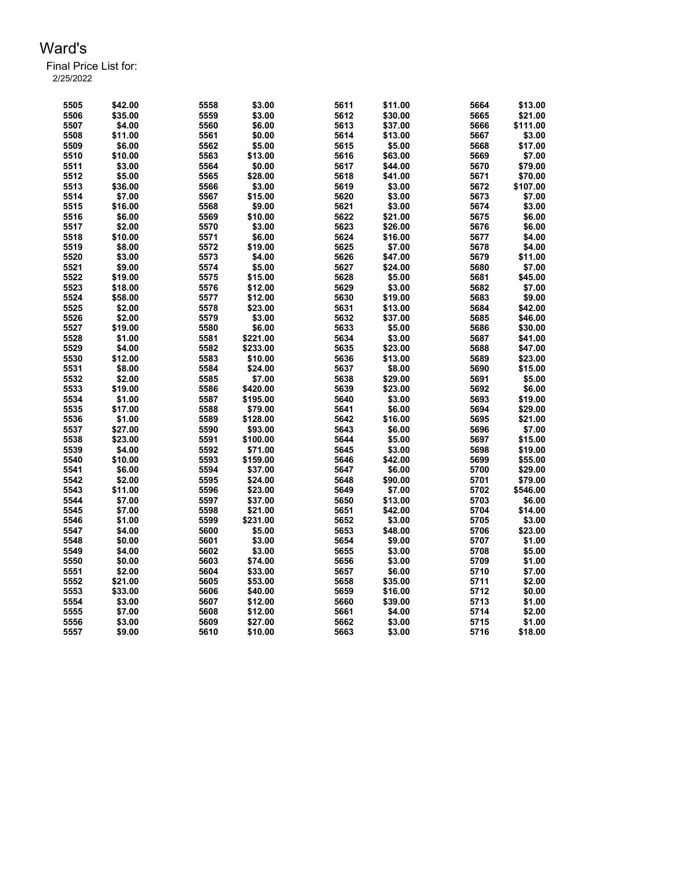| 5505 | \$42.00 | 5558 | \$3.00   | 5611 | \$11.00 | 5664 | \$13.00  |
|------|---------|------|----------|------|---------|------|----------|
| 5506 | \$35.00 | 5559 | \$3.00   | 5612 | \$30.00 | 5665 | \$21.00  |
| 5507 | \$4.00  | 5560 | \$6.00   | 5613 | \$37.00 | 5666 | \$111.00 |
| 5508 | \$11.00 | 5561 | \$0.00   | 5614 | \$13.00 | 5667 | \$3.00   |
| 5509 | \$6.00  | 5562 | \$5.00   | 5615 | \$5.00  | 5668 | \$17.00  |
| 5510 | \$10.00 | 5563 | \$13.00  | 5616 | \$63.00 | 5669 | \$7.00   |
| 5511 | \$3.00  | 5564 | \$0.00   | 5617 | \$44.00 | 5670 | \$79.00  |
| 5512 | \$5.00  | 5565 | \$28.00  | 5618 | \$41.00 | 5671 | \$70.00  |
| 5513 | \$36.00 | 5566 | \$3.00   | 5619 | \$3.00  | 5672 | \$107.00 |
| 5514 | \$7.00  | 5567 | \$15.00  | 5620 | \$3.00  | 5673 | \$7.00   |
| 5515 | \$16.00 | 5568 | \$9.00   | 5621 | \$3.00  | 5674 | \$3.00   |
| 5516 | \$6.00  | 5569 | \$10.00  | 5622 | \$21.00 | 5675 | \$6.00   |
| 5517 | \$2.00  | 5570 | \$3.00   | 5623 | \$26.00 | 5676 | \$6.00   |
| 5518 | \$10.00 | 5571 | \$6.00   | 5624 | \$16.00 | 5677 | \$4.00   |
| 5519 | \$8.00  | 5572 | \$19.00  | 5625 | \$7.00  | 5678 | \$4.00   |
| 5520 | \$3.00  | 5573 | \$4.00   | 5626 | \$47.00 | 5679 | \$11.00  |
| 5521 | \$9.00  | 5574 | \$5.00   | 5627 | \$24.00 | 5680 | \$7.00   |
| 5522 | \$19.00 | 5575 | \$15.00  | 5628 | \$5.00  | 5681 | \$45.00  |
| 5523 | \$18.00 | 5576 | \$12.00  | 5629 | \$3.00  | 5682 | \$7.00   |
| 5524 | \$58.00 | 5577 | \$12.00  | 5630 | \$19.00 | 5683 | \$9.00   |
| 5525 | \$2.00  | 5578 | \$23.00  | 5631 | \$13.00 | 5684 | \$42.00  |
| 5526 | \$2.00  | 5579 | \$3.00   | 5632 | \$37.00 | 5685 | \$46.00  |
|      |         |      |          | 5633 |         |      |          |
| 5527 | \$19.00 | 5580 | \$6.00   |      | \$5.00  | 5686 | \$30.00  |
| 5528 | \$1.00  | 5581 | \$221.00 | 5634 | \$3.00  | 5687 | \$41.00  |
| 5529 | \$4.00  | 5582 | \$233.00 | 5635 | \$23.00 | 5688 | \$47.00  |
| 5530 | \$12.00 | 5583 | \$10.00  | 5636 | \$13.00 | 5689 | \$23.00  |
| 5531 | \$8.00  | 5584 | \$24.00  | 5637 | \$8.00  | 5690 | \$15.00  |
| 5532 | \$2.00  | 5585 | \$7.00   | 5638 | \$29.00 | 5691 | \$5.00   |
| 5533 | \$19.00 | 5586 | \$420.00 | 5639 | \$23.00 | 5692 | \$6.00   |
| 5534 | \$1.00  | 5587 | \$195.00 | 5640 | \$3.00  | 5693 | \$19.00  |
| 5535 | \$17.00 | 5588 | \$79.00  | 5641 | \$6.00  | 5694 | \$29.00  |
| 5536 | \$1.00  | 5589 | \$128.00 | 5642 | \$16.00 | 5695 | \$21.00  |
| 5537 | \$27.00 | 5590 | \$93.00  | 5643 | \$6.00  | 5696 | \$7.00   |
| 5538 | \$23.00 | 5591 | \$100.00 | 5644 | \$5.00  | 5697 | \$15.00  |
| 5539 | \$4.00  | 5592 | \$71.00  | 5645 | \$3.00  | 5698 | \$19.00  |
| 5540 | \$10.00 | 5593 | \$159.00 | 5646 | \$42.00 | 5699 | \$55.00  |
| 5541 | \$6.00  | 5594 | \$37.00  | 5647 | \$6.00  | 5700 | \$29.00  |
| 5542 | \$2.00  | 5595 | \$24.00  | 5648 | \$90.00 | 5701 | \$79.00  |
| 5543 | \$11.00 | 5596 | \$23.00  | 5649 | \$7.00  | 5702 | \$546.00 |
| 5544 | \$7.00  | 5597 | \$37.00  | 5650 | \$13.00 | 5703 | \$6.00   |
| 5545 | \$7.00  | 5598 | \$21.00  | 5651 | \$42.00 | 5704 | \$14.00  |
| 5546 | \$1.00  | 5599 | \$231.00 | 5652 | \$3.00  | 5705 | \$3.00   |
| 5547 | \$4.00  | 5600 | \$5.00   | 5653 | \$48.00 | 5706 | \$23.00  |
| 5548 | \$0.00  | 5601 | \$3.00   | 5654 | \$9.00  | 5707 | \$1.00   |
| 5549 | \$4.00  | 5602 | \$3.00   | 5655 | \$3.00  | 5708 | \$5.00   |
| 5550 | \$0.00  | 5603 | \$74.00  | 5656 | \$3.00  | 5709 | \$1.00   |
| 5551 | \$2.00  | 5604 | \$33.00  | 5657 | \$6.00  | 5710 | \$7.00   |
| 5552 | \$21.00 | 5605 | \$53.00  | 5658 | \$35.00 | 5711 | \$2.00   |
| 5553 | \$33.00 | 5606 | \$40.00  | 5659 | \$16.00 | 5712 | \$0.00   |
| 5554 | \$3.00  | 5607 | \$12.00  | 5660 | \$39.00 | 5713 | \$1.00   |
| 5555 | \$7.00  | 5608 | \$12.00  | 5661 | \$4.00  | 5714 | \$2.00   |
| 5556 | \$3.00  | 5609 | \$27.00  | 5662 | \$3.00  | 5715 | \$1.00   |
|      |         |      |          |      |         |      |          |
| 5557 | \$9.00  | 5610 | \$10.00  | 5663 | \$3.00  | 5716 | \$18.00  |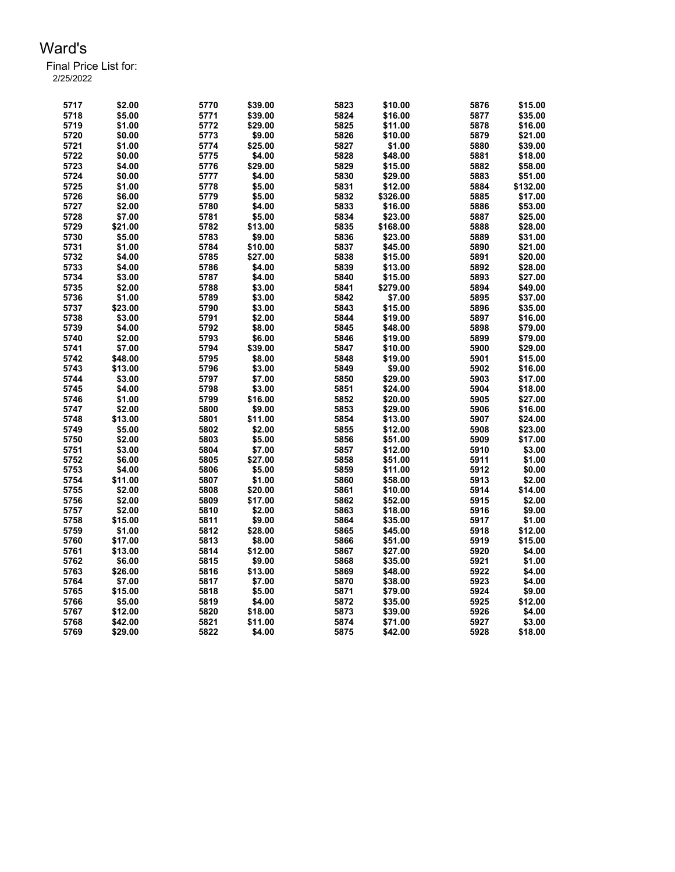| 5717 | \$2.00  | 5770 | \$39.00 | 5823 | \$10.00  | 5876         | \$15.00          |
|------|---------|------|---------|------|----------|--------------|------------------|
| 5718 | \$5.00  | 5771 | \$39.00 | 5824 | \$16.00  | 5877         | \$35.00          |
| 5719 | \$1.00  | 5772 | \$29.00 | 5825 | \$11.00  | 5878         | \$16.00          |
| 5720 | \$0.00  | 5773 | \$9.00  | 5826 | \$10.00  | 5879         | \$21.00          |
| 5721 | \$1.00  | 5774 | \$25.00 | 5827 | \$1.00   | 5880         | \$39.00          |
| 5722 | \$0.00  | 5775 | \$4.00  | 5828 | \$48.00  | 5881         | \$18.00          |
| 5723 | \$4.00  | 5776 | \$29.00 | 5829 | \$15.00  | 5882         | \$58.00          |
| 5724 | \$0.00  | 5777 | \$4.00  | 5830 | \$29.00  | 5883         | \$51.00          |
| 5725 | \$1.00  | 5778 | \$5.00  | 5831 | \$12.00  | 5884         | \$132.00         |
| 5726 | \$6.00  | 5779 | \$5.00  | 5832 | \$326.00 | 5885         | \$17.00          |
| 5727 | \$2.00  | 5780 | \$4.00  | 5833 | \$16.00  | 5886         | \$53.00          |
| 5728 | \$7.00  | 5781 | \$5.00  | 5834 | \$23.00  | 5887         | \$25.00          |
| 5729 | \$21.00 | 5782 | \$13.00 | 5835 | \$168.00 | 5888         | \$28.00          |
| 5730 | \$5.00  | 5783 | \$9.00  | 5836 | \$23.00  | 5889         | \$31.00          |
| 5731 | \$1.00  | 5784 | \$10.00 | 5837 | \$45.00  | 5890         | \$21.00          |
| 5732 | \$4.00  | 5785 | \$27.00 | 5838 | \$15.00  | 5891         | \$20.00          |
| 5733 | \$4.00  | 5786 | \$4.00  | 5839 | \$13.00  | 5892         | \$28.00          |
| 5734 | \$3.00  | 5787 | \$4.00  | 5840 | \$15.00  | 5893         | \$27.00          |
| 5735 | \$2.00  | 5788 | \$3.00  | 5841 | \$279.00 | 5894         | \$49.00          |
| 5736 | \$1.00  | 5789 | \$3.00  | 5842 | \$7.00   | 5895         | \$37.00          |
| 5737 | \$23.00 | 5790 | \$3.00  | 5843 | \$15.00  | 5896         | \$35.00          |
| 5738 | \$3.00  | 5791 | \$2.00  | 5844 | \$19.00  | 5897         | \$16.00          |
| 5739 | \$4.00  | 5792 | \$8.00  | 5845 | \$48.00  | 5898         | \$79.00          |
| 5740 | \$2.00  | 5793 | \$6.00  | 5846 | \$19.00  | 5899         | \$79.00          |
| 5741 | \$7.00  | 5794 | \$39.00 | 5847 | \$10.00  | 5900         | \$29.00          |
| 5742 | \$48.00 | 5795 | \$8.00  | 5848 | \$19.00  | 5901         | \$15.00          |
| 5743 | \$13.00 | 5796 | \$3.00  | 5849 | \$9.00   | 5902         | \$16.00          |
| 5744 | \$3.00  | 5797 | \$7.00  | 5850 | \$29.00  | 5903         | \$17.00          |
| 5745 | \$4.00  | 5798 | \$3.00  | 5851 | \$24.00  | 5904         | \$18.00          |
| 5746 | \$1.00  | 5799 | \$16.00 | 5852 | \$20.00  | 5905         | \$27.00          |
| 5747 | \$2.00  | 5800 | \$9.00  | 5853 | \$29.00  | 5906         | \$16.00          |
| 5748 | \$13.00 | 5801 | \$11.00 | 5854 | \$13.00  | 5907         | \$24.00          |
| 5749 | \$5.00  | 5802 | \$2.00  | 5855 | \$12.00  | 5908         | \$23.00          |
| 5750 | \$2.00  | 5803 | \$5.00  | 5856 | \$51.00  | 5909         | \$17.00          |
| 5751 | \$3.00  | 5804 | \$7.00  | 5857 | \$12.00  | 5910         | \$3.00           |
| 5752 | \$6.00  | 5805 | \$27.00 | 5858 | \$51.00  | 5911         | \$1.00           |
| 5753 | \$4.00  | 5806 | \$5.00  | 5859 | \$11.00  | 5912         | \$0.00           |
| 5754 | \$11.00 | 5807 | \$1.00  | 5860 | \$58.00  | 5913         | \$2.00           |
| 5755 | \$2.00  | 5808 | \$20.00 | 5861 | \$10.00  | 5914         | \$14.00          |
| 5756 | \$2.00  | 5809 | \$17.00 | 5862 | \$52.00  | 5915         | \$2.00           |
| 5757 | \$2.00  | 5810 | \$2.00  | 5863 | \$18.00  | 5916         | \$9.00           |
| 5758 | \$15.00 | 5811 | \$9.00  | 5864 | \$35.00  | 5917         | \$1.00           |
| 5759 | \$1.00  | 5812 | \$28.00 | 5865 | \$45.00  | 5918         | \$12.00          |
| 5760 | \$17.00 | 5813 | \$8.00  | 5866 | \$51.00  | 5919         | \$15.00          |
| 5761 | \$13.00 | 5814 | \$12.00 | 5867 | \$27.00  | 5920         | \$4.00           |
|      |         |      |         |      |          |              |                  |
| 5762 | \$6.00  | 5815 | \$9.00  | 5868 | \$35.00  | 5921<br>5922 | \$1.00<br>\$4.00 |
| 5763 | \$26.00 | 5816 | \$13.00 | 5869 | \$48.00  |              |                  |
| 5764 | \$7.00  | 5817 | \$7.00  | 5870 | \$38.00  | 5923         | \$4.00           |
| 5765 | \$15.00 | 5818 | \$5.00  | 5871 | \$79.00  | 5924         | \$9.00           |
| 5766 | \$5.00  | 5819 | \$4.00  | 5872 | \$35.00  | 5925         | \$12.00          |
| 5767 | \$12.00 | 5820 | \$18.00 | 5873 | \$39.00  | 5926         | \$4.00           |
| 5768 | \$42.00 | 5821 | \$11.00 | 5874 | \$71.00  | 5927         | \$3.00           |
| 5769 | \$29.00 | 5822 | \$4.00  | 5875 | \$42.00  | 5928         | \$18.00          |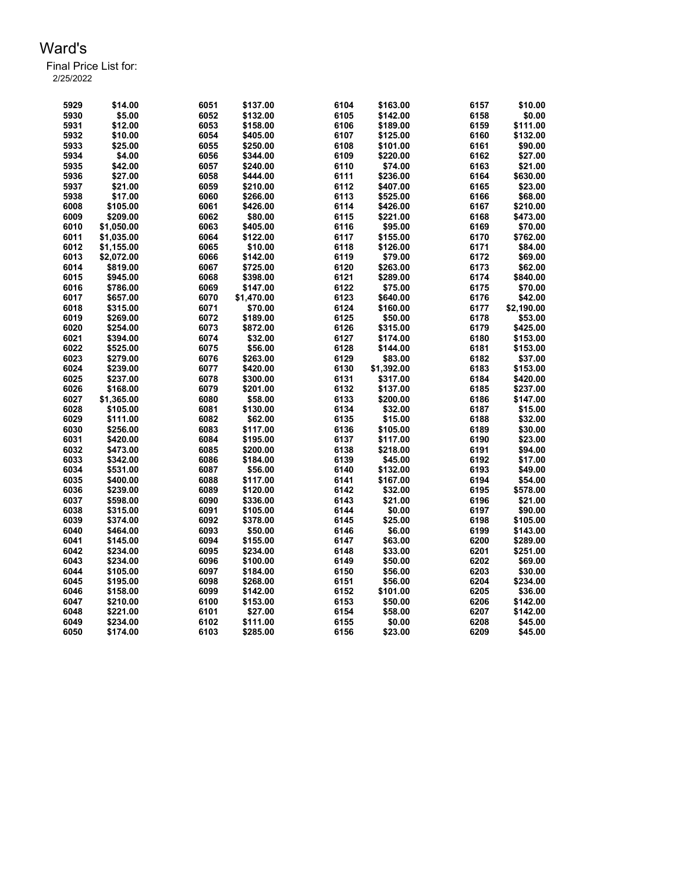| 5929 | \$14.00    | 6051 | \$137.00   | 6104 | \$163.00   | 6157 | \$10.00    |
|------|------------|------|------------|------|------------|------|------------|
| 5930 | \$5.00     | 6052 | \$132.00   | 6105 | \$142.00   | 6158 | \$0.00     |
| 5931 | \$12.00    | 6053 | \$158.00   | 6106 | \$189.00   | 6159 | \$111.00   |
| 5932 | \$10.00    | 6054 | \$405.00   | 6107 | \$125.00   | 6160 | \$132.00   |
| 5933 | \$25.00    | 6055 | \$250.00   | 6108 | \$101.00   | 6161 | \$90.00    |
| 5934 | \$4.00     | 6056 | \$344.00   | 6109 | \$220.00   | 6162 | \$27.00    |
| 5935 | \$42.00    | 6057 | \$240.00   | 6110 | \$74.00    | 6163 | \$21.00    |
| 5936 | \$27.00    | 6058 | \$444.00   | 6111 | \$236.00   | 6164 | \$630.00   |
| 5937 | \$21.00    | 6059 | \$210.00   | 6112 | \$407.00   | 6165 | \$23.00    |
| 5938 | \$17.00    | 6060 | \$266.00   | 6113 | \$525.00   | 6166 | \$68.00    |
| 6008 | \$105.00   | 6061 | \$426.00   | 6114 | \$426.00   | 6167 | \$210.00   |
| 6009 | \$209.00   | 6062 | \$80.00    | 6115 | \$221.00   | 6168 | \$473.00   |
| 6010 | \$1,050.00 | 6063 | \$405.00   | 6116 | \$95.00    | 6169 | \$70.00    |
| 6011 | \$1,035.00 | 6064 | \$122.00   | 6117 | \$155.00   | 6170 | \$762.00   |
| 6012 | \$1,155.00 | 6065 | \$10.00    | 6118 | \$126.00   | 6171 | \$84.00    |
| 6013 | \$2,072.00 | 6066 | \$142.00   | 6119 | \$79.00    | 6172 | \$69.00    |
| 6014 | \$819.00   | 6067 | \$725.00   | 6120 | \$263.00   | 6173 | \$62.00    |
| 6015 | \$945.00   | 6068 | \$398.00   | 6121 | \$289.00   | 6174 | \$840.00   |
| 6016 | \$786.00   | 6069 | \$147.00   | 6122 | \$75.00    | 6175 | \$70.00    |
|      |            |      |            | 6123 |            |      |            |
| 6017 | \$657.00   | 6070 | \$1,470.00 |      | \$640.00   | 6176 | \$42.00    |
| 6018 | \$315.00   | 6071 | \$70.00    | 6124 | \$160.00   | 6177 | \$2,190.00 |
| 6019 | \$269.00   | 6072 | \$189.00   | 6125 | \$50.00    | 6178 | \$53.00    |
| 6020 | \$254.00   | 6073 | \$872.00   | 6126 | \$315.00   | 6179 | \$425.00   |
| 6021 | \$394.00   | 6074 | \$32.00    | 6127 | \$174.00   | 6180 | \$153.00   |
| 6022 | \$525.00   | 6075 | \$56.00    | 6128 | \$144.00   | 6181 | \$153.00   |
| 6023 | \$279.00   | 6076 | \$263.00   | 6129 | \$83.00    | 6182 | \$37.00    |
| 6024 | \$239.00   | 6077 | \$420.00   | 6130 | \$1,392.00 | 6183 | \$153.00   |
| 6025 | \$237.00   | 6078 | \$300.00   | 6131 | \$317.00   | 6184 | \$420.00   |
| 6026 | \$168.00   | 6079 | \$201.00   | 6132 | \$137.00   | 6185 | \$237.00   |
| 6027 | \$1,365.00 | 6080 | \$58.00    | 6133 | \$200.00   | 6186 | \$147.00   |
| 6028 | \$105.00   | 6081 | \$130.00   | 6134 | \$32.00    | 6187 | \$15.00    |
| 6029 | \$111.00   | 6082 | \$62.00    | 6135 | \$15.00    | 6188 | \$32.00    |
| 6030 | \$256.00   | 6083 | \$117.00   | 6136 | \$105.00   | 6189 | \$30.00    |
| 6031 | \$420.00   | 6084 | \$195.00   | 6137 | \$117.00   | 6190 | \$23.00    |
| 6032 | \$473.00   | 6085 | \$200.00   | 6138 | \$218.00   | 6191 | \$94.00    |
| 6033 | \$342.00   | 6086 | \$184.00   | 6139 | \$45.00    | 6192 | \$17.00    |
| 6034 | \$531.00   | 6087 | \$56.00    | 6140 | \$132.00   | 6193 | \$49.00    |
| 6035 | \$400.00   | 6088 | \$117.00   | 6141 | \$167.00   | 6194 | \$54.00    |
| 6036 | \$239.00   | 6089 | \$120.00   | 6142 | \$32.00    | 6195 | \$578.00   |
| 6037 | \$598.00   | 6090 | \$336.00   | 6143 | \$21.00    | 6196 | \$21.00    |
| 6038 | \$315.00   | 6091 | \$105.00   | 6144 | \$0.00     | 6197 | \$90.00    |
| 6039 | \$374.00   | 6092 | \$378.00   | 6145 | \$25.00    | 6198 | \$105.00   |
| 6040 | \$464.00   | 6093 | \$50.00    | 6146 | \$6.00     | 6199 | \$143.00   |
| 6041 | \$145.00   | 6094 | \$155.00   | 6147 | \$63.00    | 6200 | \$289.00   |
| 6042 | \$234.00   | 6095 | \$234.00   | 6148 | \$33.00    | 6201 | \$251.00   |
| 6043 | \$234.00   | 6096 | \$100.00   | 6149 | \$50.00    | 6202 | \$69.00    |
| 6044 | \$105.00   | 6097 | \$184.00   | 6150 | \$56.00    | 6203 | \$30.00    |
| 6045 | \$195.00   | 6098 | \$268.00   | 6151 | \$56.00    | 6204 | \$234.00   |
| 6046 | \$158.00   | 6099 | \$142.00   | 6152 | \$101.00   | 6205 | \$36.00    |
| 6047 | \$210.00   | 6100 | \$153.00   | 6153 | \$50.00    | 6206 | \$142.00   |
| 6048 | \$221.00   | 6101 | \$27.00    | 6154 | \$58.00    | 6207 | \$142.00   |
| 6049 | \$234.00   | 6102 | \$111.00   | 6155 | \$0.00     | 6208 | \$45.00    |
| 6050 | \$174.00   | 6103 | \$285.00   | 6156 | \$23.00    | 6209 | \$45.00    |
|      |            |      |            |      |            |      |            |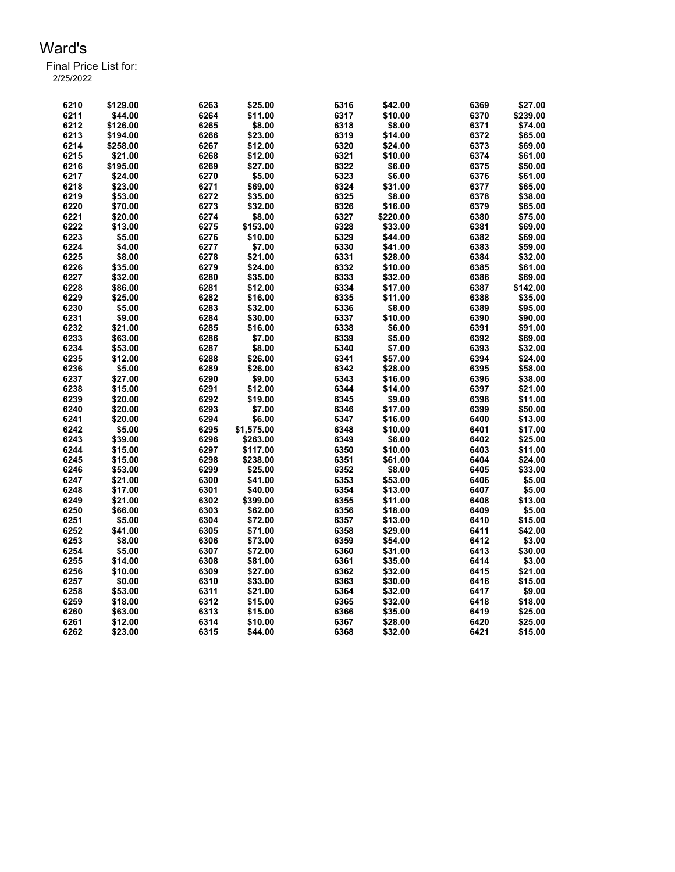| 6210 | \$129.00 | 6263 | \$25.00    | 6316 | \$42.00  | 6369 | \$27.00  |
|------|----------|------|------------|------|----------|------|----------|
| 6211 | \$44.00  | 6264 | \$11.00    | 6317 | \$10.00  | 6370 | \$239.00 |
| 6212 | \$126.00 | 6265 | \$8.00     | 6318 | \$8.00   | 6371 | \$74.00  |
| 6213 | \$194.00 | 6266 | \$23.00    | 6319 | \$14.00  | 6372 | \$65.00  |
| 6214 | \$258.00 | 6267 | \$12.00    | 6320 | \$24.00  | 6373 | \$69.00  |
| 6215 | \$21.00  | 6268 | \$12.00    | 6321 | \$10.00  | 6374 | \$61.00  |
| 6216 | \$195.00 | 6269 | \$27.00    | 6322 | \$6.00   | 6375 | \$50.00  |
| 6217 | \$24.00  | 6270 | \$5.00     | 6323 | \$6.00   | 6376 | \$61.00  |
| 6218 | \$23.00  | 6271 | \$69.00    | 6324 | \$31.00  | 6377 | \$65.00  |
| 6219 | \$53.00  | 6272 | \$35.00    | 6325 | \$8.00   | 6378 | \$38.00  |
| 6220 | \$70.00  | 6273 | \$32.00    | 6326 | \$16.00  | 6379 | \$65.00  |
| 6221 | \$20.00  | 6274 | \$8.00     | 6327 | \$220.00 | 6380 | \$75.00  |
| 6222 | \$13.00  | 6275 | \$153.00   | 6328 | \$33.00  | 6381 | \$69.00  |
| 6223 | \$5.00   | 6276 | \$10.00    | 6329 | \$44.00  | 6382 | \$69.00  |
| 6224 | \$4.00   | 6277 | \$7.00     | 6330 | \$41.00  | 6383 | \$59.00  |
| 6225 | \$8.00   | 6278 | \$21.00    | 6331 | \$28.00  | 6384 | \$32.00  |
| 6226 | \$35.00  | 6279 | \$24.00    | 6332 | \$10.00  | 6385 | \$61.00  |
| 6227 |          | 6280 |            | 6333 |          | 6386 |          |
|      | \$32.00  |      | \$35.00    |      | \$32.00  |      | \$69.00  |
| 6228 | \$86.00  | 6281 | \$12.00    | 6334 | \$17.00  | 6387 | \$142.00 |
| 6229 | \$25.00  | 6282 | \$16.00    | 6335 | \$11.00  | 6388 | \$35.00  |
| 6230 | \$5.00   | 6283 | \$32.00    | 6336 | \$8.00   | 6389 | \$95.00  |
| 6231 | \$9.00   | 6284 | \$30.00    | 6337 | \$10.00  | 6390 | \$90.00  |
| 6232 | \$21.00  | 6285 | \$16.00    | 6338 | \$6.00   | 6391 | \$91.00  |
| 6233 | \$63.00  | 6286 | \$7.00     | 6339 | \$5.00   | 6392 | \$69.00  |
| 6234 | \$53.00  | 6287 | \$8.00     | 6340 | \$7.00   | 6393 | \$32.00  |
| 6235 | \$12.00  | 6288 | \$26.00    | 6341 | \$57.00  | 6394 | \$24.00  |
| 6236 | \$5.00   | 6289 | \$26.00    | 6342 | \$28.00  | 6395 | \$58.00  |
| 6237 | \$27.00  | 6290 | \$9.00     | 6343 | \$16.00  | 6396 | \$38.00  |
| 6238 | \$15.00  | 6291 | \$12.00    | 6344 | \$14.00  | 6397 | \$21.00  |
| 6239 | \$20.00  | 6292 | \$19.00    | 6345 | \$9.00   | 6398 | \$11.00  |
| 6240 | \$20.00  | 6293 | \$7.00     | 6346 | \$17.00  | 6399 | \$50.00  |
| 6241 | \$20.00  | 6294 | \$6.00     | 6347 | \$16.00  | 6400 | \$13.00  |
| 6242 | \$5.00   | 6295 | \$1,575.00 | 6348 | \$10.00  | 6401 | \$17.00  |
| 6243 | \$39.00  | 6296 | \$263.00   | 6349 | \$6.00   | 6402 | \$25.00  |
| 6244 | \$15.00  | 6297 | \$117.00   | 6350 | \$10.00  | 6403 | \$11.00  |
| 6245 | \$15.00  | 6298 | \$238.00   | 6351 | \$61.00  | 6404 | \$24.00  |
| 6246 | \$53.00  | 6299 | \$25.00    | 6352 | \$8.00   | 6405 | \$33.00  |
| 6247 | \$21.00  | 6300 | \$41.00    | 6353 | \$53.00  | 6406 | \$5.00   |
| 6248 | \$17.00  | 6301 | \$40.00    | 6354 | \$13.00  | 6407 | \$5.00   |
| 6249 | \$21.00  | 6302 | \$399.00   | 6355 | \$11.00  | 6408 | \$13.00  |
| 6250 | \$66.00  | 6303 | \$62.00    | 6356 | \$18.00  | 6409 | \$5.00   |
| 6251 | \$5.00   | 6304 | \$72.00    | 6357 | \$13.00  | 6410 | \$15.00  |
| 6252 | \$41.00  | 6305 | \$71.00    | 6358 | \$29.00  | 6411 | \$42.00  |
| 6253 | \$8.00   | 6306 | \$73.00    | 6359 | \$54.00  | 6412 | \$3.00   |
| 6254 | \$5.00   | 6307 | \$72.00    | 6360 | \$31.00  | 6413 | \$30.00  |
| 6255 | \$14.00  | 6308 | \$81.00    | 6361 | \$35.00  | 6414 | \$3.00   |
| 6256 | \$10.00  | 6309 | \$27.00    | 6362 | \$32.00  | 6415 | \$21.00  |
| 6257 | \$0.00   | 6310 | \$33.00    | 6363 | \$30.00  | 6416 | \$15.00  |
| 6258 | \$53.00  | 6311 | \$21.00    | 6364 | \$32.00  | 6417 | \$9.00   |
| 6259 | \$18.00  | 6312 | \$15.00    | 6365 | \$32.00  | 6418 | \$18.00  |
| 6260 | \$63.00  | 6313 | \$15.00    | 6366 | \$35.00  | 6419 | \$25.00  |
|      |          |      | \$10.00    |      |          |      |          |
| 6261 | \$12.00  | 6314 |            | 6367 | \$28.00  | 6420 | \$25.00  |
| 6262 | \$23.00  | 6315 | \$44.00    | 6368 | \$32.00  | 6421 | \$15.00  |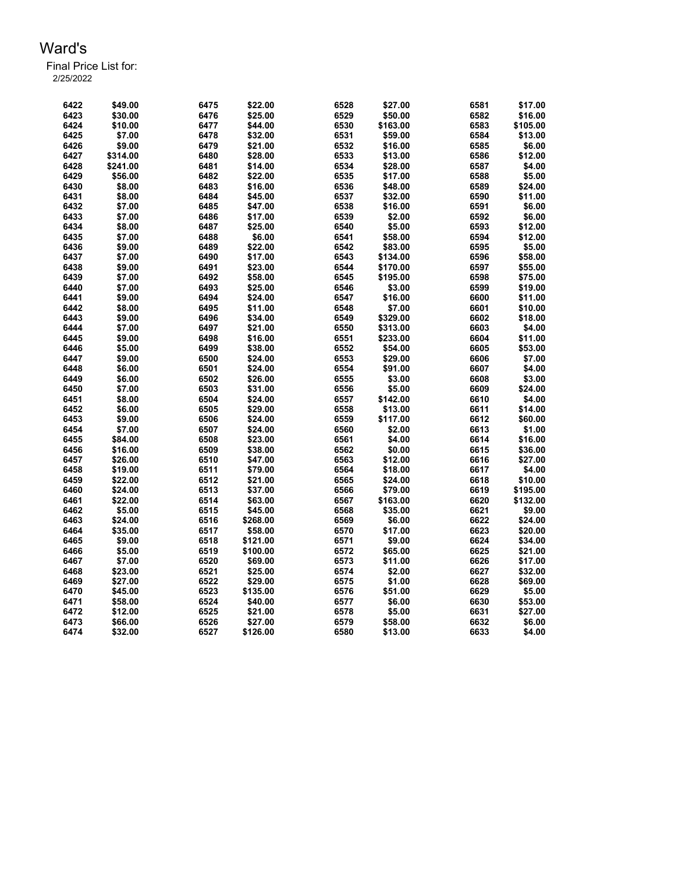| 6422 | \$49.00  | 6475 | \$22.00  | 6528 | \$27.00  | 6581 | \$17.00  |
|------|----------|------|----------|------|----------|------|----------|
| 6423 | \$30.00  | 6476 | \$25.00  | 6529 | \$50.00  | 6582 | \$16.00  |
| 6424 | \$10.00  | 6477 | \$44.00  | 6530 | \$163.00 | 6583 | \$105.00 |
| 6425 | \$7.00   | 6478 | \$32.00  | 6531 | \$59.00  | 6584 | \$13.00  |
| 6426 | \$9.00   | 6479 | \$21.00  | 6532 | \$16.00  | 6585 | \$6.00   |
| 6427 | \$314.00 | 6480 | \$28.00  | 6533 | \$13.00  | 6586 | \$12.00  |
| 6428 | \$241.00 | 6481 | \$14.00  | 6534 | \$28.00  | 6587 | \$4.00   |
| 6429 | \$56.00  | 6482 | \$22.00  | 6535 | \$17.00  | 6588 | \$5.00   |
| 6430 | \$8.00   | 6483 | \$16.00  | 6536 | \$48.00  | 6589 | \$24.00  |
| 6431 | \$8.00   | 6484 | \$45.00  | 6537 | \$32.00  | 6590 | \$11.00  |
| 6432 | \$7.00   | 6485 | \$47.00  | 6538 | \$16.00  | 6591 | \$6.00   |
| 6433 | \$7.00   | 6486 | \$17.00  | 6539 | \$2.00   | 6592 | \$6.00   |
| 6434 | \$8.00   | 6487 | \$25.00  | 6540 | \$5.00   | 6593 | \$12.00  |
| 6435 | \$7.00   | 6488 | \$6.00   | 6541 | \$58.00  | 6594 | \$12.00  |
| 6436 | \$9.00   | 6489 | \$22.00  | 6542 | \$83.00  | 6595 | \$5.00   |
| 6437 | \$7.00   | 6490 | \$17.00  | 6543 | \$134.00 | 6596 | \$58.00  |
| 6438 | \$9.00   | 6491 | \$23.00  | 6544 | \$170.00 | 6597 | \$55.00  |
| 6439 | \$7.00   | 6492 |          | 6545 | \$195.00 | 6598 | \$75.00  |
|      |          |      | \$58.00  |      |          |      |          |
| 6440 | \$7.00   | 6493 | \$25.00  | 6546 | \$3.00   | 6599 | \$19.00  |
| 6441 | \$9.00   | 6494 | \$24.00  | 6547 | \$16.00  | 6600 | \$11.00  |
| 6442 | \$8.00   | 6495 | \$11.00  | 6548 | \$7.00   | 6601 | \$10.00  |
| 6443 | \$9.00   | 6496 | \$34.00  | 6549 | \$329.00 | 6602 | \$18.00  |
| 6444 | \$7.00   | 6497 | \$21.00  | 6550 | \$313.00 | 6603 | \$4.00   |
| 6445 | \$9.00   | 6498 | \$16.00  | 6551 | \$233.00 | 6604 | \$11.00  |
| 6446 | \$5.00   | 6499 | \$38.00  | 6552 | \$54.00  | 6605 | \$53.00  |
| 6447 | \$9.00   | 6500 | \$24.00  | 6553 | \$29.00  | 6606 | \$7.00   |
| 6448 | \$6.00   | 6501 | \$24.00  | 6554 | \$91.00  | 6607 | \$4.00   |
| 6449 | \$6.00   | 6502 | \$26.00  | 6555 | \$3.00   | 6608 | \$3.00   |
| 6450 | \$7.00   | 6503 | \$31.00  | 6556 | \$5.00   | 6609 | \$24.00  |
| 6451 | \$8.00   | 6504 | \$24.00  | 6557 | \$142.00 | 6610 | \$4.00   |
| 6452 | \$6.00   | 6505 | \$29.00  | 6558 | \$13.00  | 6611 | \$14.00  |
| 6453 | \$9.00   | 6506 | \$24.00  | 6559 | \$117.00 | 6612 | \$60.00  |
| 6454 | \$7.00   | 6507 | \$24.00  | 6560 | \$2.00   | 6613 | \$1.00   |
| 6455 | \$84.00  | 6508 | \$23.00  | 6561 | \$4.00   | 6614 | \$16.00  |
| 6456 | \$16.00  | 6509 | \$38.00  | 6562 | \$0.00   | 6615 | \$36.00  |
| 6457 | \$26.00  | 6510 | \$47.00  | 6563 | \$12.00  | 6616 | \$27.00  |
| 6458 | \$19.00  | 6511 | \$79.00  | 6564 | \$18.00  | 6617 | \$4.00   |
| 6459 | \$22.00  | 6512 | \$21.00  | 6565 | \$24.00  | 6618 | \$10.00  |
| 6460 | \$24.00  | 6513 | \$37.00  | 6566 | \$79.00  | 6619 | \$195.00 |
| 6461 | \$22.00  | 6514 | \$63.00  | 6567 | \$163.00 | 6620 | \$132.00 |
| 6462 | \$5.00   | 6515 | \$45.00  | 6568 | \$35.00  | 6621 | \$9.00   |
| 6463 | \$24.00  | 6516 | \$268.00 | 6569 | \$6.00   | 6622 | \$24.00  |
| 6464 | \$35.00  | 6517 | \$58.00  | 6570 | \$17.00  | 6623 | \$20.00  |
| 6465 | \$9.00   | 6518 | \$121.00 | 6571 | \$9.00   | 6624 | \$34.00  |
| 6466 | \$5.00   | 6519 | \$100.00 | 6572 | \$65.00  | 6625 | \$21.00  |
| 6467 | \$7.00   | 6520 | \$69.00  | 6573 | \$11.00  | 6626 | \$17.00  |
| 6468 | \$23.00  | 6521 | \$25.00  | 6574 | \$2.00   | 6627 | \$32.00  |
| 6469 | \$27.00  | 6522 | \$29.00  | 6575 | \$1.00   | 6628 | \$69.00  |
| 6470 | \$45.00  | 6523 | \$135.00 | 6576 | \$51.00  | 6629 | \$5.00   |
| 6471 | \$58.00  | 6524 | \$40.00  | 6577 | \$6.00   | 6630 | \$53.00  |
| 6472 | \$12.00  | 6525 | \$21.00  | 6578 | \$5.00   | 6631 | \$27.00  |
| 6473 | \$66.00  | 6526 | \$27.00  | 6579 | \$58.00  | 6632 | \$6.00   |
| 6474 | \$32.00  | 6527 | \$126.00 | 6580 | \$13.00  | 6633 | \$4.00   |
|      |          |      |          |      |          |      |          |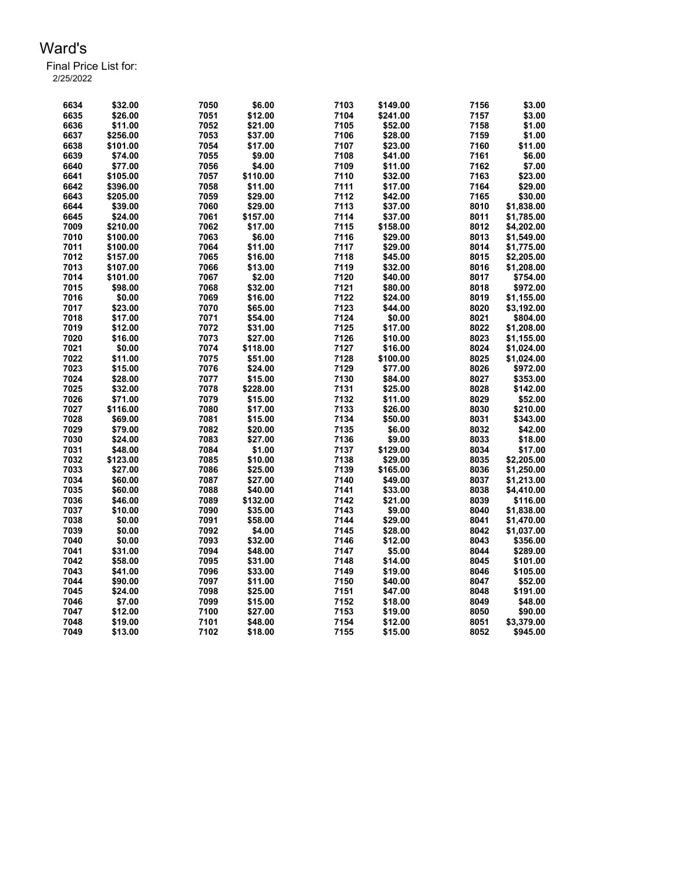| 6634         | \$32.00  | 7050         | \$6.00   | 7103 | \$149.00 | 7156 | \$3.00     |
|--------------|----------|--------------|----------|------|----------|------|------------|
| 6635         | \$26.00  | 7051         | \$12.00  | 7104 | \$241.00 | 7157 | \$3.00     |
| 6636         | \$11.00  | 7052         | \$21.00  | 7105 | \$52.00  | 7158 | \$1.00     |
| 6637         | \$256.00 | 7053         | \$37.00  | 7106 | \$28.00  | 7159 | \$1.00     |
| 6638         | \$101.00 | 7054         | \$17.00  | 7107 | \$23.00  | 7160 | \$11.00    |
| 6639         | \$74.00  | 7055         | \$9.00   | 7108 | \$41.00  | 7161 | \$6.00     |
| 6640         | \$77.00  | 7056         | \$4.00   | 7109 | \$11.00  | 7162 | \$7.00     |
| 6641         | \$105.00 | 7057         | \$110.00 | 7110 | \$32.00  | 7163 | \$23.00    |
| 6642         | \$396.00 | 7058         | \$11.00  | 7111 | \$17.00  | 7164 | \$29.00    |
| 6643         | \$205.00 | 7059         | \$29.00  | 7112 | \$42.00  | 7165 | \$30.00    |
| 6644         | \$39.00  | 7060         | \$29.00  | 7113 | \$37.00  | 8010 | \$1,838.00 |
| 6645         | \$24.00  | 7061         | \$157.00 | 7114 | \$37.00  | 8011 | \$1,785.00 |
| 7009         | \$210.00 | 7062         | \$17.00  | 7115 | \$158.00 | 8012 | \$4,202.00 |
| 7010         | \$100.00 | 7063         | \$6.00   | 7116 | \$29.00  | 8013 | \$1,549.00 |
| 7011         | \$100.00 | 7064         | \$11.00  | 7117 | \$29.00  | 8014 | \$1,775.00 |
| 7012         | \$157.00 | 7065         | \$16.00  | 7118 | \$45.00  | 8015 | \$2,205.00 |
| 7013         | \$107.00 | 7066         | \$13.00  | 7119 | \$32.00  | 8016 | \$1,208.00 |
| 7014         | \$101.00 | 7067         | \$2.00   | 7120 | \$40.00  | 8017 | \$754.00   |
| 7015         | \$98.00  | 7068         | \$32.00  | 7121 | \$80.00  | 8018 | \$972.00   |
| 7016         | \$0.00   | 7069         | \$16.00  | 7122 | \$24.00  | 8019 | \$1,155.00 |
| 7017         | \$23.00  | 7070         | \$65.00  | 7123 | \$44.00  | 8020 | \$3,192.00 |
| 7018         | \$17.00  | 7071         | \$54.00  | 7124 | \$0.00   | 8021 | \$804.00   |
| 7019         | \$12.00  | 7072         | \$31.00  | 7125 | \$17.00  | 8022 | \$1,208.00 |
| 7020         | \$16.00  | 7073         | \$27.00  | 7126 | \$10.00  | 8023 | \$1,155.00 |
| 7021         | \$0.00   | 7074         | \$118.00 | 7127 | \$16.00  | 8024 |            |
|              |          |              |          | 7128 |          | 8025 | \$1,024.00 |
| 7022<br>7023 | \$11.00  | 7075         | \$51.00  | 7129 | \$100.00 |      | \$1,024.00 |
|              | \$15.00  | 7076         | \$24.00  | 7130 | \$77.00  | 8026 | \$972.00   |
| 7024<br>7025 | \$28.00  | 7077<br>7078 | \$15.00  | 7131 | \$84.00  | 8027 | \$353.00   |
|              | \$32.00  |              | \$228.00 |      | \$25.00  | 8028 | \$142.00   |
| 7026         | \$71.00  | 7079         | \$15.00  | 7132 | \$11.00  | 8029 | \$52.00    |
| 7027         | \$116.00 | 7080         | \$17.00  | 7133 | \$26.00  | 8030 | \$210.00   |
| 7028         | \$69.00  | 7081         | \$15.00  | 7134 | \$50.00  | 8031 | \$343.00   |
| 7029         | \$79.00  | 7082         | \$20.00  | 7135 | \$6.00   | 8032 | \$42.00    |
| 7030         | \$24.00  | 7083         | \$27.00  | 7136 | \$9.00   | 8033 | \$18.00    |
| 7031         | \$48.00  | 7084         | \$1.00   | 7137 | \$129.00 | 8034 | \$17.00    |
| 7032         | \$123.00 | 7085         | \$10.00  | 7138 | \$29.00  | 8035 | \$2,205.00 |
| 7033         | \$27.00  | 7086         | \$25.00  | 7139 | \$165.00 | 8036 | \$1,250.00 |
| 7034         | \$60.00  | 7087         | \$27.00  | 7140 | \$49.00  | 8037 | \$1,213.00 |
| 7035         | \$60.00  | 7088         | \$40.00  | 7141 | \$33.00  | 8038 | \$4,410.00 |
| 7036         | \$46.00  | 7089         | \$132.00 | 7142 | \$21.00  | 8039 | \$116.00   |
| 7037         | \$10.00  | 7090         | \$35.00  | 7143 | \$9.00   | 8040 | \$1,838.00 |
| 7038         | \$0.00   | 7091         | \$58.00  | 7144 | \$29.00  | 8041 | \$1,470.00 |
| 7039         | \$0.00   | 7092         | \$4.00   | 7145 | \$28.00  | 8042 | \$1,037.00 |
| 7040         | \$0.00   | 7093         | \$32.00  | 7146 | \$12.00  | 8043 | \$356.00   |
| 7041         | \$31.00  | 7094         | \$48.00  | 7147 | \$5.00   | 8044 | \$289.00   |
| 7042         | \$58.00  | 7095         | \$31.00  | 7148 | \$14.00  | 8045 | \$101.00   |
| 7043         | \$41.00  | 7096         | \$33.00  | 7149 | \$19.00  | 8046 | \$105.00   |
| 7044         | \$90.00  | 7097         | \$11.00  | 7150 | \$40.00  | 8047 | \$52.00    |
| 7045         | \$24.00  | 7098         | \$25.00  | 7151 | \$47.00  | 8048 | \$191.00   |
| 7046         | \$7.00   | 7099         | \$15.00  | 7152 | \$18.00  | 8049 | \$48.00    |
| 7047         | \$12.00  | 7100         | \$27.00  | 7153 | \$19.00  | 8050 | \$90.00    |
| 7048         | \$19.00  | 7101         | \$48.00  | 7154 | \$12.00  | 8051 | \$3,379.00 |
| 7049         | \$13.00  | 7102         | \$18.00  | 7155 | \$15.00  | 8052 | \$945.00   |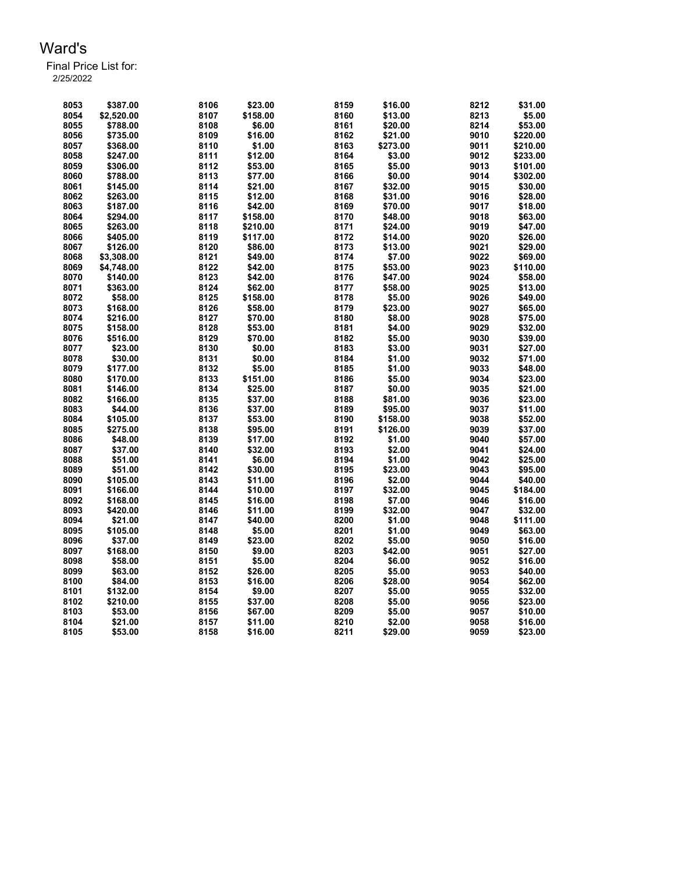| 8053 | \$387.00   | 8106 | \$23.00  | 8159 | \$16.00  | 8212 | \$31.00  |
|------|------------|------|----------|------|----------|------|----------|
| 8054 | \$2,520.00 | 8107 | \$158.00 | 8160 | \$13.00  | 8213 | \$5.00   |
| 8055 | \$788.00   | 8108 | \$6.00   | 8161 | \$20.00  | 8214 | \$53.00  |
| 8056 | \$735.00   | 8109 | \$16.00  | 8162 | \$21.00  | 9010 | \$220.00 |
| 8057 | \$368.00   | 8110 | \$1.00   | 8163 | \$273.00 | 9011 | \$210.00 |
| 8058 | \$247.00   | 8111 | \$12.00  | 8164 | \$3.00   | 9012 | \$233.00 |
| 8059 | \$306.00   | 8112 | \$53.00  | 8165 | \$5.00   | 9013 | \$101.00 |
| 8060 | \$788.00   | 8113 | \$77.00  | 8166 | \$0.00   | 9014 | \$302.00 |
| 8061 | \$145.00   | 8114 | \$21.00  | 8167 | \$32.00  | 9015 | \$30.00  |
| 8062 | \$263.00   | 8115 | \$12.00  | 8168 | \$31.00  | 9016 | \$28.00  |
| 8063 | \$187.00   | 8116 | \$42.00  | 8169 | \$70.00  | 9017 | \$18.00  |
| 8064 | \$294.00   | 8117 | \$158.00 | 8170 | \$48.00  | 9018 | \$63.00  |
| 8065 | \$263.00   | 8118 | \$210.00 | 8171 | \$24.00  | 9019 | \$47.00  |
| 8066 | \$405.00   | 8119 | \$117.00 | 8172 | \$14.00  | 9020 | \$26.00  |
| 8067 | \$126.00   | 8120 | \$86.00  | 8173 | \$13.00  | 9021 | \$29.00  |
| 8068 | \$3,308.00 | 8121 | \$49.00  | 8174 | \$7.00   | 9022 | \$69.00  |
| 8069 | \$4,748.00 | 8122 | \$42.00  | 8175 | \$53.00  | 9023 | \$110.00 |
| 8070 | \$140.00   | 8123 | \$42.00  | 8176 | \$47.00  | 9024 | \$58.00  |
| 8071 | \$363.00   | 8124 | \$62.00  | 8177 | \$58.00  | 9025 | \$13.00  |
| 8072 | \$58.00    | 8125 | \$158.00 | 8178 | \$5.00   | 9026 | \$49.00  |
| 8073 | \$168.00   | 8126 | \$58.00  | 8179 | \$23.00  | 9027 | \$65.00  |
| 8074 | \$216.00   | 8127 | \$70.00  | 8180 | \$8.00   | 9028 | \$75.00  |
| 8075 | \$158.00   | 8128 | \$53.00  | 8181 | \$4.00   | 9029 | \$32.00  |
| 8076 | \$516.00   | 8129 | \$70.00  | 8182 | \$5.00   | 9030 | \$39.00  |
| 8077 | \$23.00    | 8130 | \$0.00   | 8183 | \$3.00   | 9031 | \$27.00  |
| 8078 | \$30.00    | 8131 | \$0.00   | 8184 | \$1.00   | 9032 | \$71.00  |
| 8079 | \$177.00   | 8132 | \$5.00   | 8185 | \$1.00   | 9033 | \$48.00  |
| 8080 | \$170.00   | 8133 | \$151.00 | 8186 | \$5.00   | 9034 | \$23.00  |
| 8081 | \$146.00   | 8134 | \$25.00  | 8187 | \$0.00   | 9035 | \$21.00  |
| 8082 | \$166.00   | 8135 | \$37.00  | 8188 | \$81.00  | 9036 | \$23.00  |
| 8083 | \$44.00    | 8136 | \$37.00  | 8189 | \$95.00  | 9037 | \$11.00  |
| 8084 | \$105.00   | 8137 | \$53.00  | 8190 | \$158.00 | 9038 | \$52.00  |
| 8085 | \$275.00   | 8138 | \$95.00  | 8191 | \$126.00 | 9039 | \$37.00  |
| 8086 | \$48.00    | 8139 | \$17.00  | 8192 | \$1.00   | 9040 | \$57.00  |
| 8087 | \$37.00    | 8140 | \$32.00  | 8193 | \$2.00   | 9041 | \$24.00  |
| 8088 | \$51.00    | 8141 | \$6.00   | 8194 | \$1.00   | 9042 | \$25.00  |
| 8089 | \$51.00    | 8142 | \$30.00  | 8195 | \$23.00  | 9043 | \$95.00  |
| 8090 | \$105.00   | 8143 | \$11.00  | 8196 | \$2.00   | 9044 | \$40.00  |
| 8091 | \$166.00   | 8144 | \$10.00  | 8197 | \$32.00  | 9045 | \$184.00 |
| 8092 | \$168.00   | 8145 | \$16.00  | 8198 | \$7.00   | 9046 | \$16.00  |
| 8093 | \$420.00   | 8146 | \$11.00  | 8199 | \$32.00  | 9047 | \$32.00  |
| 8094 | \$21.00    | 8147 | \$40.00  | 8200 | \$1.00   | 9048 | \$111.00 |
| 8095 | \$105.00   | 8148 | \$5.00   | 8201 | \$1.00   | 9049 | \$63.00  |
| 8096 | \$37.00    | 8149 | \$23.00  | 8202 | \$5.00   | 9050 | \$16.00  |
| 8097 | \$168.00   | 8150 | \$9.00   | 8203 | \$42.00  | 9051 | \$27.00  |
| 8098 | \$58.00    | 8151 | \$5.00   | 8204 | \$6.00   | 9052 | \$16.00  |
| 8099 | \$63.00    | 8152 | \$26.00  | 8205 | \$5.00   | 9053 | \$40.00  |
| 8100 | \$84.00    | 8153 | \$16.00  | 8206 | \$28.00  | 9054 | \$62.00  |
| 8101 | \$132.00   | 8154 | \$9.00   | 8207 | \$5.00   | 9055 | \$32.00  |
| 8102 | \$210.00   | 8155 | \$37.00  | 8208 | \$5.00   | 9056 | \$23.00  |
| 8103 | \$53.00    | 8156 | \$67.00  | 8209 | \$5.00   | 9057 | \$10.00  |
| 8104 | \$21.00    | 8157 | \$11.00  | 8210 | \$2.00   | 9058 | \$16.00  |
| 8105 | \$53.00    | 8158 | \$16.00  | 8211 | \$29.00  | 9059 | \$23.00  |
|      |            |      |          |      |          |      |          |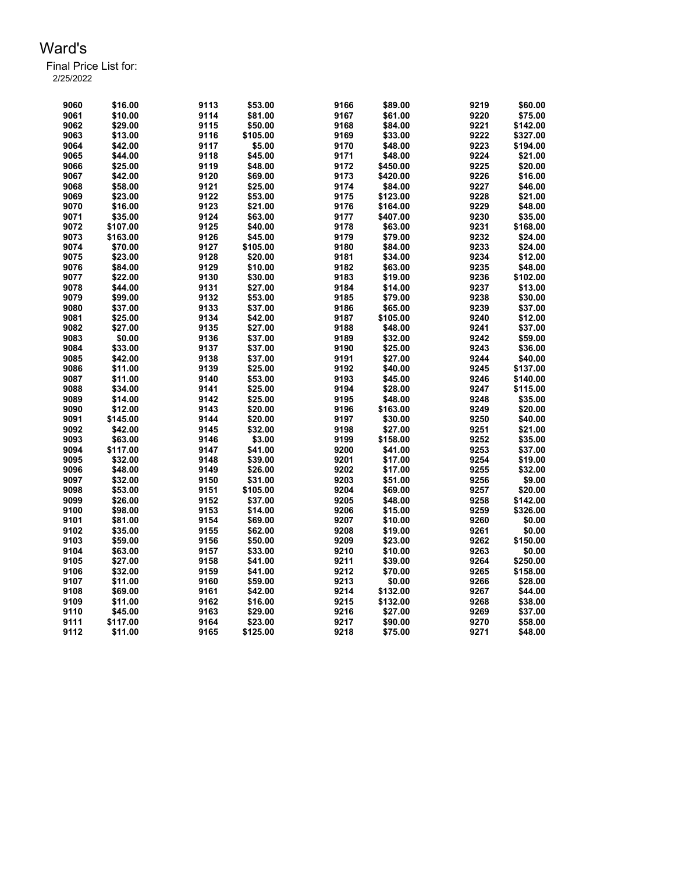| 9060 | \$16.00  | 9113 | \$53.00  | 9166 | \$89.00  | 9219 | \$60.00  |
|------|----------|------|----------|------|----------|------|----------|
| 9061 | \$10.00  | 9114 | \$81.00  | 9167 | \$61.00  | 9220 | \$75.00  |
| 9062 | \$29.00  | 9115 | \$50.00  | 9168 | \$84.00  | 9221 | \$142.00 |
| 9063 | \$13.00  | 9116 | \$105.00 | 9169 | \$33.00  | 9222 | \$327.00 |
| 9064 | \$42.00  | 9117 | \$5.00   | 9170 | \$48.00  | 9223 | \$194.00 |
| 9065 | \$44.00  | 9118 | \$45.00  | 9171 | \$48.00  | 9224 | \$21.00  |
| 9066 | \$25.00  | 9119 | \$48.00  | 9172 | \$450.00 | 9225 | \$20.00  |
| 9067 | \$42.00  | 9120 | \$69.00  | 9173 | \$420.00 | 9226 | \$16.00  |
| 9068 | \$58.00  | 9121 | \$25.00  | 9174 | \$84.00  | 9227 | \$46.00  |
| 9069 | \$23.00  | 9122 | \$53.00  | 9175 | \$123.00 | 9228 | \$21.00  |
| 9070 | \$16.00  | 9123 | \$21.00  | 9176 | \$164.00 | 9229 | \$48.00  |
| 9071 | \$35.00  | 9124 | \$63.00  | 9177 | \$407.00 | 9230 | \$35.00  |
| 9072 | \$107.00 | 9125 | \$40.00  | 9178 | \$63.00  | 9231 | \$168.00 |
| 9073 | \$163.00 | 9126 | \$45.00  | 9179 | \$79.00  | 9232 | \$24.00  |
| 9074 | \$70.00  | 9127 | \$105.00 | 9180 | \$84.00  | 9233 | \$24.00  |
| 9075 | \$23.00  | 9128 | \$20.00  | 9181 | \$34.00  | 9234 | \$12.00  |
| 9076 | \$84.00  | 9129 | \$10.00  | 9182 | \$63.00  | 9235 | \$48.00  |
| 9077 | \$22.00  | 9130 | \$30.00  | 9183 | \$19.00  | 9236 | \$102.00 |
| 9078 | \$44.00  | 9131 | \$27.00  | 9184 | \$14.00  | 9237 | \$13.00  |
| 9079 | \$99.00  | 9132 | \$53.00  | 9185 | \$79.00  | 9238 | \$30.00  |
| 9080 | \$37.00  | 9133 | \$37.00  | 9186 | \$65.00  | 9239 | \$37.00  |
| 9081 | \$25.00  | 9134 | \$42.00  | 9187 | \$105.00 | 9240 | \$12.00  |
| 9082 |          | 9135 |          | 9188 |          | 9241 | \$37.00  |
|      | \$27.00  |      | \$27.00  |      | \$48.00  |      |          |
| 9083 | \$0.00   | 9136 | \$37.00  | 9189 | \$32.00  | 9242 | \$59.00  |
| 9084 | \$33.00  | 9137 | \$37.00  | 9190 | \$25.00  | 9243 | \$36.00  |
| 9085 | \$42.00  | 9138 | \$37.00  | 9191 | \$27.00  | 9244 | \$40.00  |
| 9086 | \$11.00  | 9139 | \$25.00  | 9192 | \$40.00  | 9245 | \$137.00 |
| 9087 | \$11.00  | 9140 | \$53.00  | 9193 | \$45.00  | 9246 | \$140.00 |
| 9088 | \$34.00  | 9141 | \$25.00  | 9194 | \$28.00  | 9247 | \$115.00 |
| 9089 | \$14.00  | 9142 | \$25.00  | 9195 | \$48.00  | 9248 | \$35.00  |
| 9090 | \$12.00  | 9143 | \$20.00  | 9196 | \$163.00 | 9249 | \$20.00  |
| 9091 | \$145.00 | 9144 | \$20.00  | 9197 | \$30.00  | 9250 | \$40.00  |
| 9092 | \$42.00  | 9145 | \$32.00  | 9198 | \$27.00  | 9251 | \$21.00  |
| 9093 | \$63.00  | 9146 | \$3.00   | 9199 | \$158.00 | 9252 | \$35.00  |
| 9094 | \$117.00 | 9147 | \$41.00  | 9200 | \$41.00  | 9253 | \$37.00  |
| 9095 | \$32.00  | 9148 | \$39.00  | 9201 | \$17.00  | 9254 | \$19.00  |
| 9096 | \$48.00  | 9149 | \$26.00  | 9202 | \$17.00  | 9255 | \$32.00  |
| 9097 | \$32.00  | 9150 | \$31.00  | 9203 | \$51.00  | 9256 | \$9.00   |
| 9098 | \$53.00  | 9151 | \$105.00 | 9204 | \$69.00  | 9257 | \$20.00  |
| 9099 | \$26.00  | 9152 | \$37.00  | 9205 | \$48.00  | 9258 | \$142.00 |
| 9100 | \$98.00  | 9153 | \$14.00  | 9206 | \$15.00  | 9259 | \$326.00 |
| 9101 | \$81.00  | 9154 | \$69.00  | 9207 | \$10.00  | 9260 | \$0.00   |
| 9102 | \$35.00  | 9155 | \$62.00  | 9208 | \$19.00  | 9261 | \$0.00   |
| 9103 | \$59.00  | 9156 | \$50.00  | 9209 | \$23.00  | 9262 | \$150.00 |
| 9104 | \$63.00  | 9157 | \$33.00  | 9210 | \$10.00  | 9263 | \$0.00   |
| 9105 | \$27.00  | 9158 | \$41.00  | 9211 | \$39.00  | 9264 | \$250.00 |
| 9106 | \$32.00  | 9159 | \$41.00  | 9212 | \$70.00  | 9265 | \$158.00 |
| 9107 | \$11.00  | 9160 | \$59.00  | 9213 | \$0.00   | 9266 | \$28.00  |
| 9108 | \$69.00  | 9161 | \$42.00  | 9214 | \$132.00 | 9267 | \$44.00  |
| 9109 | \$11.00  | 9162 | \$16.00  | 9215 | \$132.00 | 9268 | \$38.00  |
| 9110 | \$45.00  | 9163 | \$29.00  | 9216 | \$27.00  | 9269 | \$37.00  |
| 9111 | \$117.00 | 9164 | \$23.00  | 9217 | \$90.00  | 9270 | \$58.00  |
| 9112 | \$11.00  | 9165 | \$125.00 | 9218 | \$75.00  | 9271 | \$48.00  |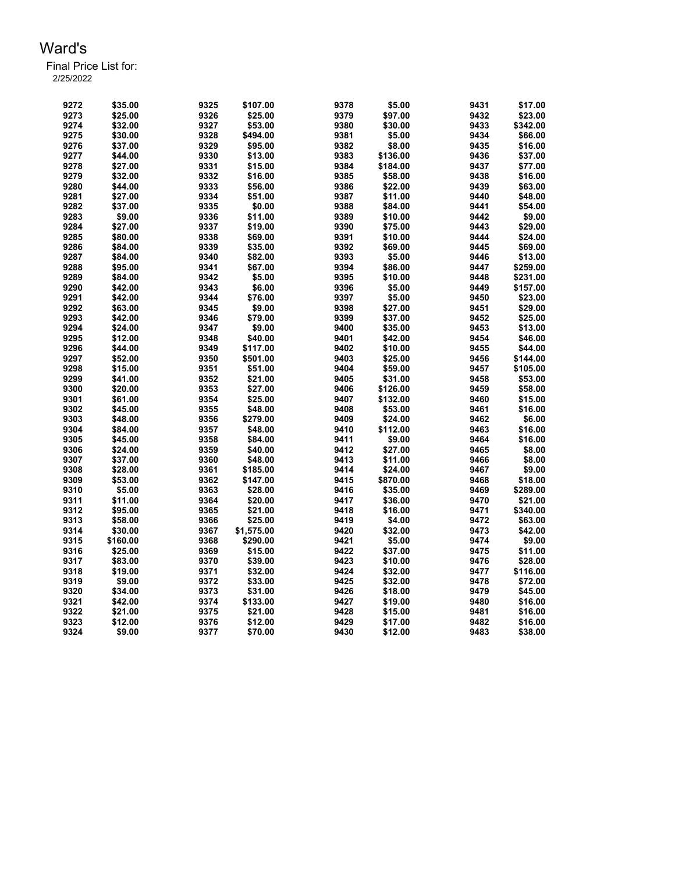| 9272 | \$35.00  | 9325 | \$107.00   | 9378 | \$5.00   | 9431 | \$17.00  |
|------|----------|------|------------|------|----------|------|----------|
| 9273 | \$25.00  | 9326 | \$25.00    | 9379 | \$97.00  | 9432 | \$23.00  |
| 9274 | \$32.00  | 9327 | \$53.00    | 9380 | \$30.00  | 9433 | \$342.00 |
| 9275 | \$30.00  | 9328 | \$494.00   | 9381 | \$5.00   | 9434 | \$66.00  |
| 9276 | \$37.00  | 9329 | \$95.00    | 9382 | \$8.00   | 9435 | \$16.00  |
| 9277 | \$44.00  | 9330 | \$13.00    | 9383 | \$136.00 | 9436 | \$37.00  |
| 9278 | \$27.00  | 9331 | \$15.00    | 9384 | \$184.00 | 9437 | \$77.00  |
| 9279 | \$32.00  | 9332 | \$16.00    | 9385 | \$58.00  | 9438 | \$16.00  |
| 9280 | \$44.00  | 9333 | \$56.00    | 9386 | \$22.00  | 9439 | \$63.00  |
| 9281 | \$27.00  | 9334 | \$51.00    | 9387 | \$11.00  | 9440 | \$48.00  |
| 9282 | \$37.00  | 9335 | \$0.00     | 9388 | \$84.00  | 9441 | \$54.00  |
| 9283 | \$9.00   | 9336 | \$11.00    | 9389 | \$10.00  | 9442 | \$9.00   |
| 9284 | \$27.00  | 9337 | \$19.00    | 9390 | \$75.00  | 9443 | \$29.00  |
| 9285 | \$80.00  | 9338 | \$69.00    | 9391 | \$10.00  | 9444 | \$24.00  |
| 9286 | \$84.00  | 9339 | \$35.00    | 9392 | \$69.00  | 9445 | \$69.00  |
| 9287 | \$84.00  | 9340 | \$82.00    | 9393 | \$5.00   | 9446 | \$13.00  |
| 9288 | \$95.00  | 9341 | \$67.00    | 9394 | \$86.00  | 9447 | \$259.00 |
| 9289 | \$84.00  | 9342 | \$5.00     | 9395 | \$10.00  | 9448 | \$231.00 |
| 9290 | \$42.00  | 9343 | \$6.00     | 9396 | \$5.00   | 9449 | \$157.00 |
| 9291 | \$42.00  | 9344 | \$76.00    | 9397 | \$5.00   | 9450 | \$23.00  |
| 9292 | \$63.00  | 9345 | \$9.00     | 9398 | \$27.00  | 9451 | \$29.00  |
| 9293 | \$42.00  | 9346 | \$79.00    | 9399 | \$37.00  | 9452 | \$25.00  |
| 9294 |          |      |            | 9400 |          |      |          |
|      | \$24.00  | 9347 | \$9.00     |      | \$35.00  | 9453 | \$13.00  |
| 9295 | \$12.00  | 9348 | \$40.00    | 9401 | \$42.00  | 9454 | \$46.00  |
| 9296 | \$44.00  | 9349 | \$117.00   | 9402 | \$10.00  | 9455 | \$44.00  |
| 9297 | \$52.00  | 9350 | \$501.00   | 9403 | \$25.00  | 9456 | \$144.00 |
| 9298 | \$15.00  | 9351 | \$51.00    | 9404 | \$59.00  | 9457 | \$105.00 |
| 9299 | \$41.00  | 9352 | \$21.00    | 9405 | \$31.00  | 9458 | \$53.00  |
| 9300 | \$20.00  | 9353 | \$27.00    | 9406 | \$126.00 | 9459 | \$58.00  |
| 9301 | \$61.00  | 9354 | \$25.00    | 9407 | \$132.00 | 9460 | \$15.00  |
| 9302 | \$45.00  | 9355 | \$48.00    | 9408 | \$53.00  | 9461 | \$16.00  |
| 9303 | \$48.00  | 9356 | \$279.00   | 9409 | \$24.00  | 9462 | \$6.00   |
| 9304 | \$84.00  | 9357 | \$48.00    | 9410 | \$112.00 | 9463 | \$16.00  |
| 9305 | \$45.00  | 9358 | \$84.00    | 9411 | \$9.00   | 9464 | \$16.00  |
| 9306 | \$24.00  | 9359 | \$40.00    | 9412 | \$27.00  | 9465 | \$8.00   |
| 9307 | \$37.00  | 9360 | \$48.00    | 9413 | \$11.00  | 9466 | \$8.00   |
| 9308 | \$28.00  | 9361 | \$185.00   | 9414 | \$24.00  | 9467 | \$9.00   |
| 9309 | \$53.00  | 9362 | \$147.00   | 9415 | \$870.00 | 9468 | \$18.00  |
| 9310 | \$5.00   | 9363 | \$28.00    | 9416 | \$35.00  | 9469 | \$289.00 |
| 9311 | \$11.00  | 9364 | \$20.00    | 9417 | \$36.00  | 9470 | \$21.00  |
| 9312 | \$95.00  | 9365 | \$21.00    | 9418 | \$16.00  | 9471 | \$340.00 |
| 9313 | \$58.00  | 9366 | \$25.00    | 9419 | \$4.00   | 9472 | \$63.00  |
| 9314 | \$30.00  | 9367 | \$1,575.00 | 9420 | \$32.00  | 9473 | \$42.00  |
| 9315 | \$160.00 | 9368 | \$290.00   | 9421 | \$5.00   | 9474 | \$9.00   |
| 9316 | \$25.00  | 9369 | \$15.00    | 9422 | \$37.00  | 9475 | \$11.00  |
| 9317 | \$83.00  | 9370 | \$39.00    | 9423 | \$10.00  | 9476 | \$28.00  |
| 9318 | \$19.00  | 9371 | \$32.00    | 9424 | \$32.00  | 9477 | \$116.00 |
| 9319 | \$9.00   | 9372 | \$33.00    | 9425 | \$32.00  | 9478 | \$72.00  |
| 9320 | \$34.00  | 9373 | \$31.00    | 9426 | \$18.00  | 9479 | \$45.00  |
| 9321 | \$42.00  | 9374 | \$133.00   | 9427 | \$19.00  | 9480 | \$16.00  |
| 9322 | \$21.00  | 9375 | \$21.00    | 9428 | \$15.00  | 9481 | \$16.00  |
| 9323 | \$12.00  | 9376 | \$12.00    | 9429 | \$17.00  | 9482 | \$16.00  |
| 9324 | \$9.00   | 9377 | \$70.00    | 9430 | \$12.00  | 9483 | \$38.00  |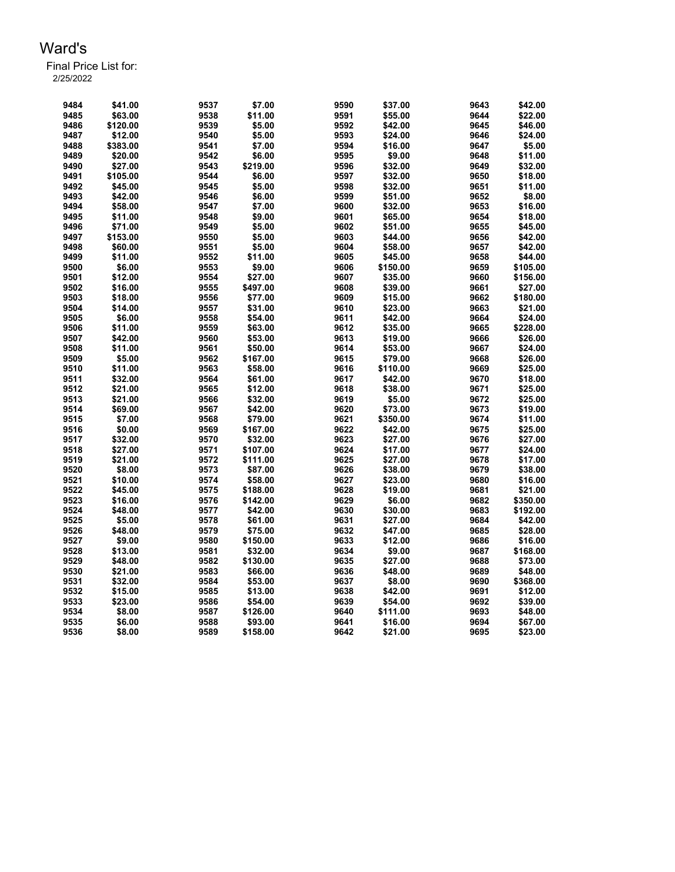| 9484 | \$41.00  | 9537 | \$7.00   | 9590 | \$37.00  | 9643 | \$42.00  |
|------|----------|------|----------|------|----------|------|----------|
| 9485 | \$63.00  | 9538 | \$11.00  | 9591 | \$55.00  | 9644 | \$22.00  |
| 9486 | \$120.00 | 9539 | \$5.00   | 9592 | \$42.00  | 9645 | \$46.00  |
| 9487 | \$12.00  | 9540 | \$5.00   | 9593 | \$24.00  | 9646 | \$24.00  |
| 9488 | \$383.00 | 9541 | \$7.00   | 9594 | \$16.00  | 9647 | \$5.00   |
| 9489 | \$20.00  | 9542 | \$6.00   | 9595 | \$9.00   | 9648 | \$11.00  |
| 9490 | \$27.00  | 9543 | \$219.00 | 9596 | \$32.00  | 9649 | \$32.00  |
| 9491 | \$105.00 | 9544 | \$6.00   | 9597 | \$32.00  | 9650 | \$18.00  |
| 9492 | \$45.00  | 9545 | \$5.00   | 9598 | \$32.00  | 9651 | \$11.00  |
| 9493 | \$42.00  | 9546 | \$6.00   | 9599 | \$51.00  | 9652 | \$8.00   |
| 9494 | \$58.00  | 9547 | \$7.00   | 9600 | \$32.00  | 9653 | \$16.00  |
| 9495 | \$11.00  | 9548 | \$9.00   | 9601 | \$65.00  | 9654 | \$18.00  |
| 9496 | \$71.00  | 9549 | \$5.00   | 9602 | \$51.00  | 9655 | \$45.00  |
| 9497 | \$153.00 | 9550 | \$5.00   | 9603 | \$44.00  | 9656 | \$42.00  |
| 9498 | \$60.00  | 9551 | \$5.00   | 9604 | \$58.00  | 9657 | \$42.00  |
| 9499 | \$11.00  | 9552 | \$11.00  | 9605 | \$45.00  | 9658 | \$44.00  |
| 9500 | \$6.00   | 9553 | \$9.00   | 9606 | \$150.00 | 9659 | \$105.00 |
| 9501 | \$12.00  | 9554 | \$27.00  | 9607 | \$35.00  | 9660 | \$156.00 |
| 9502 | \$16.00  | 9555 | \$497.00 | 9608 | \$39.00  | 9661 | \$27.00  |
| 9503 | \$18.00  | 9556 | \$77.00  | 9609 | \$15.00  | 9662 | \$180.00 |
| 9504 | \$14.00  | 9557 | \$31.00  | 9610 | \$23.00  | 9663 | \$21.00  |
| 9505 | \$6.00   | 9558 | \$54.00  | 9611 | \$42.00  | 9664 | \$24.00  |
| 9506 | \$11.00  | 9559 | \$63.00  | 9612 | \$35.00  | 9665 | \$228.00 |
| 9507 | \$42.00  | 9560 | \$53.00  | 9613 | \$19.00  | 9666 | \$26.00  |
| 9508 | \$11.00  | 9561 | \$50.00  | 9614 | \$53.00  | 9667 | \$24.00  |
| 9509 | \$5.00   | 9562 | \$167.00 | 9615 | \$79.00  | 9668 | \$26.00  |
| 9510 | \$11.00  | 9563 | \$58.00  | 9616 | \$110.00 | 9669 | \$25.00  |
| 9511 | \$32.00  | 9564 | \$61.00  | 9617 | \$42.00  | 9670 | \$18.00  |
| 9512 | \$21.00  | 9565 | \$12.00  | 9618 | \$38.00  | 9671 | \$25.00  |
| 9513 | \$21.00  | 9566 | \$32.00  | 9619 | \$5.00   | 9672 | \$25.00  |
| 9514 | \$69.00  | 9567 | \$42.00  | 9620 | \$73.00  | 9673 | \$19.00  |
| 9515 | \$7.00   | 9568 | \$79.00  | 9621 | \$350.00 | 9674 | \$11.00  |
| 9516 | \$0.00   | 9569 | \$167.00 | 9622 | \$42.00  | 9675 | \$25.00  |
| 9517 | \$32.00  | 9570 | \$32.00  | 9623 | \$27.00  | 9676 | \$27.00  |
| 9518 | \$27.00  | 9571 | \$107.00 | 9624 | \$17.00  | 9677 | \$24.00  |
| 9519 | \$21.00  | 9572 | \$111.00 | 9625 | \$27.00  | 9678 | \$17.00  |
| 9520 | \$8.00   | 9573 | \$87.00  | 9626 | \$38.00  | 9679 | \$38.00  |
| 9521 | \$10.00  | 9574 | \$58.00  | 9627 | \$23.00  | 9680 | \$16.00  |
| 9522 | \$45.00  | 9575 | \$188.00 | 9628 | \$19.00  | 9681 | \$21.00  |
| 9523 | \$16.00  | 9576 | \$142.00 | 9629 | \$6.00   | 9682 | \$350.00 |
| 9524 | \$48.00  | 9577 | \$42.00  | 9630 | \$30.00  | 9683 | \$192.00 |
| 9525 | \$5.00   | 9578 | \$61.00  | 9631 | \$27.00  | 9684 | \$42.00  |
| 9526 | \$48.00  | 9579 | \$75.00  | 9632 | \$47.00  | 9685 | \$28.00  |
| 9527 | \$9.00   | 9580 | \$150.00 | 9633 | \$12.00  | 9686 | \$16.00  |
| 9528 | \$13.00  | 9581 | \$32.00  | 9634 | \$9.00   | 9687 | \$168.00 |
| 9529 | \$48.00  | 9582 | \$130.00 | 9635 | \$27.00  | 9688 | \$73.00  |
| 9530 | \$21.00  | 9583 | \$66.00  | 9636 | \$48.00  | 9689 | \$48.00  |
| 9531 | \$32.00  | 9584 | \$53.00  | 9637 | \$8.00   | 9690 | \$368.00 |
| 9532 | \$15.00  | 9585 | \$13.00  | 9638 | \$42.00  | 9691 | \$12.00  |
| 9533 | \$23.00  | 9586 | \$54.00  | 9639 | \$54.00  | 9692 | \$39.00  |
| 9534 | \$8.00   | 9587 | \$126.00 | 9640 | \$111.00 | 9693 | \$48.00  |
| 9535 | \$6.00   | 9588 | \$93.00  | 9641 | \$16.00  | 9694 | \$67.00  |
| 9536 | \$8.00   | 9589 | \$158.00 | 9642 | \$21.00  | 9695 | \$23.00  |
|      |          |      |          |      |          |      |          |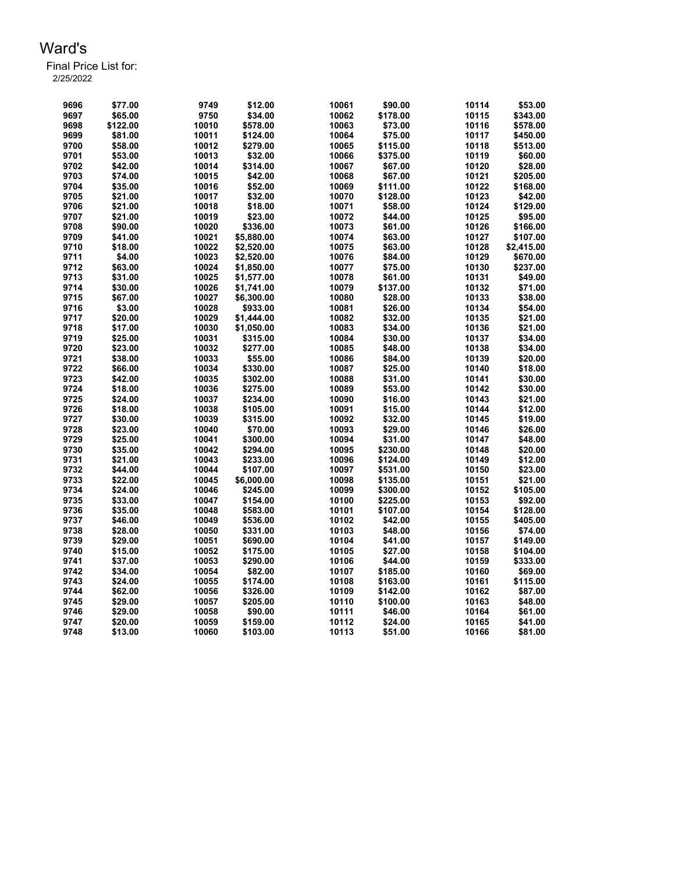| 9696 | \$77.00  | 9749  | \$12.00    | 10061 | \$90.00            | 10114 | \$53.00            |
|------|----------|-------|------------|-------|--------------------|-------|--------------------|
| 9697 | \$65.00  | 9750  | \$34.00    | 10062 | \$178.00           | 10115 | \$343.00           |
| 9698 | \$122.00 | 10010 | \$578.00   | 10063 | \$73.00            | 10116 | \$578.00           |
| 9699 | \$81.00  | 10011 | \$124.00   | 10064 | \$75.00            | 10117 | \$450.00           |
| 9700 | \$58.00  | 10012 | \$279.00   | 10065 | \$115.00           | 10118 | \$513.00           |
| 9701 | \$53.00  | 10013 | \$32.00    | 10066 | \$375.00           | 10119 | \$60.00            |
| 9702 | \$42.00  | 10014 | \$314.00   | 10067 | \$67.00            | 10120 | \$28.00            |
| 9703 | \$74.00  | 10015 | \$42.00    | 10068 | \$67.00            | 10121 | \$205.00           |
| 9704 | \$35.00  | 10016 | \$52.00    | 10069 | \$111.00           | 10122 | \$168.00           |
| 9705 | \$21.00  | 10017 | \$32.00    | 10070 | \$128.00           | 10123 | \$42.00            |
| 9706 | \$21.00  | 10018 | \$18.00    | 10071 | \$58.00            | 10124 | \$129.00           |
| 9707 | \$21.00  | 10019 | \$23.00    | 10072 | \$44.00            | 10125 | \$95.00            |
| 9708 | \$90.00  | 10020 | \$336.00   | 10073 | \$61.00            | 10126 | \$166.00           |
| 9709 | \$41.00  | 10021 | \$5,880.00 | 10074 | \$63.00            | 10127 | \$107.00           |
| 9710 | \$18.00  | 10022 | \$2,520.00 | 10075 | \$63.00            | 10128 | \$2,415.00         |
| 9711 | \$4.00   | 10023 | \$2,520.00 | 10076 | \$84.00            | 10129 | \$670.00           |
| 9712 | \$63.00  | 10024 | \$1,850.00 | 10077 | \$75.00            | 10130 | \$237.00           |
| 9713 | \$31.00  | 10025 | \$1,577.00 | 10078 | \$61.00            | 10131 | \$49.00            |
| 9714 | \$30.00  | 10026 | \$1,741.00 | 10079 | \$137.00           | 10132 | \$71.00            |
| 9715 | \$67.00  | 10027 | \$6,300.00 | 10080 |                    | 10133 | \$38.00            |
| 9716 |          | 10028 |            | 10081 | \$28.00<br>\$26.00 | 10134 |                    |
|      | \$3.00   | 10029 | \$933.00   |       |                    |       | \$54.00<br>\$21.00 |
| 9717 | \$20.00  |       | \$1,444.00 | 10082 | \$32.00            | 10135 |                    |
| 9718 | \$17.00  | 10030 | \$1,050.00 | 10083 | \$34.00            | 10136 | \$21.00            |
| 9719 | \$25.00  | 10031 | \$315.00   | 10084 | \$30.00            | 10137 | \$34.00            |
| 9720 | \$23.00  | 10032 | \$277.00   | 10085 | \$48.00            | 10138 | \$34.00            |
| 9721 | \$38.00  | 10033 | \$55.00    | 10086 | \$84.00            | 10139 | \$20.00            |
| 9722 | \$66.00  | 10034 | \$330.00   | 10087 | \$25.00            | 10140 | \$18.00            |
| 9723 | \$42.00  | 10035 | \$302.00   | 10088 | \$31.00            | 10141 | \$30.00            |
| 9724 | \$18.00  | 10036 | \$275.00   | 10089 | \$53.00            | 10142 | \$30.00            |
| 9725 | \$24.00  | 10037 | \$234.00   | 10090 | \$16.00            | 10143 | \$21.00            |
| 9726 | \$18.00  | 10038 | \$105.00   | 10091 | \$15.00            | 10144 | \$12.00            |
| 9727 | \$30.00  | 10039 | \$315.00   | 10092 | \$32.00            | 10145 | \$19.00            |
| 9728 | \$23.00  | 10040 | \$70.00    | 10093 | \$29.00            | 10146 | \$26.00            |
| 9729 | \$25.00  | 10041 | \$300.00   | 10094 | \$31.00            | 10147 | \$48.00            |
| 9730 | \$35.00  | 10042 | \$294.00   | 10095 | \$230.00           | 10148 | \$20.00            |
| 9731 | \$21.00  | 10043 | \$233.00   | 10096 | \$124.00           | 10149 | \$12.00            |
| 9732 | \$44.00  | 10044 | \$107.00   | 10097 | \$531.00           | 10150 | \$23.00            |
| 9733 | \$22.00  | 10045 | \$6,000.00 | 10098 | \$135.00           | 10151 | \$21.00            |
| 9734 | \$24.00  | 10046 | \$245.00   | 10099 | \$300.00           | 10152 | \$105.00           |
| 9735 | \$33.00  | 10047 | \$154.00   | 10100 | \$225.00           | 10153 | \$92.00            |
| 9736 | \$35.00  | 10048 | \$583.00   | 10101 | \$107.00           | 10154 | \$128.00           |
| 9737 | \$46.00  | 10049 | \$536.00   | 10102 | \$42.00            | 10155 | \$405.00           |
| 9738 | \$28.00  | 10050 | \$331.00   | 10103 | \$48.00            | 10156 | \$74.00            |
| 9739 | \$29.00  | 10051 | \$690.00   | 10104 | \$41.00            | 10157 | \$149.00           |
| 9740 | \$15.00  | 10052 | \$175.00   | 10105 | \$27.00            | 10158 | \$104.00           |
| 9741 | \$37.00  | 10053 | \$290.00   | 10106 | \$44.00            | 10159 | \$333.00           |
| 9742 | \$34.00  | 10054 | \$82.00    | 10107 | \$185.00           | 10160 | \$69.00            |
| 9743 | \$24.00  | 10055 | \$174.00   | 10108 | \$163.00           | 10161 | \$115.00           |
| 9744 | \$62.00  | 10056 | \$326.00   | 10109 | \$142.00           | 10162 | \$87.00            |
| 9745 | \$29.00  | 10057 | \$205.00   | 10110 | \$100.00           | 10163 | \$48.00            |
| 9746 | \$29.00  | 10058 | \$90.00    | 10111 | \$46.00            | 10164 | \$61.00            |
| 9747 | \$20.00  | 10059 | \$159.00   | 10112 | \$24.00            | 10165 | \$41.00            |
| 9748 | \$13.00  | 10060 | \$103.00   | 10113 | \$51.00            | 10166 | \$81.00            |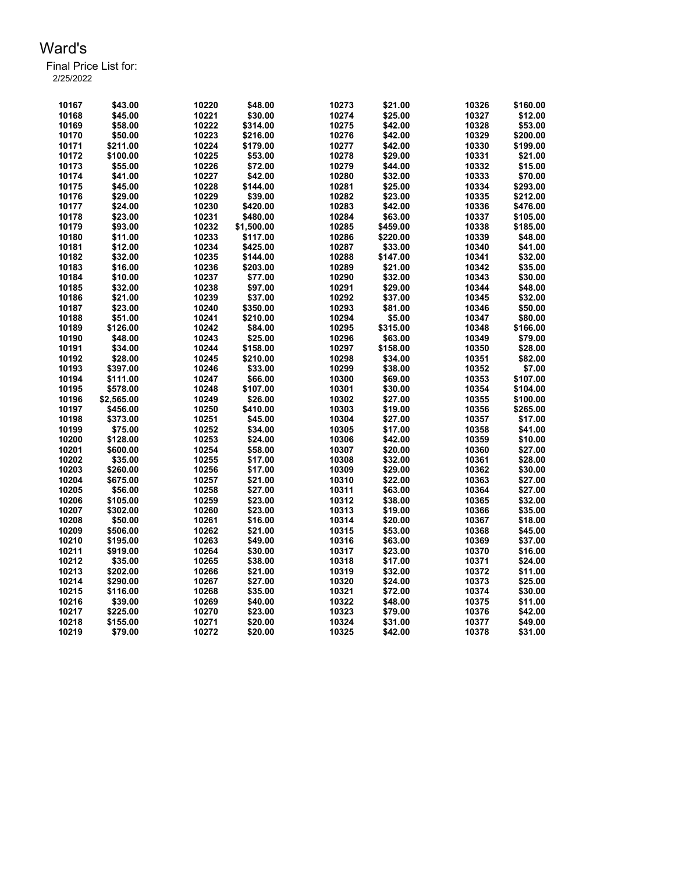| 10167 | \$43.00    | 10220 | \$48.00    | 10273 | \$21.00  | 10326 | \$160.00 |
|-------|------------|-------|------------|-------|----------|-------|----------|
| 10168 | \$45.00    | 10221 | \$30.00    | 10274 | \$25.00  | 10327 | \$12.00  |
| 10169 | \$58.00    | 10222 | \$314.00   | 10275 | \$42.00  | 10328 | \$53.00  |
| 10170 | \$50.00    | 10223 | \$216.00   | 10276 | \$42.00  | 10329 | \$200.00 |
| 10171 | \$211.00   | 10224 | \$179.00   | 10277 | \$42.00  | 10330 | \$199.00 |
| 10172 | \$100.00   | 10225 | \$53.00    | 10278 | \$29.00  | 10331 | \$21.00  |
| 10173 | \$55.00    | 10226 | \$72.00    | 10279 | \$44.00  | 10332 | \$15.00  |
| 10174 | \$41.00    | 10227 | \$42.00    | 10280 | \$32.00  | 10333 | \$70.00  |
| 10175 | \$45.00    | 10228 | \$144.00   | 10281 | \$25.00  | 10334 | \$293.00 |
| 10176 | \$29.00    | 10229 | \$39.00    | 10282 | \$23.00  | 10335 | \$212.00 |
| 10177 | \$24.00    | 10230 | \$420.00   | 10283 | \$42.00  | 10336 | \$476.00 |
| 10178 | \$23.00    | 10231 | \$480.00   | 10284 | \$63.00  | 10337 | \$105.00 |
| 10179 | \$93.00    | 10232 | \$1,500.00 | 10285 | \$459.00 | 10338 | \$185.00 |
| 10180 | \$11.00    | 10233 | \$117.00   | 10286 | \$220.00 | 10339 | \$48.00  |
| 10181 | \$12.00    | 10234 | \$425.00   | 10287 | \$33.00  | 10340 | \$41.00  |
| 10182 | \$32.00    | 10235 | \$144.00   | 10288 | \$147.00 | 10341 | \$32.00  |
| 10183 | \$16.00    | 10236 | \$203.00   | 10289 | \$21.00  | 10342 | \$35.00  |
| 10184 | \$10.00    | 10237 | \$77.00    | 10290 | \$32.00  | 10343 | \$30.00  |
| 10185 | \$32.00    | 10238 | \$97.00    | 10291 | \$29.00  | 10344 | \$48.00  |
| 10186 | \$21.00    | 10239 | \$37.00    | 10292 | \$37.00  | 10345 | \$32.00  |
| 10187 | \$23.00    | 10240 | \$350.00   | 10293 | \$81.00  | 10346 | \$50.00  |
| 10188 | \$51.00    | 10241 | \$210.00   | 10294 | \$5.00   | 10347 | \$80.00  |
| 10189 | \$126.00   | 10242 | \$84.00    | 10295 | \$315.00 | 10348 | \$166.00 |
| 10190 | \$48.00    | 10243 | \$25.00    | 10296 | \$63.00  | 10349 | \$79.00  |
| 10191 | \$34.00    | 10244 |            | 10297 | \$158.00 | 10350 |          |
|       |            |       | \$158.00   |       |          |       | \$28.00  |
| 10192 | \$28.00    | 10245 | \$210.00   | 10298 | \$34.00  | 10351 | \$82.00  |
| 10193 | \$397.00   | 10246 | \$33.00    | 10299 | \$38.00  | 10352 | \$7.00   |
| 10194 | \$111.00   | 10247 | \$66.00    | 10300 | \$69.00  | 10353 | \$107.00 |
| 10195 | \$578.00   | 10248 | \$107.00   | 10301 | \$30.00  | 10354 | \$104.00 |
| 10196 | \$2,565.00 | 10249 | \$26.00    | 10302 | \$27.00  | 10355 | \$100.00 |
| 10197 | \$456.00   | 10250 | \$410.00   | 10303 | \$19.00  | 10356 | \$265.00 |
| 10198 | \$373.00   | 10251 | \$45.00    | 10304 | \$27.00  | 10357 | \$17.00  |
| 10199 | \$75.00    | 10252 | \$34.00    | 10305 | \$17.00  | 10358 | \$41.00  |
| 10200 | \$128.00   | 10253 | \$24.00    | 10306 | \$42.00  | 10359 | \$10.00  |
| 10201 | \$600.00   | 10254 | \$58.00    | 10307 | \$20.00  | 10360 | \$27.00  |
| 10202 | \$35.00    | 10255 | \$17.00    | 10308 | \$32.00  | 10361 | \$28.00  |
| 10203 | \$260.00   | 10256 | \$17.00    | 10309 | \$29.00  | 10362 | \$30.00  |
| 10204 | \$675.00   | 10257 | \$21.00    | 10310 | \$22.00  | 10363 | \$27.00  |
| 10205 | \$56.00    | 10258 | \$27.00    | 10311 | \$63.00  | 10364 | \$27.00  |
| 10206 | \$105.00   | 10259 | \$23.00    | 10312 | \$38.00  | 10365 | \$32.00  |
| 10207 | \$302.00   | 10260 | \$23.00    | 10313 | \$19.00  | 10366 | \$35.00  |
| 10208 | \$50.00    | 10261 | \$16.00    | 10314 | \$20.00  | 10367 | \$18.00  |
| 10209 | \$506.00   | 10262 | \$21.00    | 10315 | \$53.00  | 10368 | \$45.00  |
| 10210 | \$195.00   | 10263 | \$49.00    | 10316 | \$63.00  | 10369 | \$37.00  |
| 10211 | \$919.00   | 10264 | \$30.00    | 10317 | \$23.00  | 10370 | \$16.00  |
| 10212 | \$35.00    | 10265 | \$38.00    | 10318 | \$17.00  | 10371 | \$24.00  |
| 10213 | \$202.00   | 10266 | \$21.00    | 10319 | \$32.00  | 10372 | \$11.00  |
| 10214 | \$290.00   | 10267 | \$27.00    | 10320 | \$24.00  | 10373 | \$25.00  |
| 10215 | \$116.00   | 10268 | \$35.00    | 10321 | \$72.00  | 10374 | \$30.00  |
| 10216 | \$39.00    | 10269 | \$40.00    | 10322 | \$48.00  | 10375 | \$11.00  |
| 10217 | \$225.00   | 10270 | \$23.00    | 10323 | \$79.00  | 10376 | \$42.00  |
| 10218 | \$155.00   | 10271 | \$20.00    | 10324 | \$31.00  | 10377 | \$49.00  |
| 10219 | \$79.00    | 10272 | \$20.00    | 10325 | \$42.00  | 10378 | \$31.00  |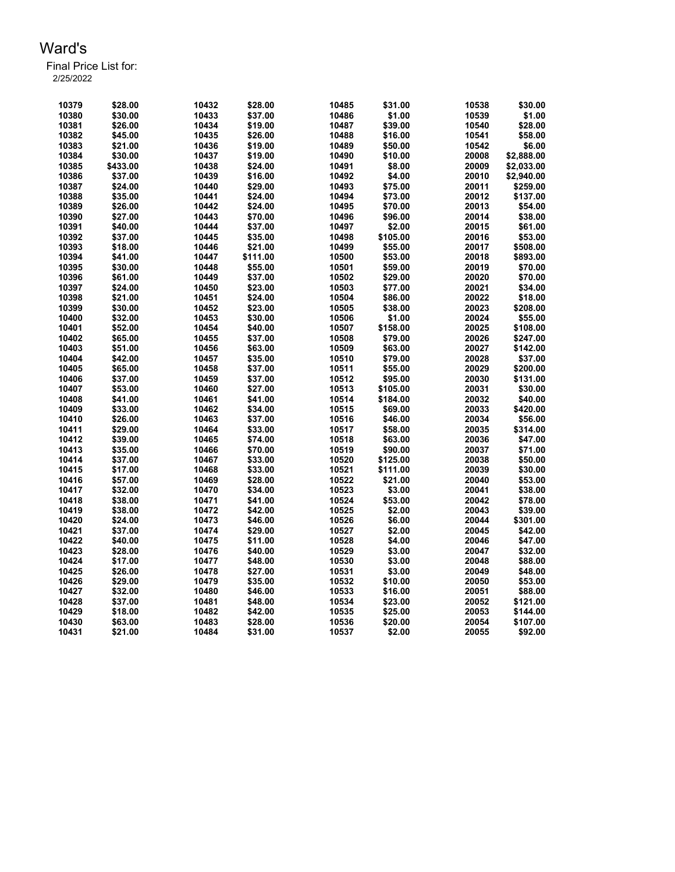| 10379 | \$28.00  | 10432 | \$28.00  | 10485          | \$31.00  | 10538 | \$30.00    |
|-------|----------|-------|----------|----------------|----------|-------|------------|
| 10380 | \$30.00  | 10433 | \$37.00  | 10486          | \$1.00   | 10539 | \$1.00     |
| 10381 | \$26.00  | 10434 | \$19.00  | 10487          | \$39.00  | 10540 | \$28.00    |
| 10382 | \$45.00  | 10435 | \$26.00  | 10488          | \$16.00  | 10541 | \$58.00    |
| 10383 | \$21.00  | 10436 | \$19.00  | 10489          | \$50.00  | 10542 | \$6.00     |
| 10384 | \$30.00  | 10437 | \$19.00  | 10490          | \$10.00  | 20008 | \$2,888.00 |
| 10385 | \$433.00 | 10438 | \$24.00  | 10491          | \$8.00   | 20009 | \$2,033.00 |
| 10386 | \$37.00  | 10439 | \$16.00  | 10492          | \$4.00   | 20010 | \$2,940.00 |
| 10387 | \$24.00  | 10440 | \$29.00  | 10493          | \$75.00  | 20011 | \$259.00   |
| 10388 | \$35.00  | 10441 | \$24.00  | 10494          | \$73.00  | 20012 | \$137.00   |
| 10389 | \$26.00  | 10442 | \$24.00  | 10495          | \$70.00  | 20013 | \$54.00    |
| 10390 | \$27.00  | 10443 | \$70.00  | 10496          | \$96.00  | 20014 | \$38.00    |
| 10391 | \$40.00  | 10444 | \$37.00  | 10497          | \$2.00   | 20015 | \$61.00    |
| 10392 | \$37.00  | 10445 | \$35.00  | 10498          | \$105.00 | 20016 | \$53.00    |
| 10393 | \$18.00  | 10446 | \$21.00  | 10499          | \$55.00  | 20017 | \$508.00   |
| 10394 | \$41.00  | 10447 | \$111.00 | 10500          | \$53.00  | 20018 | \$893.00   |
| 10395 | \$30.00  | 10448 | \$55.00  | 10501          | \$59.00  | 20019 | \$70.00    |
| 10396 | \$61.00  | 10449 | \$37.00  | 10502          | \$29.00  | 20020 | \$70.00    |
| 10397 | \$24.00  | 10450 | \$23.00  | 10503          | \$77.00  | 20021 | \$34.00    |
| 10398 | \$21.00  | 10451 | \$24.00  | 10504          | \$86.00  | 20022 | \$18.00    |
| 10399 |          |       |          |                |          | 20023 | \$208.00   |
| 10400 | \$30.00  | 10452 | \$23.00  | 10505<br>10506 | \$38.00  | 20024 | \$55.00    |
|       | \$32.00  | 10453 | \$30.00  |                | \$1.00   |       |            |
| 10401 | \$52.00  | 10454 | \$40.00  | 10507          | \$158.00 | 20025 | \$108.00   |
| 10402 | \$65.00  | 10455 | \$37.00  | 10508          | \$79.00  | 20026 | \$247.00   |
| 10403 | \$51.00  | 10456 | \$63.00  | 10509          | \$63.00  | 20027 | \$142.00   |
| 10404 | \$42.00  | 10457 | \$35.00  | 10510          | \$79.00  | 20028 | \$37.00    |
| 10405 | \$65.00  | 10458 | \$37.00  | 10511          | \$55.00  | 20029 | \$200.00   |
| 10406 | \$37.00  | 10459 | \$37.00  | 10512          | \$95.00  | 20030 | \$131.00   |
| 10407 | \$53.00  | 10460 | \$27.00  | 10513          | \$105.00 | 20031 | \$30.00    |
| 10408 | \$41.00  | 10461 | \$41.00  | 10514          | \$184.00 | 20032 | \$40.00    |
| 10409 | \$33.00  | 10462 | \$34.00  | 10515          | \$69.00  | 20033 | \$420.00   |
| 10410 | \$26.00  | 10463 | \$37.00  | 10516          | \$46.00  | 20034 | \$56.00    |
| 10411 | \$29.00  | 10464 | \$33.00  | 10517          | \$58.00  | 20035 | \$314.00   |
| 10412 | \$39.00  | 10465 | \$74.00  | 10518          | \$63.00  | 20036 | \$47.00    |
| 10413 | \$35.00  | 10466 | \$70.00  | 10519          | \$90.00  | 20037 | \$71.00    |
| 10414 | \$37.00  | 10467 | \$33.00  | 10520          | \$125.00 | 20038 | \$50.00    |
| 10415 | \$17.00  | 10468 | \$33.00  | 10521          | \$111.00 | 20039 | \$30.00    |
| 10416 | \$57.00  | 10469 | \$28.00  | 10522          | \$21.00  | 20040 | \$53.00    |
| 10417 | \$32.00  | 10470 | \$34.00  | 10523          | \$3.00   | 20041 | \$38.00    |
| 10418 | \$38.00  | 10471 | \$41.00  | 10524          | \$53.00  | 20042 | \$78.00    |
| 10419 | \$38.00  | 10472 | \$42.00  | 10525          | \$2.00   | 20043 | \$39.00    |
| 10420 | \$24.00  | 10473 | \$46.00  | 10526          | \$6.00   | 20044 | \$301.00   |
| 10421 | \$37.00  | 10474 | \$29.00  | 10527          | \$2.00   | 20045 | \$42.00    |
| 10422 | \$40.00  | 10475 | \$11.00  | 10528          | \$4.00   | 20046 | \$47.00    |
| 10423 | \$28.00  | 10476 | \$40.00  | 10529          | \$3.00   | 20047 | \$32.00    |
| 10424 | \$17.00  | 10477 | \$48.00  | 10530          | \$3.00   | 20048 | \$88.00    |
| 10425 | \$26.00  | 10478 | \$27.00  | 10531          | \$3.00   | 20049 | \$48.00    |
| 10426 | \$29.00  | 10479 | \$35.00  | 10532          | \$10.00  | 20050 | \$53.00    |
| 10427 | \$32.00  | 10480 | \$46.00  | 10533          | \$16.00  | 20051 | \$88.00    |
| 10428 | \$37.00  | 10481 | \$48.00  | 10534          | \$23.00  | 20052 | \$121.00   |
| 10429 | \$18.00  | 10482 | \$42.00  | 10535          | \$25.00  | 20053 | \$144.00   |
| 10430 | \$63.00  | 10483 | \$28.00  | 10536          | \$20.00  | 20054 | \$107.00   |
| 10431 | \$21.00  | 10484 | \$31.00  | 10537          | \$2.00   | 20055 | \$92.00    |
|       |          |       |          |                |          |       |            |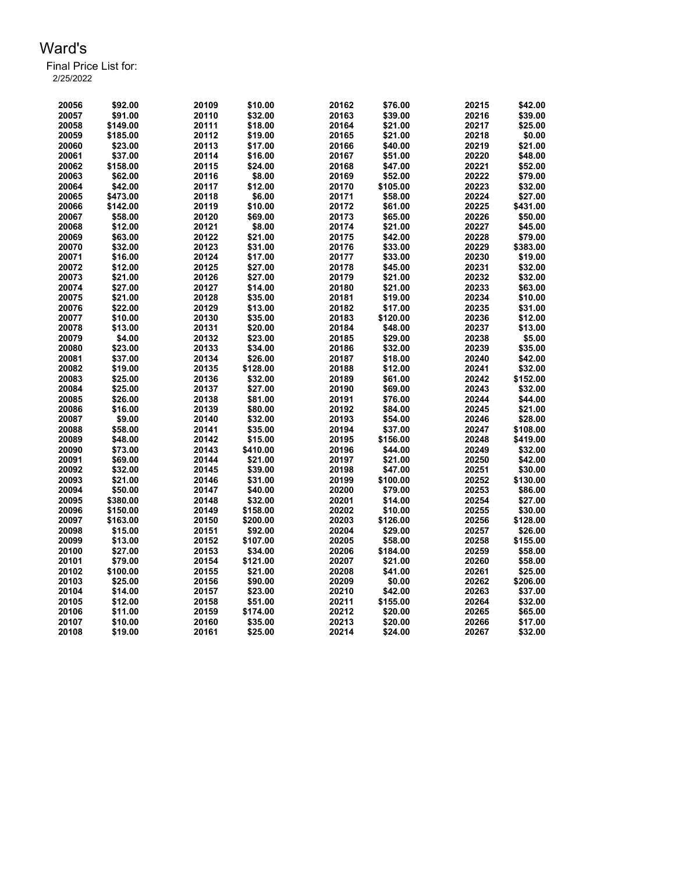| 20056 | \$92.00  | 20109 | \$10.00  | 20162 | \$76.00  | 20215 | \$42.00  |
|-------|----------|-------|----------|-------|----------|-------|----------|
| 20057 | \$91.00  | 20110 | \$32.00  | 20163 | \$39.00  | 20216 | \$39.00  |
| 20058 | \$149.00 | 20111 | \$18.00  | 20164 | \$21.00  | 20217 | \$25.00  |
| 20059 | \$185.00 | 20112 | \$19.00  | 20165 | \$21.00  | 20218 | \$0.00   |
| 20060 | \$23.00  | 20113 | \$17.00  | 20166 | \$40.00  | 20219 | \$21.00  |
| 20061 | \$37.00  | 20114 | \$16.00  | 20167 | \$51.00  | 20220 | \$48.00  |
| 20062 | \$158.00 | 20115 | \$24.00  | 20168 | \$47.00  | 20221 | \$52.00  |
| 20063 | \$62.00  | 20116 | \$8.00   | 20169 | \$52.00  | 20222 | \$79.00  |
| 20064 | \$42.00  | 20117 | \$12.00  | 20170 | \$105.00 | 20223 | \$32.00  |
| 20065 | \$473.00 | 20118 | \$6.00   | 20171 | \$58.00  | 20224 | \$27.00  |
| 20066 | \$142.00 | 20119 | \$10.00  | 20172 | \$61.00  | 20225 | \$431.00 |
| 20067 | \$58.00  | 20120 | \$69.00  | 20173 | \$65.00  | 20226 | \$50.00  |
| 20068 | \$12.00  | 20121 | \$8.00   | 20174 | \$21.00  | 20227 | \$45.00  |
| 20069 | \$63.00  | 20122 | \$21.00  | 20175 | \$42.00  | 20228 | \$79.00  |
| 20070 | \$32.00  | 20123 | \$31.00  | 20176 | \$33.00  | 20229 | \$383.00 |
| 20071 | \$16.00  | 20124 | \$17.00  | 20177 | \$33.00  | 20230 | \$19.00  |
| 20072 |          | 20125 |          | 20178 | \$45.00  | 20231 | \$32.00  |
|       | \$12.00  | 20126 | \$27.00  | 20179 |          | 20232 | \$32.00  |
| 20073 | \$21.00  |       | \$27.00  |       | \$21.00  |       |          |
| 20074 | \$27.00  | 20127 | \$14.00  | 20180 | \$21.00  | 20233 | \$63.00  |
| 20075 | \$21.00  | 20128 | \$35.00  | 20181 | \$19.00  | 20234 | \$10.00  |
| 20076 | \$22.00  | 20129 | \$13.00  | 20182 | \$17.00  | 20235 | \$31.00  |
| 20077 | \$10.00  | 20130 | \$35.00  | 20183 | \$120.00 | 20236 | \$12.00  |
| 20078 | \$13.00  | 20131 | \$20.00  | 20184 | \$48.00  | 20237 | \$13.00  |
| 20079 | \$4.00   | 20132 | \$23.00  | 20185 | \$29.00  | 20238 | \$5.00   |
| 20080 | \$23.00  | 20133 | \$34.00  | 20186 | \$32.00  | 20239 | \$35.00  |
| 20081 | \$37.00  | 20134 | \$26.00  | 20187 | \$18.00  | 20240 | \$42.00  |
| 20082 | \$19.00  | 20135 | \$128.00 | 20188 | \$12.00  | 20241 | \$32.00  |
| 20083 | \$25.00  | 20136 | \$32.00  | 20189 | \$61.00  | 20242 | \$152.00 |
| 20084 | \$25.00  | 20137 | \$27.00  | 20190 | \$69.00  | 20243 | \$32.00  |
| 20085 | \$26.00  | 20138 | \$81.00  | 20191 | \$76.00  | 20244 | \$44.00  |
| 20086 | \$16.00  | 20139 | \$80.00  | 20192 | \$84.00  | 20245 | \$21.00  |
| 20087 | \$9.00   | 20140 | \$32.00  | 20193 | \$54.00  | 20246 | \$28.00  |
| 20088 | \$58.00  | 20141 | \$35.00  | 20194 | \$37.00  | 20247 | \$108.00 |
| 20089 | \$48.00  | 20142 | \$15.00  | 20195 | \$156.00 | 20248 | \$419.00 |
| 20090 | \$73.00  | 20143 | \$410.00 | 20196 | \$44.00  | 20249 | \$32.00  |
| 20091 | \$69.00  | 20144 | \$21.00  | 20197 | \$21.00  | 20250 | \$42.00  |
| 20092 | \$32.00  | 20145 | \$39.00  | 20198 | \$47.00  | 20251 | \$30.00  |
| 20093 | \$21.00  | 20146 | \$31.00  | 20199 | \$100.00 | 20252 | \$130.00 |
| 20094 | \$50.00  | 20147 | \$40.00  | 20200 | \$79.00  | 20253 | \$86.00  |
| 20095 | \$380.00 | 20148 | \$32.00  | 20201 | \$14.00  | 20254 | \$27.00  |
| 20096 | \$150.00 | 20149 | \$158.00 | 20202 | \$10.00  | 20255 | \$30.00  |
| 20097 | \$163.00 | 20150 | \$200.00 | 20203 | \$126.00 | 20256 | \$128.00 |
| 20098 | \$15.00  | 20151 | \$92.00  | 20204 | \$29.00  | 20257 | \$26.00  |
| 20099 | \$13.00  | 20152 | \$107.00 | 20205 | \$58.00  | 20258 | \$155.00 |
| 20100 | \$27.00  | 20153 | \$34.00  | 20206 | \$184.00 | 20259 | \$58.00  |
| 20101 | \$79.00  | 20154 | \$121.00 | 20207 | \$21.00  | 20260 | \$58.00  |
| 20102 | \$100.00 | 20155 | \$21.00  | 20208 | \$41.00  | 20261 | \$25.00  |
| 20103 | \$25.00  | 20156 | \$90.00  | 20209 | \$0.00   | 20262 | \$206.00 |
| 20104 | \$14.00  | 20157 | \$23.00  | 20210 | \$42.00  | 20263 | \$37.00  |
| 20105 | \$12.00  | 20158 | \$51.00  | 20211 | \$155.00 | 20264 | \$32.00  |
| 20106 | \$11.00  | 20159 | \$174.00 | 20212 | \$20.00  | 20265 | \$65.00  |
| 20107 | \$10.00  | 20160 | \$35.00  | 20213 | \$20.00  | 20266 | \$17.00  |
| 20108 | \$19.00  | 20161 | \$25.00  | 20214 | \$24.00  | 20267 | \$32.00  |
|       |          |       |          |       |          |       |          |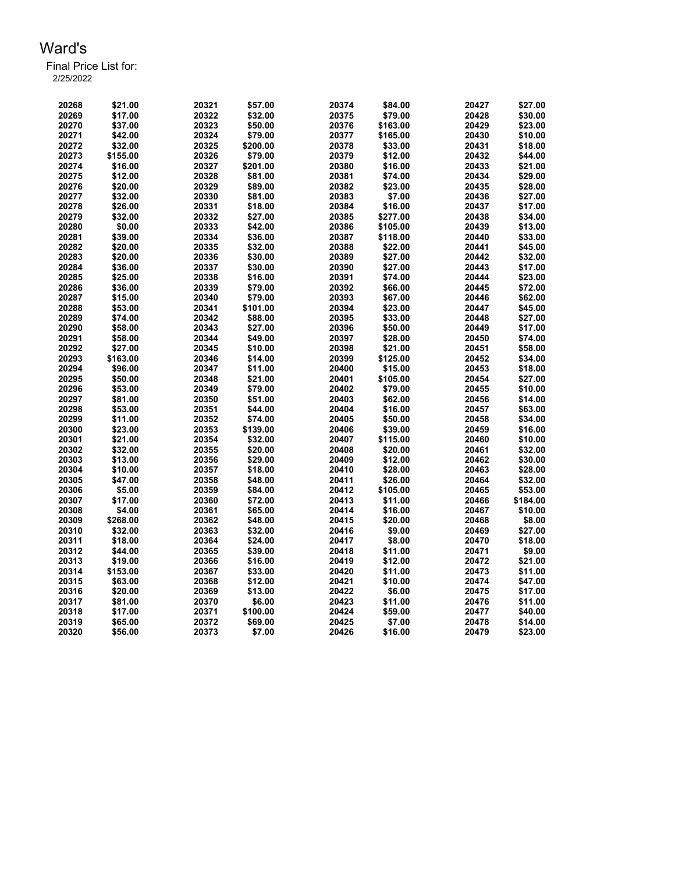| 20268          | \$21.00            | 20321          | \$57.00  | 20374 | \$84.00  | 20427          | \$27.00  |
|----------------|--------------------|----------------|----------|-------|----------|----------------|----------|
| 20269          | \$17.00            | 20322          | \$32.00  | 20375 | \$79.00  | 20428          | \$30.00  |
| 20270          | \$37.00            | 20323          | \$50.00  | 20376 | \$163.00 | 20429          | \$23.00  |
| 20271          | \$42.00            | 20324          | \$79.00  | 20377 | \$165.00 | 20430          | \$10.00  |
| 20272          | \$32.00            | 20325          | \$200.00 | 20378 | \$33.00  | 20431          | \$18.00  |
| 20273          | \$155.00           | 20326          | \$79.00  | 20379 | \$12.00  | 20432          | \$44.00  |
| 20274          | \$16.00            | 20327          | \$201.00 | 20380 | \$16.00  | 20433          | \$21.00  |
| 20275          | \$12.00            | 20328          | \$81.00  | 20381 | \$74.00  | 20434          | \$29.00  |
| 20276          | \$20.00            | 20329          | \$89.00  | 20382 | \$23.00  | 20435          | \$28.00  |
| 20277          | \$32.00            | 20330          | \$81.00  | 20383 | \$7.00   | 20436          | \$27.00  |
| 20278          | \$26.00            | 20331          | \$18.00  | 20384 | \$16.00  | 20437          | \$17.00  |
| 20279          | \$32.00            | 20332          | \$27.00  | 20385 | \$277.00 | 20438          | \$34.00  |
| 20280          | \$0.00             | 20333          | \$42.00  | 20386 | \$105.00 | 20439          | \$13.00  |
| 20281          | \$39.00            | 20334          | \$36.00  | 20387 | \$118.00 | 20440          | \$33.00  |
| 20282          | \$20.00            | 20335          | \$32.00  | 20388 | \$22.00  | 20441          | \$45.00  |
| 20283          | \$20.00            | 20336          | \$30.00  | 20389 | \$27.00  | 20442          | \$32.00  |
| 20284          | \$36.00            | 20337          | \$30.00  | 20390 | \$27.00  | 20443          | \$17.00  |
| 20285          | \$25.00            | 20338          | \$16.00  | 20391 | \$74.00  | 20444          | \$23.00  |
| 20286          | \$36.00            | 20339          | \$79.00  | 20392 | \$66.00  | 20445          | \$72.00  |
| 20287          | \$15.00            | 20340          | \$79.00  | 20393 | \$67.00  | 20446          | \$62.00  |
| 20288          | \$53.00            | 20341          | \$101.00 | 20394 | \$23.00  | 20447          | \$45.00  |
| 20289          | \$74.00            | 20342          | \$88.00  | 20395 | \$33.00  | 20448          | \$27.00  |
| 20290          | \$58.00            | 20343          | \$27.00  | 20396 | \$50.00  | 20449          | \$17.00  |
| 20291          | \$58.00            | 20344          | \$49.00  | 20397 | \$28.00  | 20450          | \$74.00  |
| 20292          | \$27.00            | 20345          | \$10.00  | 20398 | \$21.00  | 20451          | \$58.00  |
| 20293          | \$163.00           | 20346          | \$14.00  | 20399 | \$125.00 | 20452          | \$34.00  |
|                |                    | 20347          | \$11.00  | 20400 | \$15.00  | 20453          | \$18.00  |
| 20294<br>20295 | \$96.00<br>\$50.00 | 20348          | \$21.00  | 20401 | \$105.00 | 20454          | \$27.00  |
|                | \$53.00            | 20349          |          | 20402 | \$79.00  | 20455          | \$10.00  |
| 20296          |                    |                | \$79.00  |       |          |                |          |
| 20297          | \$81.00            | 20350          | \$51.00  | 20403 | \$62.00  | 20456          | \$14.00  |
| 20298          | \$53.00            | 20351<br>20352 | \$44.00  | 20404 | \$16.00  | 20457<br>20458 | \$63.00  |
| 20299          | \$11.00            |                | \$74.00  | 20405 | \$50.00  |                | \$34.00  |
| 20300          | \$23.00            | 20353          | \$139.00 | 20406 | \$39.00  | 20459          | \$16.00  |
| 20301          | \$21.00            | 20354          | \$32.00  | 20407 | \$115.00 | 20460          | \$10.00  |
| 20302          | \$32.00            | 20355          | \$20.00  | 20408 | \$20.00  | 20461          | \$32.00  |
| 20303          | \$13.00            | 20356          | \$29.00  | 20409 | \$12.00  | 20462          | \$30.00  |
| 20304          | \$10.00            | 20357          | \$18.00  | 20410 | \$28.00  | 20463          | \$28.00  |
| 20305          | \$47.00            | 20358          | \$48.00  | 20411 | \$26.00  | 20464          | \$32.00  |
| 20306          | \$5.00             | 20359          | \$84.00  | 20412 | \$105.00 | 20465          | \$53.00  |
| 20307          | \$17.00            | 20360          | \$72.00  | 20413 | \$11.00  | 20466          | \$184.00 |
| 20308          | \$4.00             | 20361          | \$65.00  | 20414 | \$16.00  | 20467          | \$10.00  |
| 20309          | \$268.00           | 20362          | \$48.00  | 20415 | \$20.00  | 20468          | \$8.00   |
| 20310          | \$32.00            | 20363          | \$32.00  | 20416 | \$9.00   | 20469          | \$27.00  |
| 20311          | \$18.00            | 20364          | \$24.00  | 20417 | \$8.00   | 20470          | \$18.00  |
| 20312          | \$44.00            | 20365          | \$39.00  | 20418 | \$11.00  | 20471          | \$9.00   |
| 20313          | \$19.00            | 20366          | \$16.00  | 20419 | \$12.00  | 20472          | \$21.00  |
| 20314          | \$153.00           | 20367          | \$33.00  | 20420 | \$11.00  | 20473          | \$11.00  |
| 20315          | \$63.00            | 20368          | \$12.00  | 20421 | \$10.00  | 20474          | \$47.00  |
| 20316          | \$20.00            | 20369          | \$13.00  | 20422 | \$6.00   | 20475          | \$17.00  |
| 20317          | \$81.00            | 20370          | \$6.00   | 20423 | \$11.00  | 20476          | \$11.00  |
| 20318          | \$17.00            | 20371          | \$100.00 | 20424 | \$59.00  | 20477          | \$40.00  |
| 20319          | \$65.00            | 20372          | \$69.00  | 20425 | \$7.00   | 20478          | \$14.00  |
| 20320          | \$56.00            | 20373          | \$7.00   | 20426 | \$16.00  | 20479          | \$23.00  |
|                |                    |                |          |       |          |                |          |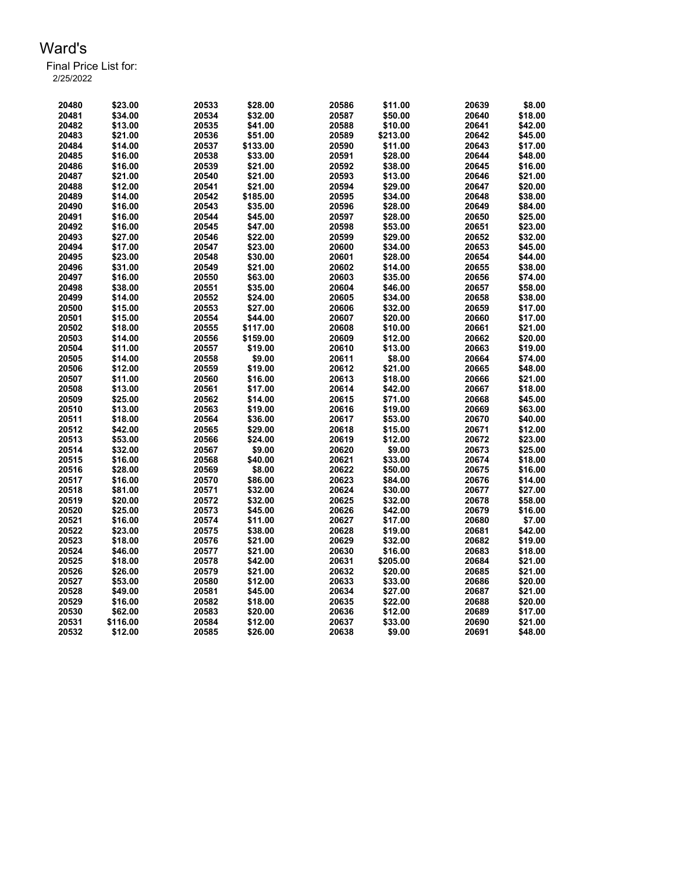| 20480 | \$23.00  | 20533 | \$28.00  | 20586 | \$11.00            | 20639 | \$8.00  |
|-------|----------|-------|----------|-------|--------------------|-------|---------|
| 20481 | \$34.00  | 20534 | \$32.00  | 20587 | \$50.00            | 20640 | \$18.00 |
| 20482 | \$13.00  | 20535 | \$41.00  | 20588 | \$10.00            | 20641 | \$42.00 |
| 20483 | \$21.00  | 20536 | \$51.00  | 20589 | \$213.00           | 20642 | \$45.00 |
| 20484 | \$14.00  | 20537 | \$133.00 | 20590 | \$11.00            | 20643 | \$17.00 |
| 20485 | \$16.00  | 20538 | \$33.00  | 20591 | \$28.00            | 20644 | \$48.00 |
| 20486 | \$16.00  | 20539 | \$21.00  | 20592 | \$38.00            | 20645 | \$16.00 |
| 20487 | \$21.00  | 20540 | \$21.00  | 20593 | \$13.00            | 20646 | \$21.00 |
| 20488 | \$12.00  | 20541 | \$21.00  | 20594 | \$29.00            | 20647 | \$20.00 |
| 20489 | \$14.00  | 20542 | \$185.00 | 20595 |                    | 20648 | \$38.00 |
| 20490 |          | 20543 | \$35.00  | 20596 | \$34.00<br>\$28.00 | 20649 | \$84.00 |
|       | \$16.00  |       | \$45.00  |       |                    |       |         |
| 20491 | \$16.00  | 20544 |          | 20597 | \$28.00            | 20650 | \$25.00 |
| 20492 | \$16.00  | 20545 | \$47.00  | 20598 | \$53.00            | 20651 | \$23.00 |
| 20493 | \$27.00  | 20546 | \$22.00  | 20599 | \$29.00            | 20652 | \$32.00 |
| 20494 | \$17.00  | 20547 | \$23.00  | 20600 | \$34.00            | 20653 | \$45.00 |
| 20495 | \$23.00  | 20548 | \$30.00  | 20601 | \$28.00            | 20654 | \$44.00 |
| 20496 | \$31.00  | 20549 | \$21.00  | 20602 | \$14.00            | 20655 | \$38.00 |
| 20497 | \$16.00  | 20550 | \$63.00  | 20603 | \$35.00            | 20656 | \$74.00 |
| 20498 | \$38.00  | 20551 | \$35.00  | 20604 | \$46.00            | 20657 | \$58.00 |
| 20499 | \$14.00  | 20552 | \$24.00  | 20605 | \$34.00            | 20658 | \$38.00 |
| 20500 | \$15.00  | 20553 | \$27.00  | 20606 | \$32.00            | 20659 | \$17.00 |
| 20501 | \$15.00  | 20554 | \$44.00  | 20607 | \$20.00            | 20660 | \$17.00 |
| 20502 | \$18.00  | 20555 | \$117.00 | 20608 | \$10.00            | 20661 | \$21.00 |
| 20503 | \$14.00  | 20556 | \$159.00 | 20609 | \$12.00            | 20662 | \$20.00 |
| 20504 | \$11.00  | 20557 | \$19.00  | 20610 | \$13.00            | 20663 | \$19.00 |
| 20505 | \$14.00  | 20558 | \$9.00   | 20611 | \$8.00             | 20664 | \$74.00 |
| 20506 | \$12.00  | 20559 | \$19.00  | 20612 | \$21.00            | 20665 | \$48.00 |
| 20507 | \$11.00  | 20560 | \$16.00  | 20613 | \$18.00            | 20666 | \$21.00 |
| 20508 | \$13.00  | 20561 | \$17.00  | 20614 | \$42.00            | 20667 | \$18.00 |
| 20509 | \$25.00  | 20562 | \$14.00  | 20615 | \$71.00            | 20668 | \$45.00 |
| 20510 | \$13.00  | 20563 | \$19.00  | 20616 | \$19.00            | 20669 | \$63.00 |
| 20511 | \$18.00  | 20564 | \$36.00  | 20617 | \$53.00            | 20670 | \$40.00 |
| 20512 | \$42.00  | 20565 | \$29.00  | 20618 | \$15.00            | 20671 | \$12.00 |
| 20513 | \$53.00  | 20566 | \$24.00  | 20619 | \$12.00            | 20672 | \$23.00 |
|       |          |       | \$9.00   |       | \$9.00             |       | \$25.00 |
| 20514 | \$32.00  | 20567 |          | 20620 |                    | 20673 |         |
| 20515 | \$16.00  | 20568 | \$40.00  | 20621 | \$33.00            | 20674 | \$18.00 |
| 20516 | \$28.00  | 20569 | \$8.00   | 20622 | \$50.00            | 20675 | \$16.00 |
| 20517 | \$16.00  | 20570 | \$86.00  | 20623 | \$84.00            | 20676 | \$14.00 |
| 20518 | \$81.00  | 20571 | \$32.00  | 20624 | \$30.00            | 20677 | \$27.00 |
| 20519 | \$20.00  | 20572 | \$32.00  | 20625 | \$32.00            | 20678 | \$58.00 |
| 20520 | \$25.00  | 20573 | \$45.00  | 20626 | \$42.00            | 20679 | \$16.00 |
| 20521 | \$16.00  | 20574 | \$11.00  | 20627 | \$17.00            | 20680 | \$7.00  |
| 20522 | \$23.00  | 20575 | \$38.00  | 20628 | \$19.00            | 20681 | \$42.00 |
| 20523 | \$18.00  | 20576 | \$21.00  | 20629 | \$32.00            | 20682 | \$19.00 |
| 20524 | \$46.00  | 20577 | \$21.00  | 20630 | \$16.00            | 20683 | \$18.00 |
| 20525 | \$18.00  | 20578 | \$42.00  | 20631 | \$205.00           | 20684 | \$21.00 |
| 20526 | \$26.00  | 20579 | \$21.00  | 20632 | \$20.00            | 20685 | \$21.00 |
| 20527 | \$53.00  | 20580 | \$12.00  | 20633 | \$33.00            | 20686 | \$20.00 |
| 20528 | \$49.00  | 20581 | \$45.00  | 20634 | \$27.00            | 20687 | \$21.00 |
| 20529 | \$16.00  | 20582 | \$18.00  | 20635 | \$22.00            | 20688 | \$20.00 |
| 20530 | \$62.00  | 20583 | \$20.00  | 20636 | \$12.00            | 20689 | \$17.00 |
| 20531 | \$116.00 | 20584 | \$12.00  | 20637 | \$33.00            | 20690 | \$21.00 |
| 20532 | \$12.00  | 20585 | \$26.00  | 20638 | \$9.00             | 20691 | \$48.00 |
|       |          |       |          |       |                    |       |         |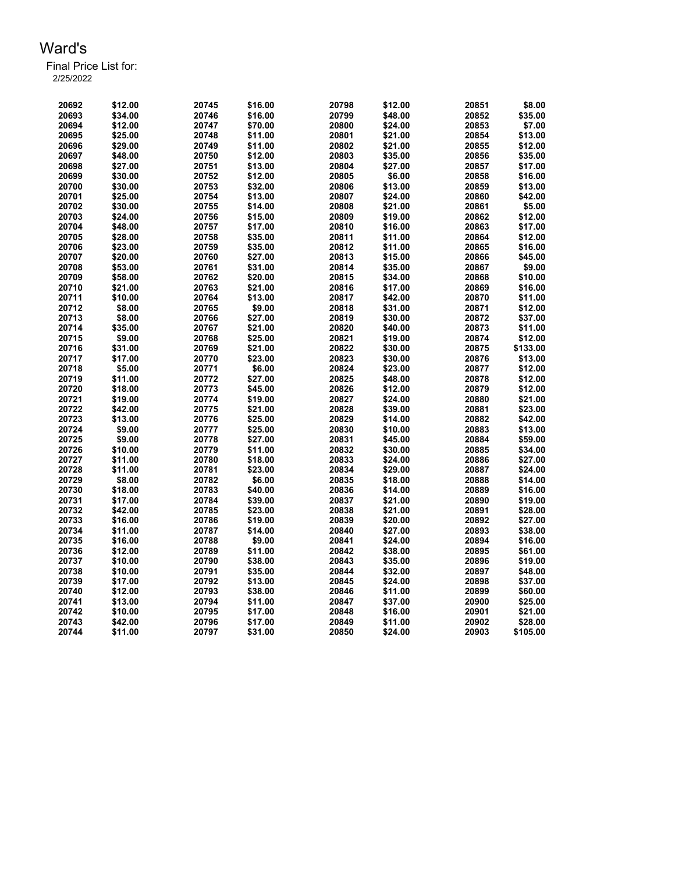| 20692 | \$12.00 | 20745 | \$16.00 | 20798 | \$12.00 | 20851 | \$8.00   |
|-------|---------|-------|---------|-------|---------|-------|----------|
| 20693 | \$34.00 | 20746 | \$16.00 | 20799 | \$48.00 | 20852 | \$35.00  |
| 20694 | \$12.00 | 20747 | \$70.00 | 20800 | \$24.00 | 20853 | \$7.00   |
| 20695 | \$25.00 | 20748 | \$11.00 | 20801 | \$21.00 | 20854 | \$13.00  |
| 20696 | \$29.00 | 20749 | \$11.00 | 20802 | \$21.00 | 20855 | \$12.00  |
| 20697 | \$48.00 | 20750 | \$12.00 | 20803 | \$35.00 | 20856 | \$35.00  |
| 20698 | \$27.00 | 20751 | \$13.00 | 20804 | \$27.00 | 20857 | \$17.00  |
| 20699 | \$30.00 | 20752 | \$12.00 | 20805 | \$6.00  | 20858 | \$16.00  |
| 20700 | \$30.00 | 20753 | \$32.00 | 20806 | \$13.00 | 20859 | \$13.00  |
| 20701 | \$25.00 | 20754 | \$13.00 | 20807 | \$24.00 | 20860 | \$42.00  |
| 20702 | \$30.00 | 20755 | \$14.00 | 20808 | \$21.00 | 20861 | \$5.00   |
| 20703 | \$24.00 | 20756 | \$15.00 | 20809 | \$19.00 | 20862 | \$12.00  |
| 20704 | \$48.00 | 20757 | \$17.00 | 20810 | \$16.00 | 20863 | \$17.00  |
|       |         |       |         |       |         |       |          |
| 20705 | \$28.00 | 20758 | \$35.00 | 20811 | \$11.00 | 20864 | \$12.00  |
| 20706 | \$23.00 | 20759 | \$35.00 | 20812 | \$11.00 | 20865 | \$16.00  |
| 20707 | \$20.00 | 20760 | \$27.00 | 20813 | \$15.00 | 20866 | \$45.00  |
| 20708 | \$53.00 | 20761 | \$31.00 | 20814 | \$35.00 | 20867 | \$9.00   |
| 20709 | \$58.00 | 20762 | \$20.00 | 20815 | \$34.00 | 20868 | \$10.00  |
| 20710 | \$21.00 | 20763 | \$21.00 | 20816 | \$17.00 | 20869 | \$16.00  |
| 20711 | \$10.00 | 20764 | \$13.00 | 20817 | \$42.00 | 20870 | \$11.00  |
| 20712 | \$8.00  | 20765 | \$9.00  | 20818 | \$31.00 | 20871 | \$12.00  |
| 20713 | \$8.00  | 20766 | \$27.00 | 20819 | \$30.00 | 20872 | \$37.00  |
| 20714 | \$35.00 | 20767 | \$21.00 | 20820 | \$40.00 | 20873 | \$11.00  |
| 20715 | \$9.00  | 20768 | \$25.00 | 20821 | \$19.00 | 20874 | \$12.00  |
| 20716 | \$31.00 | 20769 | \$21.00 | 20822 | \$30.00 | 20875 | \$133.00 |
| 20717 | \$17.00 | 20770 | \$23.00 | 20823 | \$30.00 | 20876 | \$13.00  |
| 20718 | \$5.00  | 20771 | \$6.00  | 20824 | \$23.00 | 20877 | \$12.00  |
| 20719 | \$11.00 | 20772 | \$27.00 | 20825 | \$48.00 | 20878 | \$12.00  |
| 20720 | \$18.00 | 20773 | \$45.00 | 20826 | \$12.00 | 20879 | \$12.00  |
| 20721 | \$19.00 | 20774 | \$19.00 | 20827 | \$24.00 | 20880 | \$21.00  |
| 20722 | \$42.00 | 20775 | \$21.00 | 20828 | \$39.00 | 20881 | \$23.00  |
| 20723 | \$13.00 | 20776 | \$25.00 | 20829 | \$14.00 | 20882 | \$42.00  |
| 20724 | \$9.00  | 20777 | \$25.00 | 20830 | \$10.00 | 20883 | \$13.00  |
| 20725 | \$9.00  | 20778 | \$27.00 | 20831 | \$45.00 | 20884 | \$59.00  |
| 20726 | \$10.00 | 20779 | \$11.00 | 20832 | \$30.00 | 20885 | \$34.00  |
| 20727 | \$11.00 | 20780 | \$18.00 | 20833 | \$24.00 | 20886 | \$27.00  |
| 20728 | \$11.00 | 20781 | \$23.00 | 20834 | \$29.00 | 20887 | \$24.00  |
| 20729 | \$8.00  | 20782 | \$6.00  | 20835 | \$18.00 | 20888 | \$14.00  |
| 20730 | \$18.00 | 20783 | \$40.00 | 20836 | \$14.00 | 20889 | \$16.00  |
| 20731 | \$17.00 | 20784 | \$39.00 | 20837 | \$21.00 | 20890 | \$19.00  |
| 20732 | \$42.00 | 20785 | \$23.00 | 20838 | \$21.00 | 20891 | \$28.00  |
| 20733 | \$16.00 | 20786 | \$19.00 | 20839 | \$20.00 | 20892 | \$27.00  |
| 20734 | \$11.00 | 20787 | \$14.00 | 20840 | \$27.00 | 20893 | \$38.00  |
| 20735 | \$16.00 | 20788 | \$9.00  | 20841 | \$24.00 | 20894 | \$16.00  |
| 20736 | \$12.00 | 20789 | \$11.00 | 20842 | \$38.00 | 20895 | \$61.00  |
|       |         |       |         |       |         |       |          |
| 20737 | \$10.00 | 20790 | \$38.00 | 20843 | \$35.00 | 20896 | \$19.00  |
| 20738 | \$10.00 | 20791 | \$35.00 | 20844 | \$32.00 | 20897 | \$48.00  |
| 20739 | \$17.00 | 20792 | \$13.00 | 20845 | \$24.00 | 20898 | \$37.00  |
| 20740 | \$12.00 | 20793 | \$38.00 | 20846 | \$11.00 | 20899 | \$60.00  |
| 20741 | \$13.00 | 20794 | \$11.00 | 20847 | \$37.00 | 20900 | \$25.00  |
| 20742 | \$10.00 | 20795 | \$17.00 | 20848 | \$16.00 | 20901 | \$21.00  |
| 20743 | \$42.00 | 20796 | \$17.00 | 20849 | \$11.00 | 20902 | \$28.00  |
| 20744 | \$11.00 | 20797 | \$31.00 | 20850 | \$24.00 | 20903 | \$105.00 |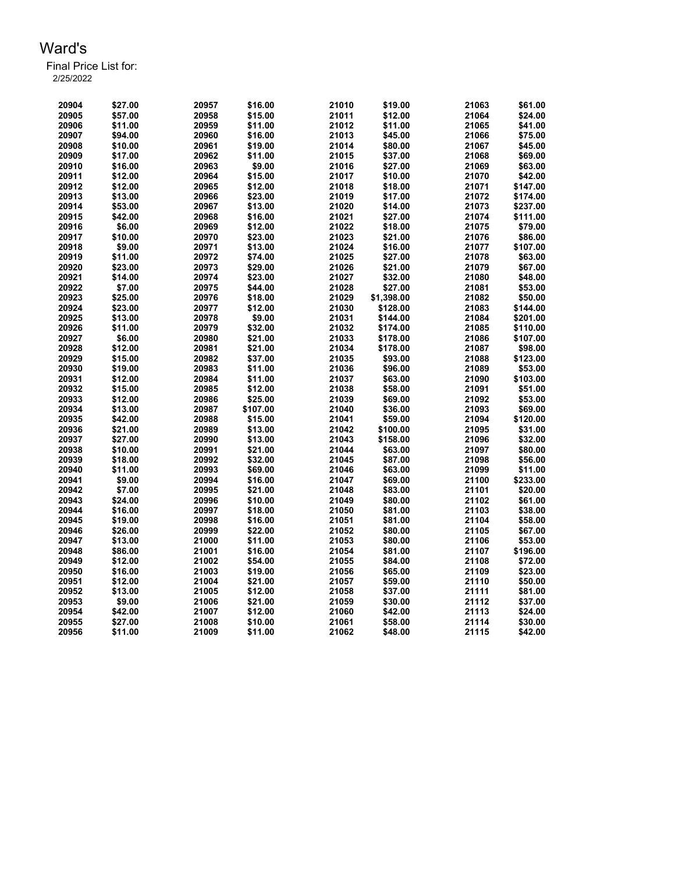| 20904 | \$27.00 | 20957 | \$16.00  | 21010 | \$19.00    | 21063 | \$61.00  |
|-------|---------|-------|----------|-------|------------|-------|----------|
| 20905 | \$57.00 | 20958 | \$15.00  | 21011 | \$12.00    | 21064 | \$24.00  |
| 20906 | \$11.00 | 20959 | \$11.00  | 21012 | \$11.00    | 21065 | \$41.00  |
| 20907 | \$94.00 | 20960 | \$16.00  | 21013 | \$45.00    | 21066 | \$75.00  |
| 20908 | \$10.00 | 20961 | \$19.00  | 21014 | \$80.00    | 21067 | \$45.00  |
| 20909 | \$17.00 | 20962 | \$11.00  | 21015 | \$37.00    | 21068 | \$69.00  |
| 20910 | \$16.00 | 20963 | \$9.00   | 21016 | \$27.00    | 21069 | \$63.00  |
| 20911 | \$12.00 | 20964 | \$15.00  | 21017 | \$10.00    | 21070 | \$42.00  |
| 20912 | \$12.00 | 20965 | \$12.00  | 21018 | \$18.00    | 21071 | \$147.00 |
| 20913 | \$13.00 | 20966 | \$23.00  | 21019 | \$17.00    | 21072 | \$174.00 |
| 20914 | \$53.00 | 20967 | \$13.00  | 21020 | \$14.00    | 21073 | \$237.00 |
| 20915 | \$42.00 | 20968 | \$16.00  | 21021 | \$27.00    | 21074 | \$111.00 |
| 20916 | \$6.00  | 20969 | \$12.00  | 21022 | \$18.00    | 21075 | \$79.00  |
| 20917 | \$10.00 | 20970 | \$23.00  | 21023 | \$21.00    | 21076 | \$86.00  |
| 20918 | \$9.00  | 20971 | \$13.00  | 21024 | \$16.00    | 21077 | \$107.00 |
| 20919 | \$11.00 | 20972 | \$74.00  | 21025 | \$27.00    | 21078 | \$63.00  |
| 20920 | \$23.00 | 20973 | \$29.00  | 21026 | \$21.00    | 21079 | \$67.00  |
| 20921 | \$14.00 | 20974 | \$23.00  | 21027 | \$32.00    | 21080 | \$48.00  |
|       |         |       |          |       |            |       | \$53.00  |
| 20922 | \$7.00  | 20975 | \$44.00  | 21028 | \$27.00    | 21081 |          |
| 20923 | \$25.00 | 20976 | \$18.00  | 21029 | \$1,398.00 | 21082 | \$50.00  |
| 20924 | \$23.00 | 20977 | \$12.00  | 21030 | \$128.00   | 21083 | \$144.00 |
| 20925 | \$13.00 | 20978 | \$9.00   | 21031 | \$144.00   | 21084 | \$201.00 |
| 20926 | \$11.00 | 20979 | \$32.00  | 21032 | \$174.00   | 21085 | \$110.00 |
| 20927 | \$6.00  | 20980 | \$21.00  | 21033 | \$178.00   | 21086 | \$107.00 |
| 20928 | \$12.00 | 20981 | \$21.00  | 21034 | \$178.00   | 21087 | \$98.00  |
| 20929 | \$15.00 | 20982 | \$37.00  | 21035 | \$93.00    | 21088 | \$123.00 |
| 20930 | \$19.00 | 20983 | \$11.00  | 21036 | \$96.00    | 21089 | \$53.00  |
| 20931 | \$12.00 | 20984 | \$11.00  | 21037 | \$63.00    | 21090 | \$103.00 |
| 20932 | \$15.00 | 20985 | \$12.00  | 21038 | \$58.00    | 21091 | \$51.00  |
| 20933 | \$12.00 | 20986 | \$25.00  | 21039 | \$69.00    | 21092 | \$53.00  |
| 20934 | \$13.00 | 20987 | \$107.00 | 21040 | \$36.00    | 21093 | \$69.00  |
| 20935 | \$42.00 | 20988 | \$15.00  | 21041 | \$59.00    | 21094 | \$120.00 |
| 20936 | \$21.00 | 20989 | \$13.00  | 21042 | \$100.00   | 21095 | \$31.00  |
| 20937 | \$27.00 | 20990 | \$13.00  | 21043 | \$158.00   | 21096 | \$32.00  |
| 20938 | \$10.00 | 20991 | \$21.00  | 21044 | \$63.00    | 21097 | \$80.00  |
| 20939 | \$18.00 | 20992 | \$32.00  | 21045 | \$87.00    | 21098 | \$56.00  |
| 20940 | \$11.00 | 20993 | \$69.00  | 21046 | \$63.00    | 21099 | \$11.00  |
| 20941 | \$9.00  | 20994 | \$16.00  | 21047 | \$69.00    | 21100 | \$233.00 |
| 20942 | \$7.00  | 20995 | \$21.00  | 21048 | \$83.00    | 21101 | \$20.00  |
| 20943 | \$24.00 | 20996 | \$10.00  | 21049 | \$80.00    | 21102 | \$61.00  |
| 20944 | \$16.00 | 20997 | \$18.00  | 21050 | \$81.00    | 21103 | \$38.00  |
| 20945 | \$19.00 | 20998 | \$16.00  | 21051 | \$81.00    | 21104 | \$58.00  |
| 20946 | \$26.00 | 20999 | \$22.00  | 21052 | \$80.00    | 21105 | \$67.00  |
| 20947 | \$13.00 | 21000 | \$11.00  | 21053 | \$80.00    | 21106 | \$53.00  |
| 20948 | \$86.00 | 21001 | \$16.00  | 21054 | \$81.00    | 21107 | \$196.00 |
| 20949 | \$12.00 | 21002 | \$54.00  | 21055 | \$84.00    | 21108 | \$72.00  |
| 20950 | \$16.00 | 21003 | \$19.00  | 21056 | \$65.00    | 21109 | \$23.00  |
| 20951 | \$12.00 | 21004 | \$21.00  | 21057 | \$59.00    | 21110 | \$50.00  |
| 20952 | \$13.00 | 21005 | \$12.00  | 21058 | \$37.00    | 21111 | \$81.00  |
| 20953 | \$9.00  | 21006 | \$21.00  | 21059 | \$30.00    | 21112 | \$37.00  |
| 20954 | \$42.00 | 21007 | \$12.00  | 21060 | \$42.00    | 21113 | \$24.00  |
| 20955 | \$27.00 | 21008 | \$10.00  | 21061 | \$58.00    | 21114 | \$30.00  |
| 20956 | \$11.00 | 21009 | \$11.00  | 21062 | \$48.00    | 21115 | \$42.00  |
|       |         |       |          |       |            |       |          |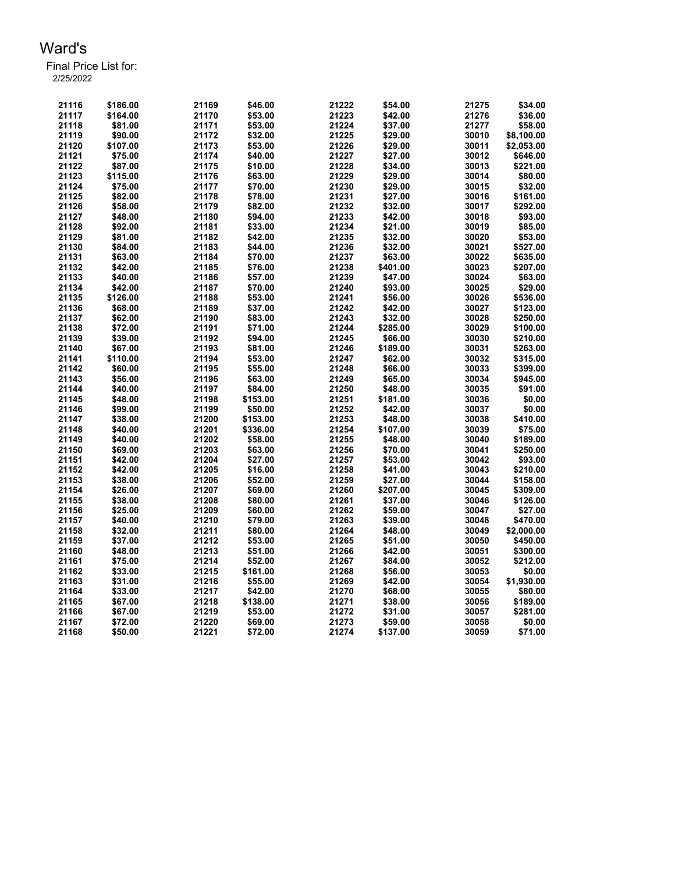| 21116 | \$186.00 | 21169 | \$46.00  | 21222 | \$54.00  | 21275 | \$34.00    |
|-------|----------|-------|----------|-------|----------|-------|------------|
| 21117 |          |       |          |       |          |       |            |
|       | \$164.00 | 21170 | \$53.00  | 21223 | \$42.00  | 21276 | \$36.00    |
| 21118 | \$81.00  | 21171 | \$53.00  | 21224 | \$37.00  | 21277 | \$58.00    |
| 21119 | \$90.00  | 21172 | \$32.00  | 21225 | \$29.00  | 30010 | \$8,100.00 |
| 21120 | \$107.00 | 21173 | \$53.00  | 21226 | \$29.00  | 30011 | \$2,053.00 |
| 21121 | \$75.00  | 21174 | \$40.00  | 21227 | \$27.00  | 30012 | \$646.00   |
| 21122 | \$87.00  | 21175 | \$10.00  | 21228 | \$34.00  | 30013 | \$221.00   |
| 21123 | \$115.00 | 21176 | \$63.00  | 21229 | \$29.00  | 30014 | \$80.00    |
| 21124 | \$75.00  | 21177 | \$70.00  | 21230 | \$29.00  | 30015 | \$32.00    |
| 21125 | \$82.00  | 21178 | \$78.00  | 21231 | \$27.00  | 30016 | \$161.00   |
| 21126 | \$58.00  | 21179 | \$82.00  | 21232 | \$32.00  | 30017 | \$292.00   |
| 21127 | \$48.00  | 21180 | \$94.00  | 21233 | \$42.00  | 30018 | \$93.00    |
| 21128 | \$92.00  | 21181 | \$33.00  | 21234 | \$21.00  | 30019 | \$85.00    |
| 21129 | \$81.00  | 21182 | \$42.00  | 21235 | \$32.00  | 30020 | \$53.00    |
| 21130 | \$84.00  | 21183 | \$44.00  | 21236 | \$32.00  | 30021 | \$527.00   |
| 21131 |          |       |          | 21237 |          | 30022 |            |
|       | \$63.00  | 21184 | \$70.00  |       | \$63.00  |       | \$635.00   |
| 21132 | \$42.00  | 21185 | \$76.00  | 21238 | \$401.00 | 30023 | \$207.00   |
| 21133 | \$40.00  | 21186 | \$57.00  | 21239 | \$47.00  | 30024 | \$63.00    |
| 21134 | \$42.00  | 21187 | \$70.00  | 21240 | \$93.00  | 30025 | \$29.00    |
| 21135 | \$126.00 | 21188 | \$53.00  | 21241 | \$56.00  | 30026 | \$536.00   |
| 21136 | \$68.00  | 21189 | \$37.00  | 21242 | \$42.00  | 30027 | \$123.00   |
| 21137 | \$62.00  | 21190 | \$83.00  | 21243 | \$32.00  | 30028 | \$250.00   |
| 21138 | \$72.00  | 21191 | \$71.00  | 21244 | \$285.00 | 30029 | \$100.00   |
| 21139 | \$39.00  | 21192 | \$94.00  | 21245 | \$66.00  | 30030 | \$210.00   |
| 21140 | \$67.00  | 21193 | \$81.00  | 21246 | \$189.00 | 30031 | \$263.00   |
| 21141 | \$110.00 | 21194 | \$53.00  | 21247 | \$62.00  | 30032 | \$315.00   |
| 21142 | \$60.00  | 21195 | \$55.00  | 21248 | \$66.00  | 30033 | \$399.00   |
| 21143 | \$56.00  | 21196 | \$63.00  | 21249 | \$65.00  | 30034 | \$945.00   |
| 21144 | \$40.00  | 21197 | \$84.00  | 21250 | \$48.00  | 30035 | \$91.00    |
| 21145 | \$48.00  | 21198 | \$153.00 | 21251 | \$181.00 | 30036 | \$0.00     |
| 21146 | \$99.00  | 21199 | \$50.00  | 21252 | \$42.00  | 30037 | \$0.00     |
| 21147 | \$38.00  | 21200 | \$153.00 | 21253 | \$48.00  | 30038 | \$410.00   |
| 21148 | \$40.00  | 21201 | \$336.00 | 21254 | \$107.00 | 30039 | \$75.00    |
| 21149 | \$40.00  | 21202 | \$58.00  | 21255 | \$48.00  | 30040 | \$189.00   |
| 21150 | \$69.00  | 21203 | \$63.00  | 21256 | \$70.00  | 30041 | \$250.00   |
|       |          |       |          |       |          |       |            |
| 21151 | \$42.00  | 21204 | \$27.00  | 21257 | \$53.00  | 30042 | \$93.00    |
| 21152 | \$42.00  | 21205 | \$16.00  | 21258 | \$41.00  | 30043 | \$210.00   |
| 21153 | \$38.00  | 21206 | \$52.00  | 21259 | \$27.00  | 30044 | \$158.00   |
| 21154 | \$26.00  | 21207 | \$69.00  | 21260 | \$207.00 | 30045 | \$309.00   |
| 21155 | \$38.00  | 21208 | \$80.00  | 21261 | \$37.00  | 30046 | \$126.00   |
| 21156 | \$25.00  | 21209 | \$60.00  | 21262 | \$59.00  | 30047 | \$27.00    |
| 21157 | \$40.00  | 21210 | \$79.00  | 21263 | \$39.00  | 30048 | \$470.00   |
| 21158 | \$32.00  | 21211 | \$80.00  | 21264 | \$48.00  | 30049 | \$2,000.00 |
| 21159 | \$37.00  | 21212 | \$53.00  | 21265 | \$51.00  | 30050 | \$450.00   |
| 21160 | \$48.00  | 21213 | \$51.00  | 21266 | \$42.00  | 30051 | \$300.00   |
| 21161 | \$75.00  | 21214 | \$52.00  | 21267 | \$84.00  | 30052 | \$212.00   |
| 21162 | \$33.00  | 21215 | \$161.00 | 21268 | \$56.00  | 30053 | \$0.00     |
| 21163 | \$31.00  | 21216 | \$55.00  | 21269 | \$42.00  | 30054 | \$1,930.00 |
| 21164 | \$33.00  | 21217 | \$42.00  | 21270 | \$68.00  | 30055 | \$80.00    |
| 21165 | \$67.00  | 21218 | \$138.00 | 21271 | \$38.00  | 30056 | \$189.00   |
| 21166 | \$67.00  | 21219 | \$53.00  | 21272 | \$31.00  | 30057 | \$281.00   |
| 21167 | \$72.00  | 21220 | \$69.00  | 21273 | \$59.00  | 30058 | \$0.00     |
| 21168 | \$50.00  | 21221 | \$72.00  | 21274 | \$137.00 | 30059 | \$71.00    |
|       |          |       |          |       |          |       |            |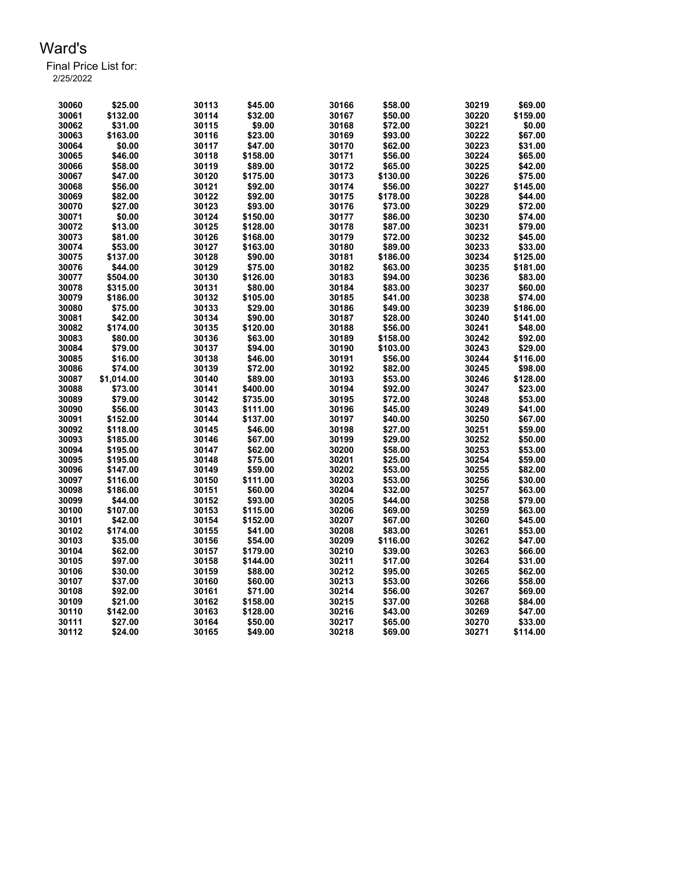| 30060          | \$25.00    | 30113 | \$45.00  | 30166 | \$58.00  | 30219 | \$69.00  |
|----------------|------------|-------|----------|-------|----------|-------|----------|
| 30061          | \$132.00   | 30114 | \$32.00  | 30167 | \$50.00  | 30220 | \$159.00 |
| 30062          | \$31.00    | 30115 | \$9.00   | 30168 | \$72.00  | 30221 | \$0.00   |
| 30063          | \$163.00   | 30116 | \$23.00  | 30169 | \$93.00  | 30222 | \$67.00  |
| 30064          | \$0.00     | 30117 | \$47.00  | 30170 | \$62.00  | 30223 | \$31.00  |
| 30065          | \$46.00    | 30118 | \$158.00 | 30171 | \$56.00  | 30224 | \$65.00  |
| 30066          | \$58.00    | 30119 | \$89.00  | 30172 | \$65.00  | 30225 | \$42.00  |
| 30067          | \$47.00    | 30120 | \$175.00 | 30173 | \$130.00 | 30226 | \$75.00  |
| 30068          | \$56.00    | 30121 | \$92.00  | 30174 | \$56.00  | 30227 | \$145.00 |
| 30069          | \$82.00    | 30122 | \$92.00  | 30175 | \$178.00 | 30228 | \$44.00  |
| 30070          | \$27.00    | 30123 | \$93.00  | 30176 | \$73.00  | 30229 | \$72.00  |
| 30071          | \$0.00     | 30124 | \$150.00 | 30177 | \$86.00  | 30230 | \$74.00  |
| 30072          | \$13.00    | 30125 | \$128.00 | 30178 | \$87.00  | 30231 | \$79.00  |
| 30073          | \$81.00    | 30126 | \$168.00 | 30179 | \$72.00  | 30232 | \$45.00  |
| 30074          | \$53.00    | 30127 | \$163.00 | 30180 | \$89.00  | 30233 | \$33.00  |
| 30075          | \$137.00   | 30128 | \$90.00  | 30181 | \$186.00 | 30234 | \$125.00 |
| 30076          | \$44.00    | 30129 | \$75.00  | 30182 | \$63.00  | 30235 | \$181.00 |
| 30077          | \$504.00   | 30130 | \$126.00 | 30183 | \$94.00  | 30236 | \$83.00  |
| 30078          | \$315.00   | 30131 | \$80.00  | 30184 | \$83.00  | 30237 | \$60.00  |
| 30079          |            | 30132 | \$105.00 | 30185 | \$41.00  | 30238 | \$74.00  |
|                | \$186.00   |       | \$29.00  | 30186 |          | 30239 | \$186.00 |
| 30080<br>30081 | \$75.00    | 30133 |          |       | \$49.00  |       | \$141.00 |
|                | \$42.00    | 30134 | \$90.00  | 30187 | \$28.00  | 30240 |          |
| 30082          | \$174.00   | 30135 | \$120.00 | 30188 | \$56.00  | 30241 | \$48.00  |
| 30083          | \$80.00    | 30136 | \$63.00  | 30189 | \$158.00 | 30242 | \$92.00  |
| 30084          | \$79.00    | 30137 | \$94.00  | 30190 | \$103.00 | 30243 | \$29.00  |
| 30085          | \$16.00    | 30138 | \$46.00  | 30191 | \$56.00  | 30244 | \$116.00 |
| 30086          | \$74.00    | 30139 | \$72.00  | 30192 | \$82.00  | 30245 | \$98.00  |
| 30087          | \$1,014.00 | 30140 | \$89.00  | 30193 | \$53.00  | 30246 | \$128.00 |
| 30088          | \$73.00    | 30141 | \$400.00 | 30194 | \$92.00  | 30247 | \$23.00  |
| 30089          | \$79.00    | 30142 | \$735.00 | 30195 | \$72.00  | 30248 | \$53.00  |
| 30090          | \$56.00    | 30143 | \$111.00 | 30196 | \$45.00  | 30249 | \$41.00  |
| 30091          | \$152.00   | 30144 | \$137.00 | 30197 | \$40.00  | 30250 | \$67.00  |
| 30092          | \$118.00   | 30145 | \$46.00  | 30198 | \$27.00  | 30251 | \$59.00  |
| 30093          | \$185.00   | 30146 | \$67.00  | 30199 | \$29.00  | 30252 | \$50.00  |
| 30094          | \$195.00   | 30147 | \$62.00  | 30200 | \$58.00  | 30253 | \$53.00  |
| 30095          | \$195.00   | 30148 | \$75.00  | 30201 | \$25.00  | 30254 | \$59.00  |
| 30096          | \$147.00   | 30149 | \$59.00  | 30202 | \$53.00  | 30255 | \$82.00  |
| 30097          | \$116.00   | 30150 | \$111.00 | 30203 | \$53.00  | 30256 | \$30.00  |
| 30098          | \$186.00   | 30151 | \$60.00  | 30204 | \$32.00  | 30257 | \$63.00  |
| 30099          | \$44.00    | 30152 | \$93.00  | 30205 | \$44.00  | 30258 | \$79.00  |
| 30100          | \$107.00   | 30153 | \$115.00 | 30206 | \$69.00  | 30259 | \$63.00  |
| 30101          | \$42.00    | 30154 | \$152.00 | 30207 | \$67.00  | 30260 | \$45.00  |
| 30102          | \$174.00   | 30155 | \$41.00  | 30208 | \$83.00  | 30261 | \$53.00  |
| 30103          | \$35.00    | 30156 | \$54.00  | 30209 | \$116.00 | 30262 | \$47.00  |
| 30104          | \$62.00    | 30157 | \$179.00 | 30210 | \$39.00  | 30263 | \$66.00  |
| 30105          | \$97.00    | 30158 | \$144.00 | 30211 | \$17.00  | 30264 | \$31.00  |
| 30106          | \$30.00    | 30159 | \$88.00  | 30212 | \$95.00  | 30265 | \$62.00  |
| 30107          | \$37.00    | 30160 | \$60.00  | 30213 | \$53.00  | 30266 | \$58.00  |
| 30108          | \$92.00    | 30161 | \$71.00  | 30214 | \$56.00  | 30267 | \$69.00  |
| 30109          | \$21.00    | 30162 | \$158.00 | 30215 | \$37.00  | 30268 | \$84.00  |
| 30110          | \$142.00   | 30163 | \$128.00 | 30216 | \$43.00  | 30269 | \$47.00  |
| 30111          | \$27.00    | 30164 | \$50.00  | 30217 | \$65.00  | 30270 | \$33.00  |
| 30112          | \$24.00    | 30165 | \$49.00  | 30218 | \$69.00  | 30271 | \$114.00 |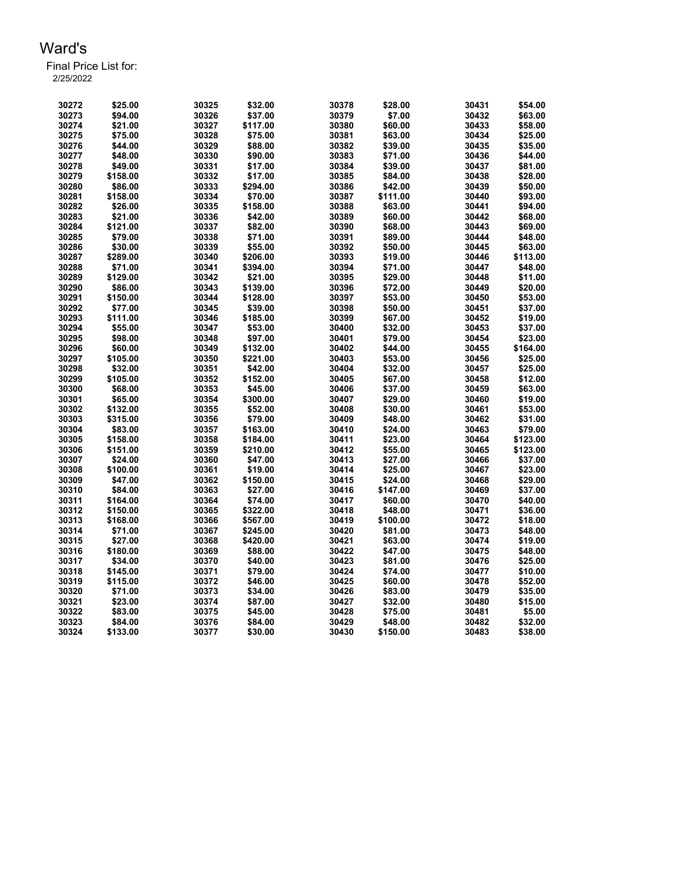| 30272 | \$25.00  | 30325 | \$32.00  | 30378 | \$28.00  | 30431 | \$54.00  |
|-------|----------|-------|----------|-------|----------|-------|----------|
| 30273 | \$94.00  | 30326 | \$37.00  | 30379 | \$7.00   | 30432 | \$63.00  |
| 30274 | \$21.00  | 30327 | \$117.00 | 30380 | \$60.00  | 30433 | \$58.00  |
| 30275 | \$75.00  | 30328 | \$75.00  | 30381 | \$63.00  | 30434 | \$25.00  |
| 30276 | \$44.00  | 30329 | \$88.00  | 30382 | \$39.00  | 30435 | \$35.00  |
| 30277 | \$48.00  | 30330 | \$90.00  | 30383 | \$71.00  | 30436 | \$44.00  |
| 30278 | \$49.00  | 30331 | \$17.00  | 30384 | \$39.00  | 30437 | \$81.00  |
| 30279 | \$158.00 | 30332 | \$17.00  | 30385 | \$84.00  | 30438 | \$28.00  |
| 30280 | \$86.00  | 30333 | \$294.00 | 30386 | \$42.00  | 30439 | \$50.00  |
| 30281 | \$158.00 | 30334 | \$70.00  | 30387 | \$111.00 | 30440 | \$93.00  |
| 30282 | \$26.00  | 30335 | \$158.00 | 30388 | \$63.00  | 30441 | \$94.00  |
| 30283 | \$21.00  | 30336 | \$42.00  | 30389 | \$60.00  | 30442 | \$68.00  |
| 30284 | \$121.00 | 30337 | \$82.00  | 30390 | \$68.00  | 30443 | \$69.00  |
| 30285 | \$79.00  | 30338 | \$71.00  | 30391 | \$89.00  | 30444 | \$48.00  |
| 30286 | \$30.00  | 30339 | \$55.00  | 30392 | \$50.00  | 30445 | \$63.00  |
| 30287 | \$289.00 | 30340 | \$206.00 | 30393 | \$19.00  | 30446 | \$113.00 |
| 30288 | \$71.00  | 30341 | \$394.00 | 30394 | \$71.00  | 30447 | \$48.00  |
| 30289 | \$129.00 | 30342 | \$21.00  | 30395 | \$29.00  | 30448 | \$11.00  |
| 30290 | \$86.00  | 30343 | \$139.00 | 30396 | \$72.00  | 30449 | \$20.00  |
| 30291 | \$150.00 | 30344 | \$128.00 | 30397 | \$53.00  | 30450 | \$53.00  |
| 30292 | \$77.00  | 30345 | \$39.00  | 30398 | \$50.00  | 30451 | \$37.00  |
| 30293 | \$111.00 | 30346 | \$185.00 | 30399 | \$67.00  | 30452 | \$19.00  |
| 30294 | \$55.00  | 30347 | \$53.00  | 30400 | \$32.00  | 30453 | \$37.00  |
| 30295 | \$98.00  | 30348 | \$97.00  | 30401 | \$79.00  | 30454 | \$23.00  |
| 30296 | \$60.00  | 30349 | \$132.00 | 30402 | \$44.00  | 30455 | \$164.00 |
| 30297 | \$105.00 | 30350 | \$221.00 | 30403 | \$53.00  | 30456 | \$25.00  |
| 30298 | \$32.00  | 30351 | \$42.00  | 30404 | \$32.00  | 30457 | \$25.00  |
| 30299 | \$105.00 | 30352 | \$152.00 | 30405 | \$67.00  | 30458 | \$12.00  |
| 30300 | \$68.00  | 30353 | \$45.00  | 30406 | \$37.00  | 30459 | \$63.00  |
| 30301 | \$65.00  | 30354 | \$300.00 | 30407 | \$29.00  | 30460 | \$19.00  |
| 30302 | \$132.00 | 30355 | \$52.00  | 30408 | \$30.00  | 30461 | \$53.00  |
| 30303 | \$315.00 | 30356 | \$79.00  | 30409 | \$48.00  | 30462 | \$31.00  |
| 30304 | \$83.00  | 30357 | \$163.00 | 30410 | \$24.00  | 30463 | \$79.00  |
| 30305 | \$158.00 | 30358 | \$184.00 | 30411 | \$23.00  | 30464 | \$123.00 |
| 30306 | \$151.00 | 30359 | \$210.00 | 30412 | \$55.00  | 30465 | \$123.00 |
| 30307 | \$24.00  | 30360 | \$47.00  | 30413 | \$27.00  | 30466 | \$37.00  |
| 30308 | \$100.00 | 30361 | \$19.00  | 30414 | \$25.00  | 30467 | \$23.00  |
| 30309 | \$47.00  | 30362 | \$150.00 | 30415 | \$24.00  | 30468 | \$29.00  |
| 30310 | \$84.00  | 30363 | \$27.00  | 30416 | \$147.00 | 30469 | \$37.00  |
| 30311 | \$164.00 | 30364 | \$74.00  | 30417 | \$60.00  | 30470 | \$40.00  |
| 30312 | \$150.00 | 30365 | \$322.00 | 30418 | \$48.00  | 30471 | \$36.00  |
| 30313 | \$168.00 | 30366 | \$567.00 | 30419 | \$100.00 | 30472 | \$18.00  |
| 30314 | \$71.00  | 30367 | \$245.00 | 30420 | \$81.00  | 30473 | \$48.00  |
| 30315 | \$27.00  | 30368 | \$420.00 | 30421 | \$63.00  | 30474 | \$19.00  |
| 30316 | \$180.00 | 30369 | \$88.00  | 30422 | \$47.00  | 30475 | \$48.00  |
| 30317 | \$34.00  | 30370 | \$40.00  | 30423 | \$81.00  | 30476 | \$25.00  |
| 30318 | \$145.00 | 30371 | \$79.00  | 30424 | \$74.00  | 30477 | \$10.00  |
| 30319 | \$115.00 | 30372 | \$46.00  | 30425 | \$60.00  | 30478 | \$52.00  |
| 30320 | \$71.00  | 30373 | \$34.00  | 30426 | \$83.00  | 30479 | \$35.00  |
| 30321 | \$23.00  | 30374 | \$87.00  | 30427 | \$32.00  | 30480 | \$15.00  |
| 30322 | \$83.00  | 30375 | \$45.00  | 30428 | \$75.00  | 30481 | \$5.00   |
| 30323 | \$84.00  | 30376 | \$84.00  | 30429 | \$48.00  | 30482 | \$32.00  |
| 30324 | \$133.00 | 30377 | \$30.00  | 30430 | \$150.00 | 30483 | \$38.00  |
|       |          |       |          |       |          |       |          |